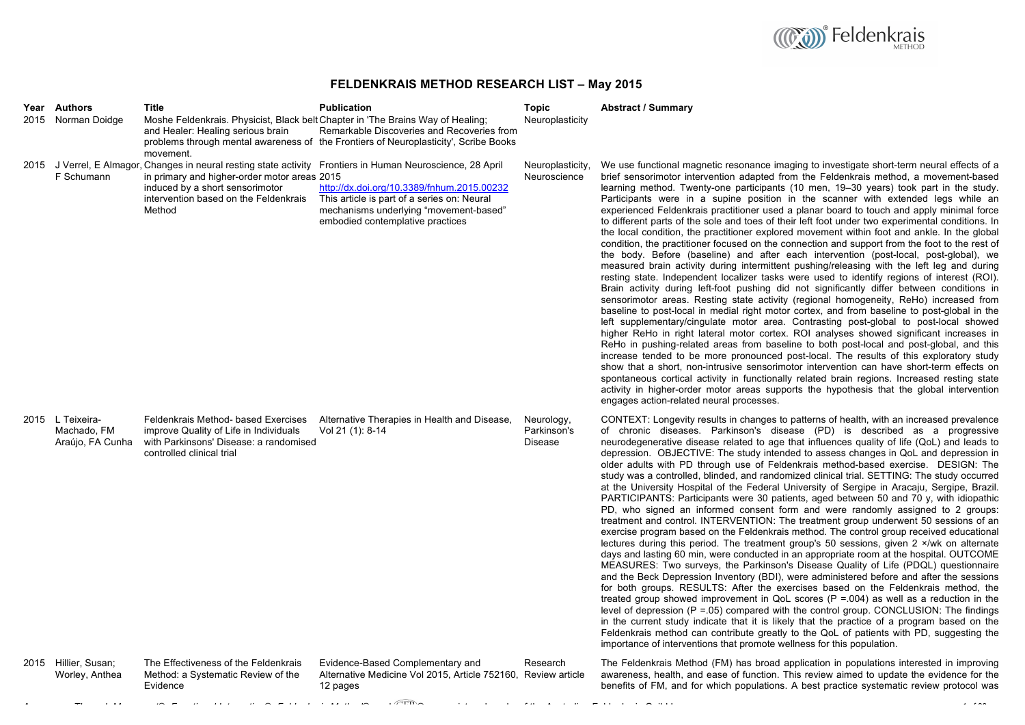

| Year Authors<br>2015 Norman Doidge                  | <b>Title</b><br>Moshe Feldenkrais. Physicist, Black belt Chapter in 'The Brains Way of Healing;<br>and Healer: Healing serious brain<br>movement.    | <b>Publication</b><br>Remarkable Discoveries and Recoveries from<br>problems through mental awareness of the Frontiers of Neuroplasticity', Scribe Books                                                                                                                                | <b>Topic</b><br>Neuroplasticity             | <b>Abstract / Summary</b>                                                                                                                                                                                                                                                                                                                                                                                                                                                                                                                                                                                                                                                                                                                                                                                                                                                                                                                                                                                                                                                                                                                                                                                                                                                                                                                                                                                                                                                                                                                                                                                                                                                                                                                                                                                                                                                                                                                                                                                                                                            |
|-----------------------------------------------------|------------------------------------------------------------------------------------------------------------------------------------------------------|-----------------------------------------------------------------------------------------------------------------------------------------------------------------------------------------------------------------------------------------------------------------------------------------|---------------------------------------------|----------------------------------------------------------------------------------------------------------------------------------------------------------------------------------------------------------------------------------------------------------------------------------------------------------------------------------------------------------------------------------------------------------------------------------------------------------------------------------------------------------------------------------------------------------------------------------------------------------------------------------------------------------------------------------------------------------------------------------------------------------------------------------------------------------------------------------------------------------------------------------------------------------------------------------------------------------------------------------------------------------------------------------------------------------------------------------------------------------------------------------------------------------------------------------------------------------------------------------------------------------------------------------------------------------------------------------------------------------------------------------------------------------------------------------------------------------------------------------------------------------------------------------------------------------------------------------------------------------------------------------------------------------------------------------------------------------------------------------------------------------------------------------------------------------------------------------------------------------------------------------------------------------------------------------------------------------------------------------------------------------------------------------------------------------------------|
| F Schumann                                          | in primary and higher-order motor areas 2015<br>induced by a short sensorimotor<br>intervention based on the Feldenkrais<br>Method                   | 2015 J Verrel, E Almagor, Changes in neural resting state activity Frontiers in Human Neuroscience, 28 April<br>http://dx.doi.org/10.3389/fnhum.2015.00232<br>This article is part of a series on: Neural<br>mechanisms underlying "movement-based"<br>embodied contemplative practices | Neuroplasticity,<br>Neuroscience            | We use functional magnetic resonance imaging to investigate short-term neural effects of a<br>brief sensorimotor intervention adapted from the Feldenkrais method, a movement-based<br>learning method. Twenty-one participants (10 men, 19-30 years) took part in the study.<br>Participants were in a supine position in the scanner with extended legs while an<br>experienced Feldenkrais practitioner used a planar board to touch and apply minimal force<br>to different parts of the sole and toes of their left foot under two experimental conditions. In<br>the local condition, the practitioner explored movement within foot and ankle. In the global<br>condition, the practitioner focused on the connection and support from the foot to the rest of<br>the body. Before (baseline) and after each intervention (post-local, post-global), we<br>measured brain activity during intermittent pushing/releasing with the left leg and during<br>resting state. Independent localizer tasks were used to identify regions of interest (ROI).<br>Brain activity during left-foot pushing did not significantly differ between conditions in<br>sensorimotor areas. Resting state activity (regional homogeneity, ReHo) increased from<br>baseline to post-local in medial right motor cortex, and from baseline to post-global in the<br>left supplementary/cingulate motor area. Contrasting post-global to post-local showed<br>higher ReHo in right lateral motor cortex. ROI analyses showed significant increases in<br>ReHo in pushing-related areas from baseline to both post-local and post-global, and this<br>increase tended to be more pronounced post-local. The results of this exploratory study<br>show that a short, non-intrusive sensorimotor intervention can have short-term effects on<br>spontaneous cortical activity in functionally related brain regions. Increased resting state<br>activity in higher-order motor areas supports the hypothesis that the global intervention<br>engages action-related neural processes. |
| 2015 L Teixeira-<br>Machado, FM<br>Araújo, FA Cunha | Feldenkrais Method- based Exercises<br>improve Quality of Life in Individuals<br>with Parkinsons' Disease: a randomised<br>controlled clinical trial | Alternative Therapies in Health and Disease,<br>Vol 21 (1): 8-14                                                                                                                                                                                                                        | Neurology,<br>Parkinson's<br><b>Disease</b> | CONTEXT: Longevity results in changes to patterns of health, with an increased prevalence<br>of chronic diseases. Parkinson's disease (PD) is described as a progressive<br>neurodegenerative disease related to age that influences quality of life (QoL) and leads to<br>depression. OBJECTIVE: The study intended to assess changes in QoL and depression in<br>older adults with PD through use of Feldenkrais method-based exercise. DESIGN: The<br>study was a controlled, blinded, and randomized clinical trial. SETTING: The study occurred<br>at the University Hospital of the Federal University of Sergipe in Aracaju, Sergipe, Brazil.<br>PARTICIPANTS: Participants were 30 patients, aged between 50 and 70 y, with idiopathic<br>PD, who signed an informed consent form and were randomly assigned to 2 groups:<br>treatment and control. INTERVENTION: The treatment group underwent 50 sessions of an<br>exercise program based on the Feldenkrais method. The control group received educational<br>lectures during this period. The treatment group's 50 sessions, given 2 x/wk on alternate<br>days and lasting 60 min, were conducted in an appropriate room at the hospital. OUTCOME<br>MEASURES: Two surveys, the Parkinson's Disease Quality of Life (PDQL) questionnaire<br>and the Beck Depression Inventory (BDI), were administered before and after the sessions<br>for both groups. RESULTS: After the exercises based on the Feldenkrais method, the<br>treated group showed improvement in QoL scores ( $P = 004$ ) as well as a reduction in the<br>level of depression (P = 05) compared with the control group. CONCLUSION: The findings<br>in the current study indicate that it is likely that the practice of a program based on the<br>Feldenkrais method can contribute greatly to the QoL of patients with PD, suggesting the<br>importance of interventions that promote wellness for this population.                                                                                                                  |
| 2015 Hillier, Susan;<br>Worley, Anthea              | The Effectiveness of the Feldenkrais<br>Method: a Systematic Review of the<br>Evidence                                                               | Evidence-Based Complementary and<br>Alternative Medicine Vol 2015, Article 752160, Review article<br>12 pages                                                                                                                                                                           | Research                                    | The Feldenkrais Method (FM) has broad application in populations interested in improving<br>awareness, health, and ease of function. This review aimed to update the evidence for the<br>benefits of FM, and for which populations. A best practice systematic review protocol was                                                                                                                                                                                                                                                                                                                                                                                                                                                                                                                                                                                                                                                                                                                                                                                                                                                                                                                                                                                                                                                                                                                                                                                                                                                                                                                                                                                                                                                                                                                                                                                                                                                                                                                                                                                   |

*Awareness Through Movement*®, *Functional Integration*®, *Feldenkrais Method*®, and ® are registered marks of the Australian Feldenkrais Guild Inc. 1 of 33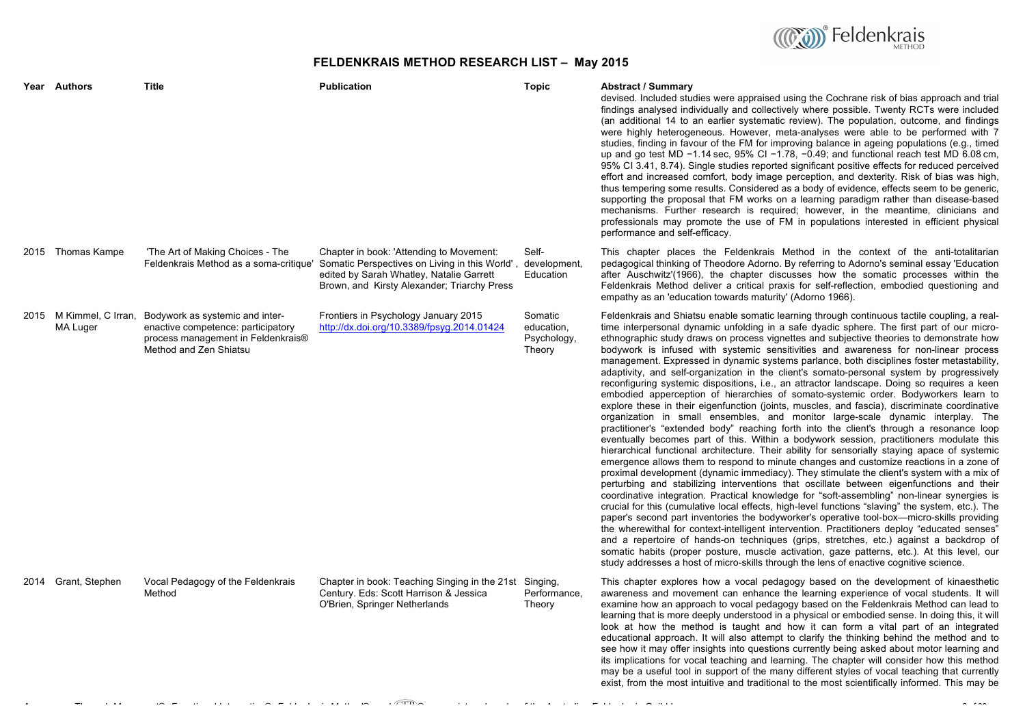

| Year Authors                        | <b>Title</b>                                                                                                                          | <b>Publication</b>                                                                                                                                                                                                           | <b>Topic</b>                                   | <b>Abstract / Summary</b><br>devised. Included studies were appraised using the Cochrane risk of bias approach and trial<br>findings analysed individually and collectively where possible. Twenty RCTs were included<br>(an additional 14 to an earlier systematic review). The population, outcome, and findings<br>were highly heterogeneous. However, meta-analyses were able to be performed with 7<br>studies, finding in favour of the FM for improving balance in ageing populations (e.g., timed<br>up and go test MD -1.14 sec, $95\%$ CI -1.78, -0.49; and functional reach test MD 6.08 cm,<br>95% CI 3.41, 8.74). Single studies reported significant positive effects for reduced perceived<br>effort and increased comfort, body image perception, and dexterity. Risk of bias was high,<br>thus tempering some results. Considered as a body of evidence, effects seem to be generic,<br>supporting the proposal that FM works on a learning paradigm rather than disease-based<br>mechanisms. Further research is required; however, in the meantime, clinicians and<br>professionals may promote the use of FM in populations interested in efficient physical<br>performance and self-efficacy.                                                                                                                                                                                                                                                                                                                                                                                                                                                                                                                                                                                                                                                                                                                                                                                                                                                                                                                                                                                                   |
|-------------------------------------|---------------------------------------------------------------------------------------------------------------------------------------|------------------------------------------------------------------------------------------------------------------------------------------------------------------------------------------------------------------------------|------------------------------------------------|----------------------------------------------------------------------------------------------------------------------------------------------------------------------------------------------------------------------------------------------------------------------------------------------------------------------------------------------------------------------------------------------------------------------------------------------------------------------------------------------------------------------------------------------------------------------------------------------------------------------------------------------------------------------------------------------------------------------------------------------------------------------------------------------------------------------------------------------------------------------------------------------------------------------------------------------------------------------------------------------------------------------------------------------------------------------------------------------------------------------------------------------------------------------------------------------------------------------------------------------------------------------------------------------------------------------------------------------------------------------------------------------------------------------------------------------------------------------------------------------------------------------------------------------------------------------------------------------------------------------------------------------------------------------------------------------------------------------------------------------------------------------------------------------------------------------------------------------------------------------------------------------------------------------------------------------------------------------------------------------------------------------------------------------------------------------------------------------------------------------------------------------------------------------------------------------------------------------|
| 2015 Thomas Kampe                   | 'The Art of Making Choices - The                                                                                                      | Chapter in book: 'Attending to Movement:<br>Feldenkrais Method as a soma-critique' Somatic Perspectives on Living in this World',<br>edited by Sarah Whatley, Natalie Garrett<br>Brown, and Kirsty Alexander; Triarchy Press | Self-<br>development,<br>Education             | This chapter places the Feldenkrais Method in the context of the anti-totalitarian<br>pedagogical thinking of Theodore Adorno. By referring to Adorno's seminal essay 'Education<br>after Auschwitz'(1966), the chapter discusses how the somatic processes within the<br>Feldenkrais Method deliver a critical praxis for self-reflection, embodied questioning and<br>empathy as an 'education towards maturity' (Adorno 1966).                                                                                                                                                                                                                                                                                                                                                                                                                                                                                                                                                                                                                                                                                                                                                                                                                                                                                                                                                                                                                                                                                                                                                                                                                                                                                                                                                                                                                                                                                                                                                                                                                                                                                                                                                                                    |
| 2015 M Kimmel, C Irran,<br>MA Luger | Bodywork as systemic and inter-<br>enactive competence: participatory<br>process management in Feldenkrais®<br>Method and Zen Shiatsu | Frontiers in Psychology January 2015<br>http://dx.doi.org/10.3389/fpsyg.2014.01424                                                                                                                                           | Somatic<br>education,<br>Psychology,<br>Theory | Feldenkrais and Shiatsu enable somatic learning through continuous tactile coupling, a real-<br>time interpersonal dynamic unfolding in a safe dyadic sphere. The first part of our micro-<br>ethnographic study draws on process vignettes and subjective theories to demonstrate how<br>bodywork is infused with systemic sensitivities and awareness for non-linear process<br>management. Expressed in dynamic systems parlance, both disciplines foster metastability,<br>adaptivity, and self-organization in the client's somato-personal system by progressively<br>reconfiguring systemic dispositions, i.e., an attractor landscape. Doing so requires a keen<br>embodied apperception of hierarchies of somato-systemic order. Bodyworkers learn to<br>explore these in their eigenfunction (joints, muscles, and fascia), discriminate coordinative<br>organization in small ensembles, and monitor large-scale dynamic interplay. The<br>practitioner's "extended body" reaching forth into the client's through a resonance loop<br>eventually becomes part of this. Within a bodywork session, practitioners modulate this<br>hierarchical functional architecture. Their ability for sensorially staying apace of systemic<br>emergence allows them to respond to minute changes and customize reactions in a zone of<br>proximal development (dynamic immediacy). They stimulate the client's system with a mix of<br>perturbing and stabilizing interventions that oscillate between eigenfunctions and their<br>coordinative integration. Practical knowledge for "soft-assembling" non-linear synergies is<br>crucial for this (cumulative local effects, high-level functions "slaving" the system, etc.). The<br>paper's second part inventories the bodyworker's operative tool-box—micro-skills providing<br>the wherewithal for context-intelligent intervention. Practitioners deploy "educated senses"<br>and a repertoire of hands-on techniques (grips, stretches, etc.) against a backdrop of<br>somatic habits (proper posture, muscle activation, gaze patterns, etc.). At this level, our<br>study addresses a host of micro-skills through the lens of enactive cognitive science. |
| 2014 Grant, Stephen                 | Vocal Pedagogy of the Feldenkrais<br>Method                                                                                           | Chapter in book: Teaching Singing in the 21st<br>Century. Eds: Scott Harrison & Jessica<br>O'Brien, Springer Netherlands                                                                                                     | Singing,<br>Performance,<br>Theory             | This chapter explores how a vocal pedagogy based on the development of kinaesthetic<br>awareness and movement can enhance the learning experience of vocal students. It will<br>examine how an approach to vocal pedagogy based on the Feldenkrais Method can lead to<br>learning that is more deeply understood in a physical or embodied sense. In doing this, it will<br>look at how the method is taught and how it can form a vital part of an integrated<br>educational approach. It will also attempt to clarify the thinking behind the method and to<br>see how it may offer insights into questions currently being asked about motor learning and<br>its implications for vocal teaching and learning. The chapter will consider how this method<br>may be a useful tool in support of the many different styles of vocal teaching that currently<br>exist, from the most intuitive and traditional to the most scientifically informed. This may be                                                                                                                                                                                                                                                                                                                                                                                                                                                                                                                                                                                                                                                                                                                                                                                                                                                                                                                                                                                                                                                                                                                                                                                                                                                      |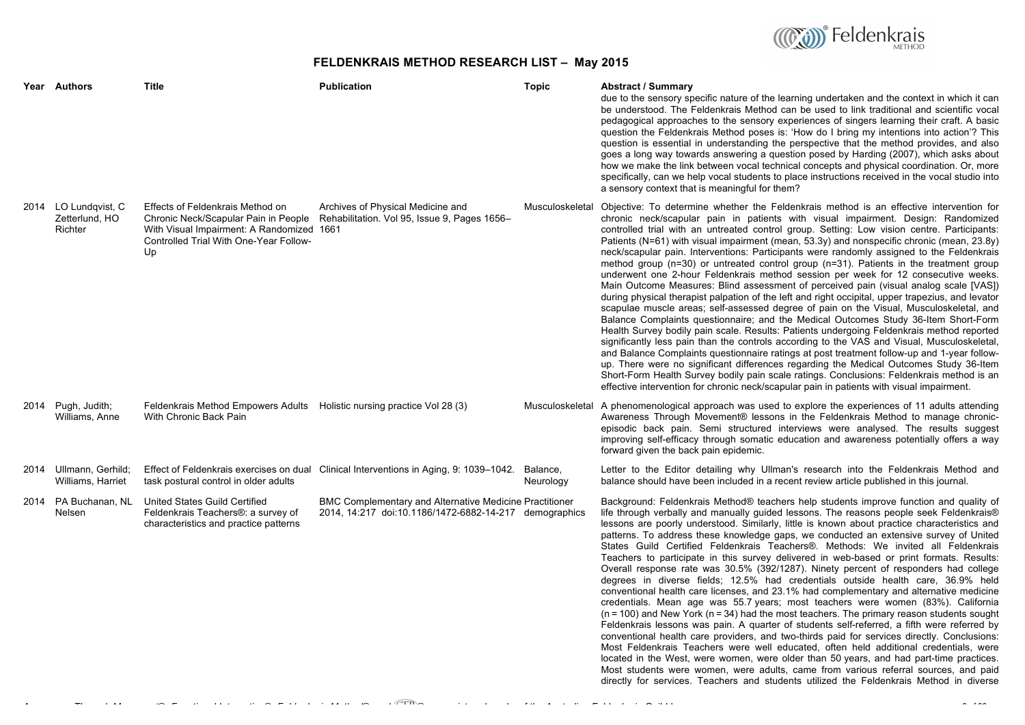

| Year Authors                                      | <b>Title</b>                                                                                                                  | <b>Publication</b>                                                                                                       | <b>Topic</b>          | <b>Abstract / Summary</b><br>due to the sensory specific nature of the learning undertaken and the context in which it can<br>be understood. The Feldenkrais Method can be used to link traditional and scientific vocal<br>pedagogical approaches to the sensory experiences of singers learning their craft. A basic<br>question the Feldenkrais Method poses is: 'How do I bring my intentions into action'? This<br>question is essential in understanding the perspective that the method provides, and also<br>goes a long way towards answering a question posed by Harding (2007), which asks about<br>how we make the link between vocal technical concepts and physical coordination. Or, more<br>specifically, can we help vocal students to place instructions received in the vocal studio into<br>a sensory context that is meaningful for them?                                                                                                                                                                                                                                                                                                                                                                                                                                                                                                                                                                                                                                                                                                                                                                |
|---------------------------------------------------|-------------------------------------------------------------------------------------------------------------------------------|--------------------------------------------------------------------------------------------------------------------------|-----------------------|-------------------------------------------------------------------------------------------------------------------------------------------------------------------------------------------------------------------------------------------------------------------------------------------------------------------------------------------------------------------------------------------------------------------------------------------------------------------------------------------------------------------------------------------------------------------------------------------------------------------------------------------------------------------------------------------------------------------------------------------------------------------------------------------------------------------------------------------------------------------------------------------------------------------------------------------------------------------------------------------------------------------------------------------------------------------------------------------------------------------------------------------------------------------------------------------------------------------------------------------------------------------------------------------------------------------------------------------------------------------------------------------------------------------------------------------------------------------------------------------------------------------------------------------------------------------------------------------------------------------------------|
| 2014 LO Lundqvist, C<br>Zetterlund, HO<br>Richter | Effects of Feldenkrais Method on<br>With Visual Impairment: A Randomized 1661<br>Controlled Trial With One-Year Follow-<br>Up | Archives of Physical Medicine and<br>Chronic Neck/Scapular Pain in People Rehabilitation. Vol 95, Issue 9, Pages 1656–   | Musculoskeletal       | Objective: To determine whether the Feldenkrais method is an effective intervention for<br>chronic neck/scapular pain in patients with visual impairment. Design: Randomized<br>controlled trial with an untreated control group. Setting: Low vision centre. Participants:<br>Patients (N=61) with visual impairment (mean, 53.3y) and nonspecific chronic (mean, 23.8y)<br>neck/scapular pain. Interventions: Participants were randomly assigned to the Feldenkrais<br>method group ( $n=30$ ) or untreated control group ( $n=31$ ). Patients in the treatment group<br>underwent one 2-hour Feldenkrais method session per week for 12 consecutive weeks.<br>Main Outcome Measures: Blind assessment of perceived pain (visual analog scale [VAS])<br>during physical therapist palpation of the left and right occipital, upper trapezius, and levator<br>scapulae muscle areas; self-assessed degree of pain on the Visual, Musculoskeletal, and<br>Balance Complaints questionnaire; and the Medical Outcomes Study 36-Item Short-Form<br>Health Survey bodily pain scale. Results: Patients undergoing Feldenkrais method reported<br>significantly less pain than the controls according to the VAS and Visual, Musculoskeletal,<br>and Balance Complaints questionnaire ratings at post treatment follow-up and 1-year follow-<br>up. There were no significant differences regarding the Medical Outcomes Study 36-Item<br>Short-Form Health Survey bodily pain scale ratings. Conclusions: Feldenkrais method is an<br>effective intervention for chronic neck/scapular pain in patients with visual impairment. |
| 2014 Pugh, Judith;<br>Williams, Anne              | Feldenkrais Method Empowers Adults Holistic nursing practice Vol 28 (3)<br>With Chronic Back Pain                             |                                                                                                                          |                       | Musculoskeletal A phenomenological approach was used to explore the experiences of 11 adults attending<br>Awareness Through Movement® lessons in the Feldenkrais Method to manage chronic-<br>episodic back pain. Semi structured interviews were analysed. The results suggest<br>improving self-efficacy through somatic education and awareness potentially offers a way<br>forward given the back pain epidemic.                                                                                                                                                                                                                                                                                                                                                                                                                                                                                                                                                                                                                                                                                                                                                                                                                                                                                                                                                                                                                                                                                                                                                                                                          |
| 2014 Ullmann, Gerhild;<br>Williams, Harriet       | task postural control in older adults                                                                                         | Effect of Feldenkrais exercises on dual Clinical Interventions in Aging, 9: 1039–1042.                                   | Balance,<br>Neurology | Letter to the Editor detailing why Ullman's research into the Feldenkrais Method and<br>balance should have been included in a recent review article published in this journal.                                                                                                                                                                                                                                                                                                                                                                                                                                                                                                                                                                                                                                                                                                                                                                                                                                                                                                                                                                                                                                                                                                                                                                                                                                                                                                                                                                                                                                               |
| 2014 PA Buchanan, NL<br>Nelsen                    | United States Guild Certified<br>Feldenkrais Teachers®: a survey of<br>characteristics and practice patterns                  | <b>BMC Complementary and Alternative Medicine Practitioner</b><br>2014, 14:217 doi:10.1186/1472-6882-14-217 demographics |                       | Background: Feldenkrais Method® teachers help students improve function and quality of<br>life through verbally and manually guided lessons. The reasons people seek Feldenkrais®<br>lessons are poorly understood. Similarly, little is known about practice characteristics and<br>patterns. To address these knowledge gaps, we conducted an extensive survey of United<br>States Guild Certified Feldenkrais Teachers®. Methods: We invited all Feldenkrais<br>Teachers to participate in this survey delivered in web-based or print formats. Results:<br>Overall response rate was 30.5% (392/1287). Ninety percent of responders had college<br>degrees in diverse fields; 12.5% had credentials outside health care, 36.9% held<br>conventional health care licenses, and 23.1% had complementary and alternative medicine<br>credentials. Mean age was 55.7 years; most teachers were women (83%). California<br>$(n = 100)$ and New York $(n = 34)$ had the most teachers. The primary reason students sought<br>Feldenkrais lessons was pain. A quarter of students self-referred, a fifth were referred by<br>conventional health care providers, and two-thirds paid for services directly. Conclusions:<br>Most Feldenkrais Teachers were well educated, often held additional credentials, were<br>located in the West, were women, were older than 50 years, and had part-time practices.<br>Most students were women, were adults, came from various referral sources, and paid<br>directly for services. Teachers and students utilized the Feldenkrais Method in diverse                                   |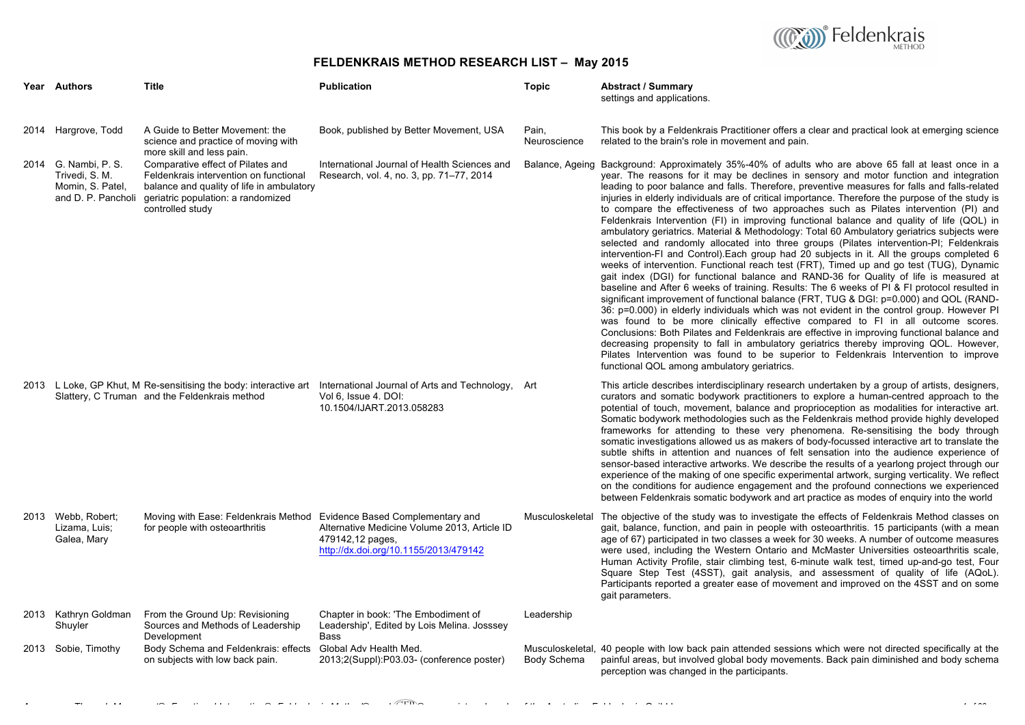

|      | Year Authors                                                                     | <b>Title</b>                                                                                                                                                                       | <b>Publication</b>                                                                                                                                                      | <b>Topic</b>          | <b>Abstract / Summary</b><br>settings and applications.                                                                                                                                                                                                                                                                                                                                                                                                                                                                                                                                                                                                                                                                                                                                                                                                                                                                                                                                                                                                                                                                                                                                                                                                                                                                                                                                                                                                                                                                                                                                                                                                                                                                                                            |
|------|----------------------------------------------------------------------------------|------------------------------------------------------------------------------------------------------------------------------------------------------------------------------------|-------------------------------------------------------------------------------------------------------------------------------------------------------------------------|-----------------------|--------------------------------------------------------------------------------------------------------------------------------------------------------------------------------------------------------------------------------------------------------------------------------------------------------------------------------------------------------------------------------------------------------------------------------------------------------------------------------------------------------------------------------------------------------------------------------------------------------------------------------------------------------------------------------------------------------------------------------------------------------------------------------------------------------------------------------------------------------------------------------------------------------------------------------------------------------------------------------------------------------------------------------------------------------------------------------------------------------------------------------------------------------------------------------------------------------------------------------------------------------------------------------------------------------------------------------------------------------------------------------------------------------------------------------------------------------------------------------------------------------------------------------------------------------------------------------------------------------------------------------------------------------------------------------------------------------------------------------------------------------------------|
| 2014 | Hargrove, Todd                                                                   | A Guide to Better Movement: the<br>science and practice of moving with<br>more skill and less pain.                                                                                | Book, published by Better Movement, USA                                                                                                                                 | Pain,<br>Neuroscience | This book by a Feldenkrais Practitioner offers a clear and practical look at emerging science<br>related to the brain's role in movement and pain.                                                                                                                                                                                                                                                                                                                                                                                                                                                                                                                                                                                                                                                                                                                                                                                                                                                                                                                                                                                                                                                                                                                                                                                                                                                                                                                                                                                                                                                                                                                                                                                                                 |
|      | 2014 G. Nambi, P. S.<br>Trivedi, S. M.<br>Momin, S. Patel,<br>and D. P. Pancholi | Comparative effect of Pilates and<br>Feldenkrais intervention on functional<br>balance and quality of life in ambulatory<br>geriatric population: a randomized<br>controlled study | International Journal of Health Sciences and<br>Research, vol. 4, no. 3, pp. 71-77, 2014                                                                                | Balance, Ageing       | Background: Approximately 35%-40% of adults who are above 65 fall at least once in a<br>year. The reasons for it may be declines in sensory and motor function and integration<br>leading to poor balance and falls. Therefore, preventive measures for falls and falls-related<br>injuries in elderly individuals are of critical importance. Therefore the purpose of the study is<br>to compare the effectiveness of two approaches such as Pilates intervention (PI) and<br>Feldenkrais Intervention (FI) in improving functional balance and quality of life (QOL) in<br>ambulatory geriatrics. Material & Methodology: Total 60 Ambulatory geriatrics subjects were<br>selected and randomly allocated into three groups (Pilates intervention-PI; Feldenkrais<br>intervention-FI and Control). Each group had 20 subjects in it. All the groups completed 6<br>weeks of intervention. Functional reach test (FRT), Timed up and go test (TUG), Dynamic<br>gait index (DGI) for functional balance and RAND-36 for Quality of life is measured at<br>baseline and After 6 weeks of training. Results: The 6 weeks of PI & FI protocol resulted in<br>significant improvement of functional balance (FRT, TUG & DGI: p=0.000) and QOL (RAND-<br>36: p=0.000) in elderly individuals which was not evident in the control group. However PI<br>was found to be more clinically effective compared to FI in all outcome scores.<br>Conclusions: Both Pilates and Feldenkrais are effective in improving functional balance and<br>decreasing propensity to fall in ambulatory geriatrics thereby improving QOL. However,<br>Pilates Intervention was found to be superior to Feldenkrais Intervention to improve<br>functional QOL among ambulatory geriatrics. |
|      |                                                                                  | Slattery, C Truman and the Feldenkrais method                                                                                                                                      | 2013 L Loke, GP Khut, M Re-sensitising the body: interactive art International Journal of Arts and Technology, Art<br>Vol 6, Issue 4. DOI:<br>10.1504/IJART.2013.058283 |                       | This article describes interdisciplinary research undertaken by a group of artists, designers,<br>curators and somatic bodywork practitioners to explore a human-centred approach to the<br>potential of touch, movement, balance and proprioception as modalities for interactive art.<br>Somatic bodywork methodologies such as the Feldenkrais method provide highly developed<br>frameworks for attending to these very phenomena. Re-sensitising the body through<br>somatic investigations allowed us as makers of body-focussed interactive art to translate the<br>subtle shifts in attention and nuances of felt sensation into the audience experience of<br>sensor-based interactive artworks. We describe the results of a yearlong project through our<br>experience of the making of one specific experimental artwork, surging verticality. We reflect<br>on the conditions for audience engagement and the profound connections we experienced<br>between Feldenkrais somatic bodywork and art practice as modes of enquiry into the world                                                                                                                                                                                                                                                                                                                                                                                                                                                                                                                                                                                                                                                                                                         |
|      | 2013 Webb, Robert;<br>Lizama, Luis;<br>Galea, Mary                               | Moving with Ease: Feldenkrais Method Evidence Based Complementary and<br>for people with osteoarthritis                                                                            | Alternative Medicine Volume 2013, Article ID<br>479142,12 pages,<br>http://dx.doi.org/10.1155/2013/479142                                                               | Musculoskeletal       | The objective of the study was to investigate the effects of Feldenkrais Method classes on<br>gait, balance, function, and pain in people with osteoarthritis. 15 participants (with a mean<br>age of 67) participated in two classes a week for 30 weeks. A number of outcome measures<br>were used, including the Western Ontario and McMaster Universities osteoarthritis scale,<br>Human Activity Profile, stair climbing test, 6-minute walk test, timed up-and-go test, Four<br>Square Step Test (4SST), gait analysis, and assessment of quality of life (AQoL).<br>Participants reported a greater ease of movement and improved on the 4SST and on some<br>gait parameters.                                                                                                                                                                                                                                                                                                                                                                                                                                                                                                                                                                                                                                                                                                                                                                                                                                                                                                                                                                                                                                                                               |
|      | 2013 Kathryn Goldman<br>Shuyler                                                  | From the Ground Up: Revisioning<br>Sources and Methods of Leadership<br>Development                                                                                                | Chapter in book: 'The Embodiment of<br>Leadership', Edited by Lois Melina. Josssey<br><b>Bass</b>                                                                       | Leadership            |                                                                                                                                                                                                                                                                                                                                                                                                                                                                                                                                                                                                                                                                                                                                                                                                                                                                                                                                                                                                                                                                                                                                                                                                                                                                                                                                                                                                                                                                                                                                                                                                                                                                                                                                                                    |
|      | 2013 Sobie, Timothy                                                              | Body Schema and Feldenkrais: effects<br>on subjects with low back pain.                                                                                                            | Global Adv Health Med.<br>2013;2(Suppl):P03.03- (conference poster)                                                                                                     | Body Schema           | Musculoskeletal, 40 people with low back pain attended sessions which were not directed specifically at the<br>painful areas, but involved global body movements. Back pain diminished and body schema<br>perception was changed in the participants.                                                                                                                                                                                                                                                                                                                                                                                                                                                                                                                                                                                                                                                                                                                                                                                                                                                                                                                                                                                                                                                                                                                                                                                                                                                                                                                                                                                                                                                                                                              |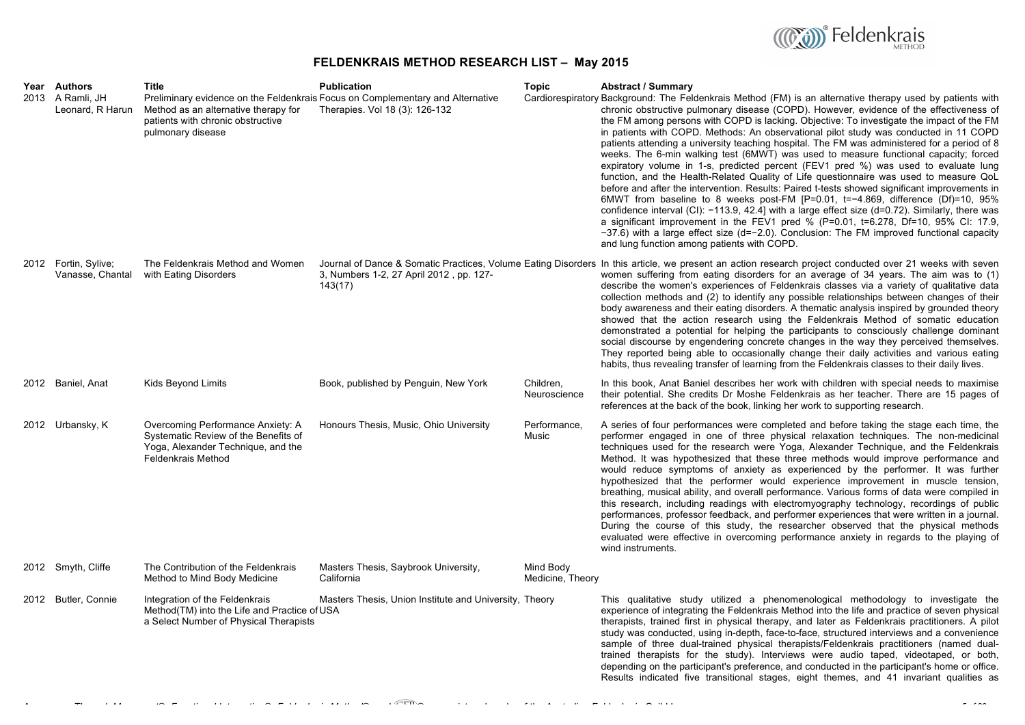

| Year Authors<br>2013 A Ramli, JH<br>Leonard, R Harun | <b>Title</b><br>Method as an alternative therapy for<br>patients with chronic obstructive<br>pulmonary disease                               | <b>Publication</b><br>Preliminary evidence on the Feldenkrais Focus on Complementary and Alternative<br>Therapies. Vol 18 (3): 126-132 | <b>Topic</b>                  | <b>Abstract / Summary</b><br>Cardiorespiratory Background: The Feldenkrais Method (FM) is an alternative therapy used by patients with<br>chronic obstructive pulmonary disease (COPD). However, evidence of the effectiveness of<br>the FM among persons with COPD is lacking. Objective: To investigate the impact of the FM<br>in patients with COPD. Methods: An observational pilot study was conducted in 11 COPD<br>patients attending a university teaching hospital. The FM was administered for a period of 8<br>weeks. The 6-min walking test (6MWT) was used to measure functional capacity; forced<br>expiratory volume in 1-s, predicted percent (FEV1 pred %) was used to evaluate lung<br>function, and the Health-Related Quality of Life questionnaire was used to measure QoL<br>before and after the intervention. Results: Paired t-tests showed significant improvements in<br>6MWT from baseline to 8 weeks post-FM [P=0.01, t=-4.869, difference (Df)=10, 95%<br>confidence interval (CI): $-113.9$ , 42.4] with a large effect size (d=0.72). Similarly, there was<br>a significant improvement in the FEV1 pred % (P=0.01, t=6.278, Df=10, 95% CI: 17.9,<br>$-37.6$ ) with a large effect size (d= $-2.0$ ). Conclusion: The FM improved functional capacity<br>and lung function among patients with COPD. |
|------------------------------------------------------|----------------------------------------------------------------------------------------------------------------------------------------------|----------------------------------------------------------------------------------------------------------------------------------------|-------------------------------|---------------------------------------------------------------------------------------------------------------------------------------------------------------------------------------------------------------------------------------------------------------------------------------------------------------------------------------------------------------------------------------------------------------------------------------------------------------------------------------------------------------------------------------------------------------------------------------------------------------------------------------------------------------------------------------------------------------------------------------------------------------------------------------------------------------------------------------------------------------------------------------------------------------------------------------------------------------------------------------------------------------------------------------------------------------------------------------------------------------------------------------------------------------------------------------------------------------------------------------------------------------------------------------------------------------------------------------|
| 2012 Fortin, Sylive;<br>Vanasse, Chantal             | The Feldenkrais Method and Women<br>with Eating Disorders                                                                                    | 3, Numbers 1-2, 27 April 2012, pp. 127-<br>143(17)                                                                                     |                               | Journal of Dance & Somatic Practices, Volume Eating Disorders In this article, we present an action research project conducted over 21 weeks with seven<br>women suffering from eating disorders for an average of 34 years. The aim was to (1)<br>describe the women's experiences of Feldenkrais classes via a variety of qualitative data<br>collection methods and (2) to identify any possible relationships between changes of their<br>body awareness and their eating disorders. A thematic analysis inspired by grounded theory<br>showed that the action research using the Feldenkrais Method of somatic education<br>demonstrated a potential for helping the participants to consciously challenge dominant<br>social discourse by engendering concrete changes in the way they perceived themselves.<br>They reported being able to occasionally change their daily activities and various eating<br>habits, thus revealing transfer of learning from the Feldenkrais classes to their daily lives.                                                                                                                                                                                                                                                                                                                     |
| 2012 Baniel, Anat                                    | Kids Beyond Limits                                                                                                                           | Book, published by Penguin, New York                                                                                                   | Children,<br>Neuroscience     | In this book, Anat Baniel describes her work with children with special needs to maximise<br>their potential. She credits Dr Moshe Feldenkrais as her teacher. There are 15 pages of<br>references at the back of the book, linking her work to supporting research.                                                                                                                                                                                                                                                                                                                                                                                                                                                                                                                                                                                                                                                                                                                                                                                                                                                                                                                                                                                                                                                                  |
| 2012 Urbansky, K                                     | Overcoming Performance Anxiety: A<br>Systematic Review of the Benefits of<br>Yoga, Alexander Technique, and the<br><b>Feldenkrais Method</b> | Honours Thesis, Music, Ohio University                                                                                                 | Performance,<br>Music         | A series of four performances were completed and before taking the stage each time, the<br>performer engaged in one of three physical relaxation techniques. The non-medicinal<br>techniques used for the research were Yoga, Alexander Technique, and the Feldenkrais<br>Method. It was hypothesized that these three methods would improve performance and<br>would reduce symptoms of anxiety as experienced by the performer. It was further<br>hypothesized that the performer would experience improvement in muscle tension,<br>breathing, musical ability, and overall performance. Various forms of data were compiled in<br>this research, including readings with electromyography technology, recordings of public<br>performances, professor feedback, and performer experiences that were written in a journal.<br>During the course of this study, the researcher observed that the physical methods<br>evaluated were effective in overcoming performance anxiety in regards to the playing of<br>wind instruments.                                                                                                                                                                                                                                                                                                   |
| 2012 Smyth, Cliffe                                   | The Contribution of the Feldenkrais<br>Method to Mind Body Medicine                                                                          | Masters Thesis, Saybrook University,<br>California                                                                                     | Mind Body<br>Medicine, Theory |                                                                                                                                                                                                                                                                                                                                                                                                                                                                                                                                                                                                                                                                                                                                                                                                                                                                                                                                                                                                                                                                                                                                                                                                                                                                                                                                       |
| 2012 Butler, Connie                                  | Integration of the Feldenkrais<br>Method(TM) into the Life and Practice of USA<br>a Select Number of Physical Therapists                     | Masters Thesis, Union Institute and University, Theory                                                                                 |                               | This qualitative study utilized a phenomenological methodology to investigate the<br>experience of integrating the Feldenkrais Method into the life and practice of seven physical<br>therapists, trained first in physical therapy, and later as Feldenkrais practitioners. A pilot<br>study was conducted, using in-depth, face-to-face, structured interviews and a convenience<br>sample of three dual-trained physical therapists/Feldenkrais practitioners (named dual-<br>trained therapists for the study). Interviews were audio taped, videotaped, or both,<br>depending on the participant's preference, and conducted in the participant's home or office.<br>Results indicated five transitional stages, eight themes, and 41 invariant qualities as                                                                                                                                                                                                                                                                                                                                                                                                                                                                                                                                                                     |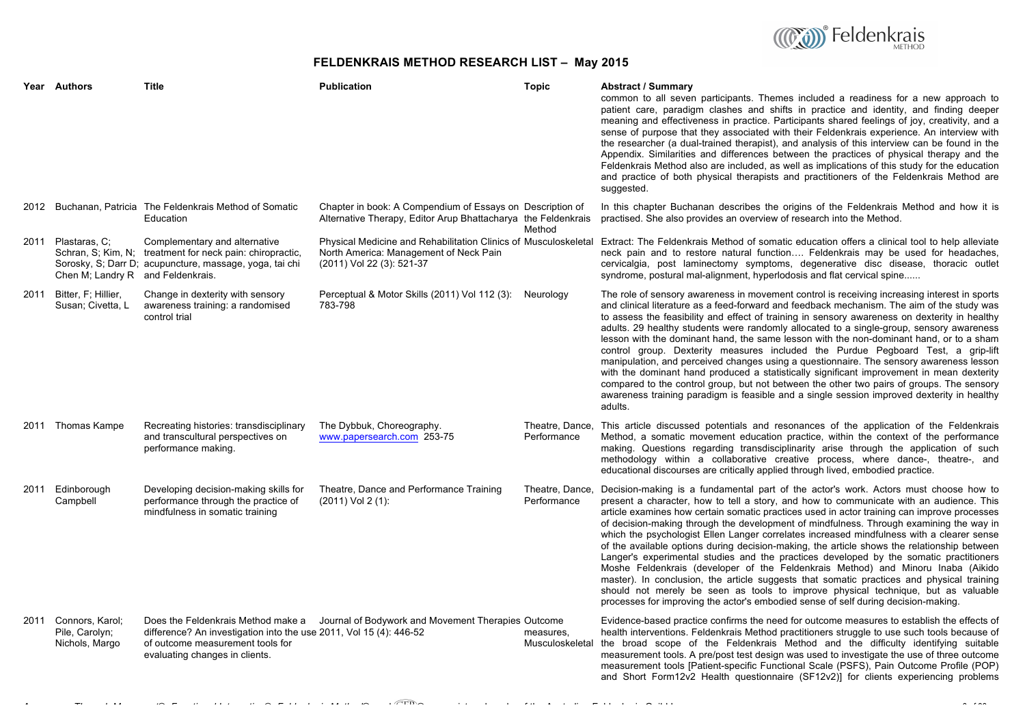

|      | Year Authors                                            | <b>Title</b>                                                                                                                                          | <b>Publication</b>                                                                                                         | <b>Topic</b> | <b>Abstract / Summary</b><br>common to all seven participants. Themes included a readiness for a new approach to<br>patient care, paradigm clashes and shifts in practice and identity, and finding deeper<br>meaning and effectiveness in practice. Participants shared feelings of joy, creativity, and a<br>sense of purpose that they associated with their Feldenkrais experience. An interview with<br>the researcher (a dual-trained therapist), and analysis of this interview can be found in the<br>Appendix. Similarities and differences between the practices of physical therapy and the<br>Feldenkrais Method also are included, as well as implications of this study for the education<br>and practice of both physical therapists and practitioners of the Feldenkrais Method are<br>suggested.                                                                                                                                                                                                                           |
|------|---------------------------------------------------------|-------------------------------------------------------------------------------------------------------------------------------------------------------|----------------------------------------------------------------------------------------------------------------------------|--------------|---------------------------------------------------------------------------------------------------------------------------------------------------------------------------------------------------------------------------------------------------------------------------------------------------------------------------------------------------------------------------------------------------------------------------------------------------------------------------------------------------------------------------------------------------------------------------------------------------------------------------------------------------------------------------------------------------------------------------------------------------------------------------------------------------------------------------------------------------------------------------------------------------------------------------------------------------------------------------------------------------------------------------------------------|
|      |                                                         | 2012 Buchanan, Patricia The Feldenkrais Method of Somatic<br>Education                                                                                | Chapter in book: A Compendium of Essays on Description of<br>Alternative Therapy, Editor Arup Bhattacharya the Feldenkrais | Method       | In this chapter Buchanan describes the origins of the Feldenkrais Method and how it is<br>practised. She also provides an overview of research into the Method.                                                                                                                                                                                                                                                                                                                                                                                                                                                                                                                                                                                                                                                                                                                                                                                                                                                                             |
|      | 2011 Plastaras, C;<br>Chen M; Landry R and Feldenkrais. | Complementary and alternative<br>Schran, S; Kim, N; treatment for neck pain: chiropractic,<br>Sorosky, S; Darr D; acupuncture, massage, yoga, tai chi | North America: Management of Neck Pain<br>(2011) Vol 22 (3): 521-37                                                        |              | Physical Medicine and Rehabilitation Clinics of Musculoskeletal Extract: The Feldenkrais Method of somatic education offers a clinical tool to help alleviate<br>neck pain and to restore natural function Feldenkrais may be used for headaches,<br>cervicalgia, post laminectomy symptoms, degenerative disc disease, thoracic outlet<br>syndrome, postural mal-alignment, hyperlodosis and flat cervical spine                                                                                                                                                                                                                                                                                                                                                                                                                                                                                                                                                                                                                           |
| 2011 | Bitter, F; Hillier,<br>Susan; Civetta, L                | Change in dexterity with sensory<br>awareness training: a randomised<br>control trial                                                                 | Perceptual & Motor Skills (2011) Vol 112 (3):<br>783-798                                                                   | Neurology    | The role of sensory awareness in movement control is receiving increasing interest in sports<br>and clinical literature as a feed-forward and feedback mechanism. The aim of the study was<br>to assess the feasibility and effect of training in sensory awareness on dexterity in healthy<br>adults. 29 healthy students were randomly allocated to a single-group, sensory awareness<br>lesson with the dominant hand, the same lesson with the non-dominant hand, or to a sham<br>control group. Dexterity measures included the Purdue Pegboard Test, a grip-lift<br>manipulation, and perceived changes using a questionnaire. The sensory awareness lesson<br>with the dominant hand produced a statistically significant improvement in mean dexterity<br>compared to the control group, but not between the other two pairs of groups. The sensory<br>awareness training paradigm is feasible and a single session improved dexterity in healthy<br>adults.                                                                        |
|      | 2011 Thomas Kampe                                       | Recreating histories: transdisciplinary<br>and transcultural perspectives on<br>performance making.                                                   | The Dybbuk, Choreography.<br>www.papersearch.com 253-75                                                                    | Performance  | Theatre, Dance, This article discussed potentials and resonances of the application of the Feldenkrais<br>Method, a somatic movement education practice, within the context of the performance<br>making. Questions regarding transdisciplinarity arise through the application of such<br>methodology within a collaborative creative process, where dance-, theatre-, and<br>educational discourses are critically applied through lived, embodied practice.                                                                                                                                                                                                                                                                                                                                                                                                                                                                                                                                                                              |
| 2011 | Edinborough<br>Campbell                                 | Developing decision-making skills for<br>performance through the practice of<br>mindfulness in somatic training                                       | Theatre, Dance and Performance Training<br>(2011) Vol 2 (1):                                                               | Performance  | Theatre, Dance, Decision-making is a fundamental part of the actor's work. Actors must choose how to<br>present a character, how to tell a story, and how to communicate with an audience. This<br>article examines how certain somatic practices used in actor training can improve processes<br>of decision-making through the development of mindfulness. Through examining the way in<br>which the psychologist Ellen Langer correlates increased mindfulness with a clearer sense<br>of the available options during decision-making, the article shows the relationship between<br>Langer's experimental studies and the practices developed by the somatic practitioners<br>Moshe Feldenkrais (developer of the Feldenkrais Method) and Minoru Inaba (Aikido<br>master). In conclusion, the article suggests that somatic practices and physical training<br>should not merely be seen as tools to improve physical technique, but as valuable<br>processes for improving the actor's embodied sense of self during decision-making. |
| 2011 | Connors, Karol;<br>Pile, Carolyn;<br>Nichols, Margo     | difference? An investigation into the use 2011, Vol 15 (4): 446-52<br>of outcome measurement tools for<br>evaluating changes in clients.              | Does the Feldenkrais Method make a Journal of Bodywork and Movement Therapies Outcome                                      | measures,    | Evidence-based practice confirms the need for outcome measures to establish the effects of<br>health interventions. Feldenkrais Method practitioners struggle to use such tools because of<br>Musculoskeletal the broad scope of the Feldenkrais Method and the difficulty identifying suitable<br>measurement tools. A pre/post test design was used to investigate the use of three outcome<br>measurement tools [Patient-specific Functional Scale (PSFS), Pain Outcome Profile (POP)<br>and Short Form12v2 Health questionnaire (SF12v2)] for clients experiencing problems                                                                                                                                                                                                                                                                                                                                                                                                                                                             |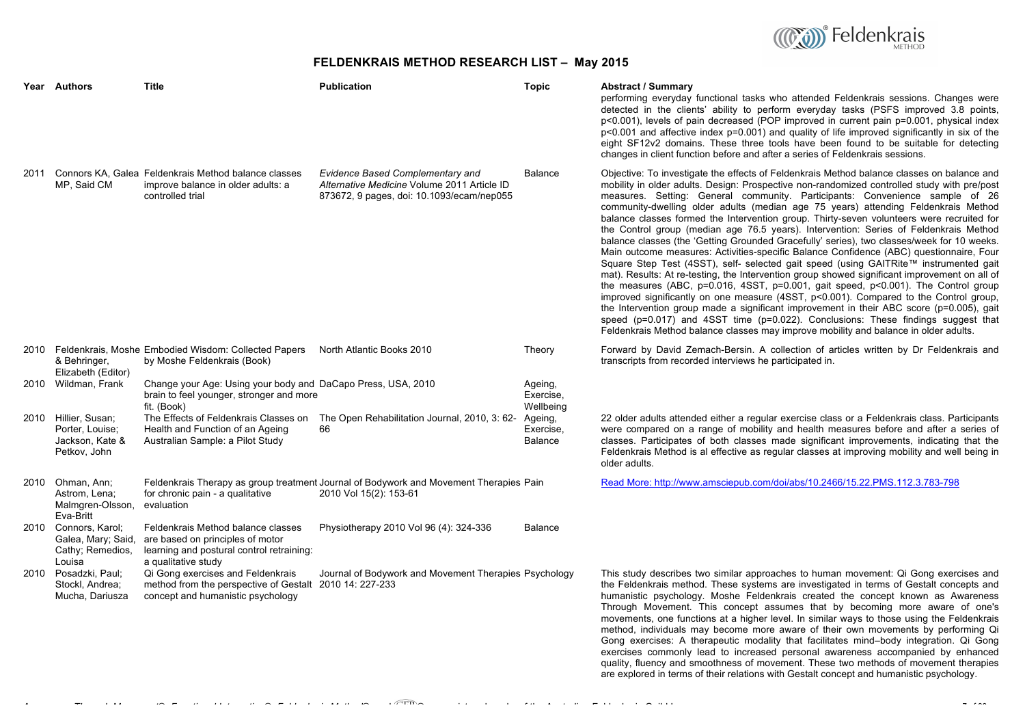

| Year Authors                                                               | <b>Title</b>                                                                                                                               | <b>Publication</b>                                                                                                                  | <b>Topic</b>                           | <b>Abstract / Summary</b><br>performing everyday functional tasks who attended Feldenkrais sessions. Changes were<br>detected in the clients' ability to perform everyday tasks (PSFS improved 3.8 points,<br>p<0.001), levels of pain decreased (POP improved in current pain p=0.001, physical index<br>p<0.001 and affective index p=0.001) and quality of life improved significantly in six of the<br>eight SF12v2 domains. These three tools have been found to be suitable for detecting<br>changes in client function before and after a series of Feldenkrais sessions.                                                                                                                                                                                                                                                                                                                                                                                                                                                                                                                                                                                                                                                                                                                                                                                                                    |
|----------------------------------------------------------------------------|--------------------------------------------------------------------------------------------------------------------------------------------|-------------------------------------------------------------------------------------------------------------------------------------|----------------------------------------|-----------------------------------------------------------------------------------------------------------------------------------------------------------------------------------------------------------------------------------------------------------------------------------------------------------------------------------------------------------------------------------------------------------------------------------------------------------------------------------------------------------------------------------------------------------------------------------------------------------------------------------------------------------------------------------------------------------------------------------------------------------------------------------------------------------------------------------------------------------------------------------------------------------------------------------------------------------------------------------------------------------------------------------------------------------------------------------------------------------------------------------------------------------------------------------------------------------------------------------------------------------------------------------------------------------------------------------------------------------------------------------------------------|
| MP, Said CM                                                                | 2011 Connors KA. Galea Feldenkrais Method balance classes<br>improve balance in older adults: a<br>controlled trial                        | <b>Evidence Based Complementary and</b><br>Alternative Medicine Volume 2011 Article ID<br>873672, 9 pages, doi: 10.1093/ecam/nep055 | <b>Balance</b>                         | Objective: To investigate the effects of Feldenkrais Method balance classes on balance and<br>mobility in older adults. Design: Prospective non-randomized controlled study with pre/post<br>measures. Setting: General community. Participants: Convenience sample of 26<br>community-dwelling older adults (median age 75 years) attending Feldenkrais Method<br>balance classes formed the Intervention group. Thirty-seven volunteers were recruited for<br>the Control group (median age 76.5 years). Intervention: Series of Feldenkrais Method<br>balance classes (the 'Getting Grounded Gracefully' series), two classes/week for 10 weeks.<br>Main outcome measures: Activities-specific Balance Confidence (ABC) questionnaire, Four<br>Square Step Test (4SST), self- selected gait speed (using GAITRite™ instrumented gait<br>mat). Results: At re-testing, the Intervention group showed significant improvement on all of<br>the measures (ABC, p=0.016, 4SST, p=0.001, gait speed, p<0.001). The Control group<br>improved significantly on one measure (4SST, p<0.001). Compared to the Control group,<br>the Intervention group made a significant improvement in their ABC score $(p=0.005)$ , gait<br>speed (p=0.017) and 4SST time (p=0.022). Conclusions: These findings suggest that<br>Feldenkrais Method balance classes may improve mobility and balance in older adults. |
| & Behringer,<br>Elizabeth (Editor)                                         | 2010 Feldenkrais, Moshe Embodied Wisdom: Collected Papers<br>by Moshe Feldenkrais (Book)                                                   | North Atlantic Books 2010                                                                                                           | Theory                                 | Forward by David Zemach-Bersin. A collection of articles written by Dr Feldenkrais and<br>transcripts from recorded interviews he participated in.                                                                                                                                                                                                                                                                                                                                                                                                                                                                                                                                                                                                                                                                                                                                                                                                                                                                                                                                                                                                                                                                                                                                                                                                                                                  |
| 2010 Wildman, Frank                                                        | Change your Age: Using your body and DaCapo Press, USA, 2010<br>brain to feel younger, stronger and more<br>fit. (Book)                    |                                                                                                                                     | Ageing,<br>Exercise,<br>Wellbeing      |                                                                                                                                                                                                                                                                                                                                                                                                                                                                                                                                                                                                                                                                                                                                                                                                                                                                                                                                                                                                                                                                                                                                                                                                                                                                                                                                                                                                     |
| 2010 Hillier, Susan;<br>Porter, Louise;<br>Jackson, Kate &<br>Petkov, John | The Effects of Feldenkrais Classes on<br>Health and Function of an Ageing<br>Australian Sample: a Pilot Study                              | The Open Rehabilitation Journal, 2010, 3:62-<br>66                                                                                  | Ageing,<br>Exercise,<br><b>Balance</b> | 22 older adults attended either a regular exercise class or a Feldenkrais class. Participants<br>were compared on a range of mobility and health measures before and after a series of<br>classes. Participates of both classes made significant improvements, indicating that the<br>Feldenkrais Method is al effective as regular classes at improving mobility and well being in<br>older adults.                                                                                                                                                                                                                                                                                                                                                                                                                                                                                                                                                                                                                                                                                                                                                                                                                                                                                                                                                                                                |
| 2010 Ohman, Ann;<br>Astrom, Lena;<br>Malmgren-Olsson,<br>Eva-Britt         | for chronic pain - a qualitative<br>evaluation                                                                                             | Feldenkrais Therapy as group treatment Journal of Bodywork and Movement Therapies Pain<br>2010 Vol 15(2): 153-61                    |                                        | Read More: http://www.amsciepub.com/doi/abs/10.2466/15.22.PMS.112.3.783-798                                                                                                                                                                                                                                                                                                                                                                                                                                                                                                                                                                                                                                                                                                                                                                                                                                                                                                                                                                                                                                                                                                                                                                                                                                                                                                                         |
| 2010 Connors, Karol;<br>Galea, Mary; Said,<br>Cathy; Remedios,<br>Louisa   | Feldenkrais Method balance classes<br>are based on principles of motor<br>learning and postural control retraining:<br>a qualitative study | Physiotherapy 2010 Vol 96 (4): 324-336                                                                                              | <b>Balance</b>                         |                                                                                                                                                                                                                                                                                                                                                                                                                                                                                                                                                                                                                                                                                                                                                                                                                                                                                                                                                                                                                                                                                                                                                                                                                                                                                                                                                                                                     |
| 2010 Posadzki, Paul;<br>Stockl, Andrea;<br>Mucha, Dariusza                 | Qi Gong exercises and Feldenkrais<br>method from the perspective of Gestalt 2010 14: 227-233<br>concept and humanistic psychology          | Journal of Bodywork and Movement Therapies Psychology                                                                               |                                        | This study describes two similar approaches to human movement: Qi Gong exercises and<br>the Feldenkrais method. These systems are investigated in terms of Gestalt concepts and<br>humanistic psychology. Moshe Feldenkrais created the concept known as Awareness<br>Through Movement. This concept assumes that by becoming more aware of one's<br>movements, one functions at a higher level. In similar ways to those using the Feldenkrais<br>method, individuals may become more aware of their own movements by performing Qi<br>Gong exercises: A therapeutic modality that facilitates mind-body integration. Qi Gong<br>exercises commonly lead to increased personal awareness accompanied by enhanced<br>quality, fluency and smoothness of movement. These two methods of movement therapies<br>are explored in terms of their relations with Gestalt concept and humanistic psychology.                                                                                                                                                                                                                                                                                                                                                                                                                                                                                               |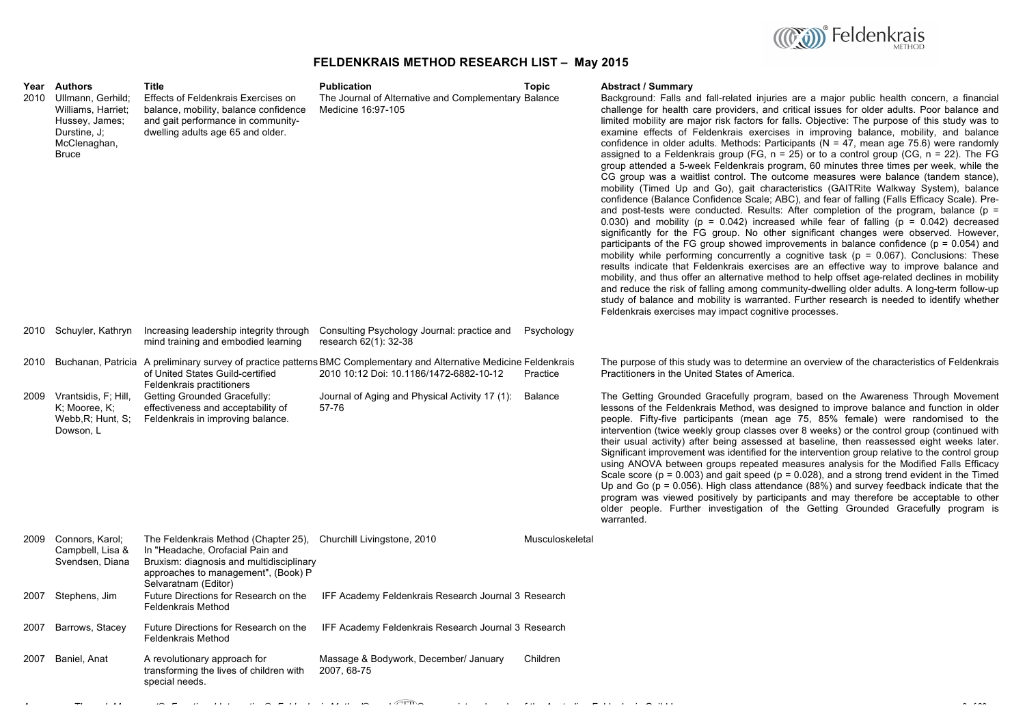

|      | Year Authors<br>2010 Ullmann, Gerhild;<br>Williams, Harriet;<br>Hussey, James;<br>Durstine, J;<br>McClenaghan,<br><b>Bruce</b> | Title<br>Effects of Feldenkrais Exercises on<br>balance, mobility, balance confidence<br>and gait performance in community-<br>dwelling adults age 65 and older.                                                | <b>Publication</b><br>The Journal of Alternative and Complementary Balance<br>Medicine 16:97-105                                                               | <b>Topic</b>    | <b>Abstract / Summary</b><br>Background: Falls and fall-related injuries are a major public health concern, a financial<br>challenge for health care providers, and critical issues for older adults. Poor balance and<br>limited mobility are major risk factors for falls. Objective: The purpose of this study was to<br>examine effects of Feldenkrais exercises in improving balance, mobility, and balance<br>confidence in older adults. Methods: Participants ( $N = 47$ , mean age 75.6) were randomly<br>assigned to a Feldenkrais group (FG, $n = 25$ ) or to a control group (CG, $n = 22$ ). The FG<br>group attended a 5-week Feldenkrais program, 60 minutes three times per week, while the<br>CG group was a waitlist control. The outcome measures were balance (tandem stance),<br>mobility (Timed Up and Go), gait characteristics (GAITRite Walkway System), balance<br>confidence (Balance Confidence Scale; ABC), and fear of falling (Falls Efficacy Scale). Pre-<br>and post-tests were conducted. Results: After completion of the program, balance ( $p =$<br>0.030) and mobility ( $p = 0.042$ ) increased while fear of falling ( $p = 0.042$ ) decreased<br>significantly for the FG group. No other significant changes were observed. However,<br>participants of the FG group showed improvements in balance confidence ( $p = 0.054$ ) and<br>mobility while performing concurrently a cognitive task ( $p = 0.067$ ). Conclusions: These<br>results indicate that Feldenkrais exercises are an effective way to improve balance and<br>mobility, and thus offer an alternative method to help offset age-related declines in mobility<br>and reduce the risk of falling among community-dwelling older adults. A long-term follow-up<br>study of balance and mobility is warranted. Further research is needed to identify whether<br>Feldenkrais exercises may impact cognitive processes. |
|------|--------------------------------------------------------------------------------------------------------------------------------|-----------------------------------------------------------------------------------------------------------------------------------------------------------------------------------------------------------------|----------------------------------------------------------------------------------------------------------------------------------------------------------------|-----------------|--------------------------------------------------------------------------------------------------------------------------------------------------------------------------------------------------------------------------------------------------------------------------------------------------------------------------------------------------------------------------------------------------------------------------------------------------------------------------------------------------------------------------------------------------------------------------------------------------------------------------------------------------------------------------------------------------------------------------------------------------------------------------------------------------------------------------------------------------------------------------------------------------------------------------------------------------------------------------------------------------------------------------------------------------------------------------------------------------------------------------------------------------------------------------------------------------------------------------------------------------------------------------------------------------------------------------------------------------------------------------------------------------------------------------------------------------------------------------------------------------------------------------------------------------------------------------------------------------------------------------------------------------------------------------------------------------------------------------------------------------------------------------------------------------------------------------------------------------------------------------------------------------------------------------------|
| 2010 |                                                                                                                                | Schuyler, Kathryn Increasing leadership integrity through<br>mind training and embodied learning                                                                                                                | Consulting Psychology Journal: practice and<br>research 62(1): 32-38                                                                                           | Psychology      |                                                                                                                                                                                                                                                                                                                                                                                                                                                                                                                                                                                                                                                                                                                                                                                                                                                                                                                                                                                                                                                                                                                                                                                                                                                                                                                                                                                                                                                                                                                                                                                                                                                                                                                                                                                                                                                                                                                                |
| 2010 |                                                                                                                                | of United States Guild-certified<br>Feldenkrais practitioners                                                                                                                                                   | Buchanan, Patricia A preliminary survey of practice patterns BMC Complementary and Alternative Medicine Feldenkrais<br>2010 10:12 Doi: 10.1186/1472-6882-10-12 | Practice        | The purpose of this study was to determine an overview of the characteristics of Feldenkrais<br>Practitioners in the United States of America.                                                                                                                                                                                                                                                                                                                                                                                                                                                                                                                                                                                                                                                                                                                                                                                                                                                                                                                                                                                                                                                                                                                                                                                                                                                                                                                                                                                                                                                                                                                                                                                                                                                                                                                                                                                 |
|      | 2009 Vrantsidis, F; Hill,<br>K; Mooree, K;<br>Webb, R; Hunt, S;<br>Dowson, L                                                   | Getting Grounded Gracefully:<br>effectiveness and acceptability of<br>Feldenkrais in improving balance.                                                                                                         | Journal of Aging and Physical Activity 17 (1):<br>57-76                                                                                                        | Balance         | The Getting Grounded Gracefully program, based on the Awareness Through Movement<br>lessons of the Feldenkrais Method, was designed to improve balance and function in older<br>people. Fifty-five participants (mean age 75, 85% female) were randomised to the<br>intervention (twice weekly group classes over 8 weeks) or the control group (continued with<br>their usual activity) after being assessed at baseline, then reassessed eight weeks later.<br>Significant improvement was identified for the intervention group relative to the control group<br>using ANOVA between groups repeated measures analysis for the Modified Falls Efficacy<br>Scale score ( $p = 0.003$ ) and gait speed ( $p = 0.028$ ), and a strong trend evident in the Timed<br>Up and Go ( $p = 0.056$ ). High class attendance (88%) and survey feedback indicate that the<br>program was viewed positively by participants and may therefore be acceptable to other<br>older people. Further investigation of the Getting Grounded Gracefully program is<br>warranted.                                                                                                                                                                                                                                                                                                                                                                                                                                                                                                                                                                                                                                                                                                                                                                                                                                                                  |
| 2009 | Connors, Karol;<br>Campbell, Lisa &<br>Svendsen, Diana                                                                         | The Feldenkrais Method (Chapter 25), Churchill Livingstone, 2010<br>In "Headache, Orofacial Pain and<br>Bruxism: diagnosis and multidisciplinary<br>approaches to management", (Book) P<br>Selvaratnam (Editor) |                                                                                                                                                                | Musculoskeletal |                                                                                                                                                                                                                                                                                                                                                                                                                                                                                                                                                                                                                                                                                                                                                                                                                                                                                                                                                                                                                                                                                                                                                                                                                                                                                                                                                                                                                                                                                                                                                                                                                                                                                                                                                                                                                                                                                                                                |
| 2007 | Stephens, Jim                                                                                                                  | Future Directions for Research on the<br><b>Feldenkrais Method</b>                                                                                                                                              | IFF Academy Feldenkrais Research Journal 3 Research                                                                                                            |                 |                                                                                                                                                                                                                                                                                                                                                                                                                                                                                                                                                                                                                                                                                                                                                                                                                                                                                                                                                                                                                                                                                                                                                                                                                                                                                                                                                                                                                                                                                                                                                                                                                                                                                                                                                                                                                                                                                                                                |
| 2007 | Barrows, Stacey                                                                                                                | Future Directions for Research on the<br><b>Feldenkrais Method</b>                                                                                                                                              | IFF Academy Feldenkrais Research Journal 3 Research                                                                                                            |                 |                                                                                                                                                                                                                                                                                                                                                                                                                                                                                                                                                                                                                                                                                                                                                                                                                                                                                                                                                                                                                                                                                                                                                                                                                                                                                                                                                                                                                                                                                                                                                                                                                                                                                                                                                                                                                                                                                                                                |
| 2007 | Baniel, Anat                                                                                                                   | A revolutionary approach for<br>transforming the lives of children with<br>special needs.                                                                                                                       | Massage & Bodywork, December/ January<br>2007, 68-75                                                                                                           | Children        |                                                                                                                                                                                                                                                                                                                                                                                                                                                                                                                                                                                                                                                                                                                                                                                                                                                                                                                                                                                                                                                                                                                                                                                                                                                                                                                                                                                                                                                                                                                                                                                                                                                                                                                                                                                                                                                                                                                                |
|      |                                                                                                                                |                                                                                                                                                                                                                 | . $\widehat{\mathcal{C}}$ to $\widehat{\mathcal{C}}$                                                                                                           |                 |                                                                                                                                                                                                                                                                                                                                                                                                                                                                                                                                                                                                                                                                                                                                                                                                                                                                                                                                                                                                                                                                                                                                                                                                                                                                                                                                                                                                                                                                                                                                                                                                                                                                                                                                                                                                                                                                                                                                |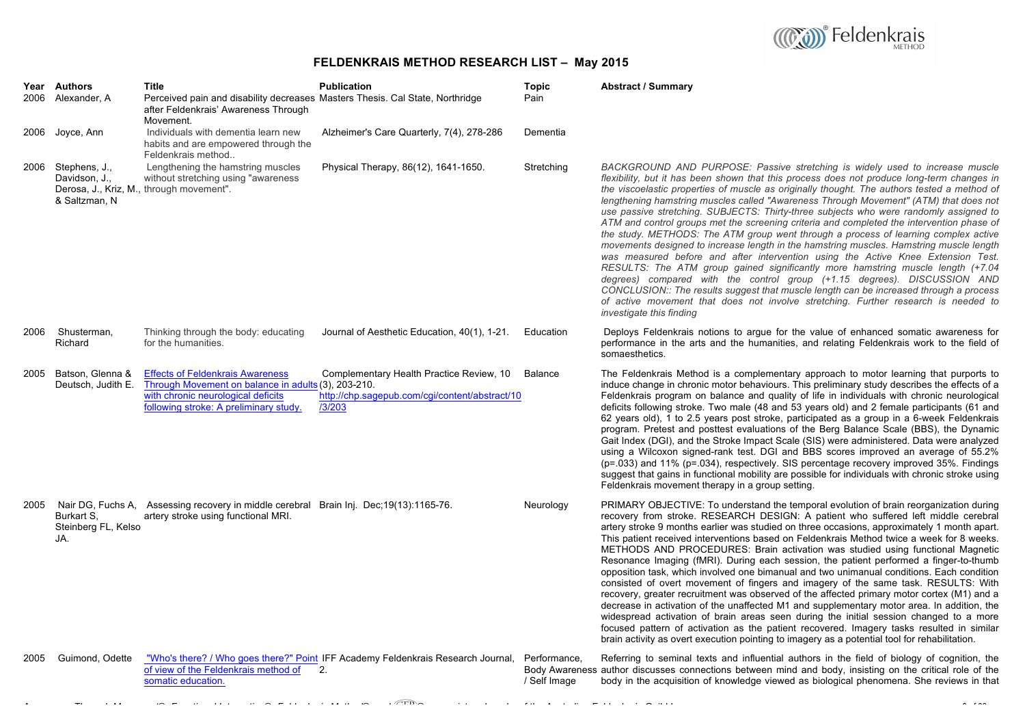

|      | Year Authors<br>2006 Alexander, A               | <b>Title</b><br>Perceived pain and disability decreases Masters Thesis. Cal State, Northridge<br>after Feldenkrais' Awareness Through<br>Movement.                             | <b>Publication</b>                                                                                   | <b>Topic</b><br>Pain         | <b>Abstract / Summary</b>                                                                                                                                                                                                                                                                                                                                                                                                                                                                                                                                                                                                                                                                                                                                                                                                                                                                                                                                                                                                                                                                                                                                                                                                   |
|------|-------------------------------------------------|--------------------------------------------------------------------------------------------------------------------------------------------------------------------------------|------------------------------------------------------------------------------------------------------|------------------------------|-----------------------------------------------------------------------------------------------------------------------------------------------------------------------------------------------------------------------------------------------------------------------------------------------------------------------------------------------------------------------------------------------------------------------------------------------------------------------------------------------------------------------------------------------------------------------------------------------------------------------------------------------------------------------------------------------------------------------------------------------------------------------------------------------------------------------------------------------------------------------------------------------------------------------------------------------------------------------------------------------------------------------------------------------------------------------------------------------------------------------------------------------------------------------------------------------------------------------------|
| 2006 | Joyce, Ann                                      | Individuals with dementia learn new<br>habits and are empowered through the<br>Feldenkrais method                                                                              | Alzheimer's Care Quarterly, 7(4), 278-286                                                            | Dementia                     |                                                                                                                                                                                                                                                                                                                                                                                                                                                                                                                                                                                                                                                                                                                                                                                                                                                                                                                                                                                                                                                                                                                                                                                                                             |
| 2006 | Stephens, J.,<br>Davidson, J.,<br>& Saltzman, N | Lengthening the hamstring muscles<br>without stretching using "awareness"<br>Derosa, J., Kriz, M., through movement".                                                          | Physical Therapy, 86(12), 1641-1650.                                                                 | Stretching                   | BACKGROUND AND PURPOSE: Passive stretching is widely used to increase muscle<br>flexibility, but it has been shown that this process does not produce long-term changes in<br>the viscoelastic properties of muscle as originally thought. The authors tested a method of<br>lengthening hamstring muscles called "Awareness Through Movement" (ATM) that does not<br>use passive stretching. SUBJECTS: Thirty-three subjects who were randomly assigned to<br>ATM and control groups met the screening criteria and completed the intervention phase of<br>the study. METHODS: The ATM group went through a process of learning complex active<br>movements designed to increase length in the hamstring muscles. Hamstring muscle length<br>was measured before and after intervention using the Active Knee Extension Test.<br>RESULTS: The ATM group gained significantly more hamstring muscle length (+7.04<br>degrees) compared with the control group (+1.15 degrees). DISCUSSION AND<br>CONCLUSION:: The results suggest that muscle length can be increased through a process<br>of active movement that does not involve stretching. Further research is needed to<br>investigate this finding                   |
| 2006 | Shusterman,<br>Richard                          | Thinking through the body: educating<br>for the humanities.                                                                                                                    | Journal of Aesthetic Education, 40(1), 1-21.                                                         | Education                    | Deploys Feldenkrais notions to argue for the value of enhanced somatic awareness for<br>performance in the arts and the humanities, and relating Feldenkrais work to the field of<br>somaesthetics.                                                                                                                                                                                                                                                                                                                                                                                                                                                                                                                                                                                                                                                                                                                                                                                                                                                                                                                                                                                                                         |
| 2005 | Batson, Glenna &<br>Deutsch, Judith E.          | <b>Effects of Feldenkrais Awareness</b><br>Through Movement on balance in adults (3), 203-210.<br>with chronic neurological deficits<br>following stroke: A preliminary study. | Complementary Health Practice Review, 10<br>http://chp.sagepub.com/cgi/content/abstract/10<br>13/203 | <b>Balance</b>               | The Feldenkrais Method is a complementary approach to motor learning that purports to<br>induce change in chronic motor behaviours. This preliminary study describes the effects of a<br>Feldenkrais program on balance and quality of life in individuals with chronic neurological<br>deficits following stroke. Two male (48 and 53 years old) and 2 female participants (61 and<br>62 years old), 1 to 2.5 years post stroke, participated as a group in a 6-week Feldenkrais<br>program. Pretest and posttest evaluations of the Berg Balance Scale (BBS), the Dynamic<br>Gait Index (DGI), and the Stroke Impact Scale (SIS) were administered. Data were analyzed<br>using a Wilcoxon signed-rank test. DGI and BBS scores improved an average of 55.2%<br>(p=.033) and 11% (p=.034), respectively. SIS percentage recovery improved 35%. Findings<br>suggest that gains in functional mobility are possible for individuals with chronic stroke using<br>Feldenkrais movement therapy in a group setting.                                                                                                                                                                                                           |
| 2005 | Burkart S.<br>Steinberg FL, Kelso<br>JA.        | Nair DG, Fuchs A, Assessing recovery in middle cerebral Brain Inj. Dec; 19(13): 1165-76.<br>artery stroke using functional MRI.                                                |                                                                                                      | Neurology                    | PRIMARY OBJECTIVE: To understand the temporal evolution of brain reorganization during<br>recovery from stroke. RESEARCH DESIGN: A patient who suffered left middle cerebral<br>artery stroke 9 months earlier was studied on three occasions, approximately 1 month apart.<br>This patient received interventions based on Feldenkrais Method twice a week for 8 weeks.<br>METHODS AND PROCEDURES: Brain activation was studied using functional Magnetic<br>Resonance Imaging (fMRI). During each session, the patient performed a finger-to-thumb<br>opposition task, which involved one bimanual and two unimanual conditions. Each condition<br>consisted of overt movement of fingers and imagery of the same task. RESULTS: With<br>recovery, greater recruitment was observed of the affected primary motor cortex (M1) and a<br>decrease in activation of the unaffected M1 and supplementary motor area. In addition, the<br>widespread activation of brain areas seen during the initial session changed to a more<br>focused pattern of activation as the patient recovered. Imagery tasks resulted in similar<br>brain activity as overt execution pointing to imagery as a potential tool for rehabilitation. |
| 2005 | Guimond, Odette                                 | of view of the Feldenkrais method of 2.<br>somatic education.                                                                                                                  | "Who's there? / Who goes there?" Point IFF Academy Feldenkrais Research Journal,                     | Performance,<br>/ Self Image | Referring to seminal texts and influential authors in the field of biology of cognition, the<br>Body Awareness author discusses connections between mind and body, insisting on the critical role of the<br>body in the acquisition of knowledge viewed as biological phenomena. She reviews in that                                                                                                                                                                                                                                                                                                                                                                                                                                                                                                                                                                                                                                                                                                                                                                                                                                                                                                                        |

*Awareness Through Movement*®, *Functional Integration*®, *Feldenkrais Method*®, and ® are registered marks of the Australian Feldenkrais Guild Inc. 9 of 33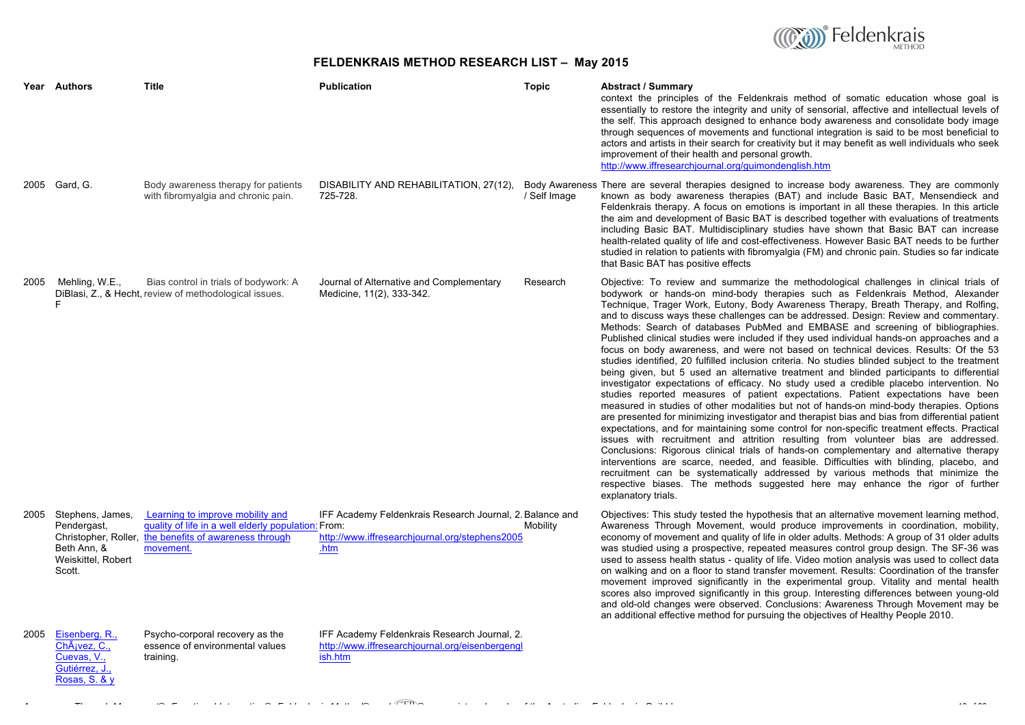

|      | Year Authors                                                                        | <b>Title</b>                                                                                                                                                   | <b>Publication</b>                                                                                                 | <b>Topic</b> | <b>Abstract / Summary</b><br>context the principles of the Feldenkrais method of somatic education whose goal is<br>essentially to restore the integrity and unity of sensorial, affective and intellectual levels of<br>the self. This approach designed to enhance body awareness and consolidate body image<br>through sequences of movements and functional integration is said to be most beneficial to<br>actors and artists in their search for creativity but it may benefit as well individuals who seek<br>improvement of their health and personal growth.<br>http://www.iffresearchjournal.org/guimondenglish.htm                                                                                                                                                                                                                                                                                                                                                                                                                                                                                                                                                                                                                                                                                                                                                                                                                                                                                                                                                                                                                                                                                                                                                                 |
|------|-------------------------------------------------------------------------------------|----------------------------------------------------------------------------------------------------------------------------------------------------------------|--------------------------------------------------------------------------------------------------------------------|--------------|-----------------------------------------------------------------------------------------------------------------------------------------------------------------------------------------------------------------------------------------------------------------------------------------------------------------------------------------------------------------------------------------------------------------------------------------------------------------------------------------------------------------------------------------------------------------------------------------------------------------------------------------------------------------------------------------------------------------------------------------------------------------------------------------------------------------------------------------------------------------------------------------------------------------------------------------------------------------------------------------------------------------------------------------------------------------------------------------------------------------------------------------------------------------------------------------------------------------------------------------------------------------------------------------------------------------------------------------------------------------------------------------------------------------------------------------------------------------------------------------------------------------------------------------------------------------------------------------------------------------------------------------------------------------------------------------------------------------------------------------------------------------------------------------------|
|      | 2005 Gard, G.                                                                       | Body awareness therapy for patients<br>with fibromyalgia and chronic pain.                                                                                     | DISABILITY AND REHABILITATION, 27(12),<br>725-728.                                                                 | / Self Image | Body Awareness There are several therapies designed to increase body awareness. They are commonly<br>known as body awareness therapies (BAT) and include Basic BAT, Mensendieck and<br>Feldenkrais therapy. A focus on emotions is important in all these therapies. In this article<br>the aim and development of Basic BAT is described together with evaluations of treatments<br>including Basic BAT. Multidisciplinary studies have shown that Basic BAT can increase<br>health-related quality of life and cost-effectiveness. However Basic BAT needs to be further<br>studied in relation to patients with fibromyalgia (FM) and chronic pain. Studies so far indicate<br>that Basic BAT has positive effects                                                                                                                                                                                                                                                                                                                                                                                                                                                                                                                                                                                                                                                                                                                                                                                                                                                                                                                                                                                                                                                                         |
| 2005 | Mehling, W.E.<br>F.                                                                 | Bias control in trials of bodywork: A<br>DiBlasi, Z., & Hecht, review of methodological issues.                                                                | Journal of Alternative and Complementary<br>Medicine, 11(2), 333-342.                                              | Research     | Objective: To review and summarize the methodological challenges in clinical trials of<br>bodywork or hands-on mind-body therapies such as Feldenkrais Method, Alexander<br>Technique, Trager Work, Eutony, Body Awareness Therapy, Breath Therapy, and Rolfing,<br>and to discuss ways these challenges can be addressed. Design: Review and commentary.<br>Methods: Search of databases PubMed and EMBASE and screening of bibliographies.<br>Published clinical studies were included if they used individual hands-on approaches and a<br>focus on body awareness, and were not based on technical devices. Results: Of the 53<br>studies identified, 20 fulfilled inclusion criteria. No studies blinded subject to the treatment<br>being given, but 5 used an alternative treatment and blinded participants to differential<br>investigator expectations of efficacy. No study used a credible placebo intervention. No<br>studies reported measures of patient expectations. Patient expectations have been<br>measured in studies of other modalities but not of hands-on mind-body therapies. Options<br>are presented for minimizing investigator and therapist bias and bias from differential patient<br>expectations, and for maintaining some control for non-specific treatment effects. Practical<br>issues with recruitment and attrition resulting from volunteer bias are addressed.<br>Conclusions: Rigorous clinical trials of hands-on complementary and alternative therapy<br>interventions are scarce, needed, and feasible. Difficulties with blinding, placebo, and<br>recruitment can be systematically addressed by various methods that minimize the<br>respective biases. The methods suggested here may enhance the rigor of further<br>explanatory trials. |
|      | 2005 Stephens, James,<br>Pendergast,<br>Beth Ann, &<br>Weiskittel, Robert<br>Scott. | Learning to improve mobility and<br>quality of life in a well elderly population: From:<br>Christopher, Roller, the benefits of awareness through<br>movement. | IFF Academy Feldenkrais Research Journal, 2. Balance and<br>http://www.iffresearchjournal.org/stephens2005<br>.htm | Mobility     | Objectives: This study tested the hypothesis that an alternative movement learning method,<br>Awareness Through Movement, would produce improvements in coordination, mobility,<br>economy of movement and quality of life in older adults. Methods: A group of 31 older adults<br>was studied using a prospective, repeated measures control group design. The SF-36 was<br>used to assess health status - quality of life. Video motion analysis was used to collect data<br>on walking and on a floor to stand transfer movement. Results: Coordination of the transfer<br>movement improved significantly in the experimental group. Vitality and mental health<br>scores also improved significantly in this group. Interesting differences between young-old<br>and old-old changes were observed. Conclusions: Awareness Through Movement may be<br>an additional effective method for pursuing the objectives of Healthy People 2010.                                                                                                                                                                                                                                                                                                                                                                                                                                                                                                                                                                                                                                                                                                                                                                                                                                                 |
| 2005 | Eisenberg, R.,<br>ChÂjvez, C.,<br>Cuevas, V.,<br>Gutiérrez, J.,<br>Rosas, $S. & v$  | Psycho-corporal recovery as the<br>essence of environmental values<br>training.                                                                                | IFF Academy Feldenkrais Research Journal, 2.<br>http://www.iffresearchjournal.org/eisenbergengl<br>ish.htm         |              |                                                                                                                                                                                                                                                                                                                                                                                                                                                                                                                                                                                                                                                                                                                                                                                                                                                                                                                                                                                                                                                                                                                                                                                                                                                                                                                                                                                                                                                                                                                                                                                                                                                                                                                                                                                               |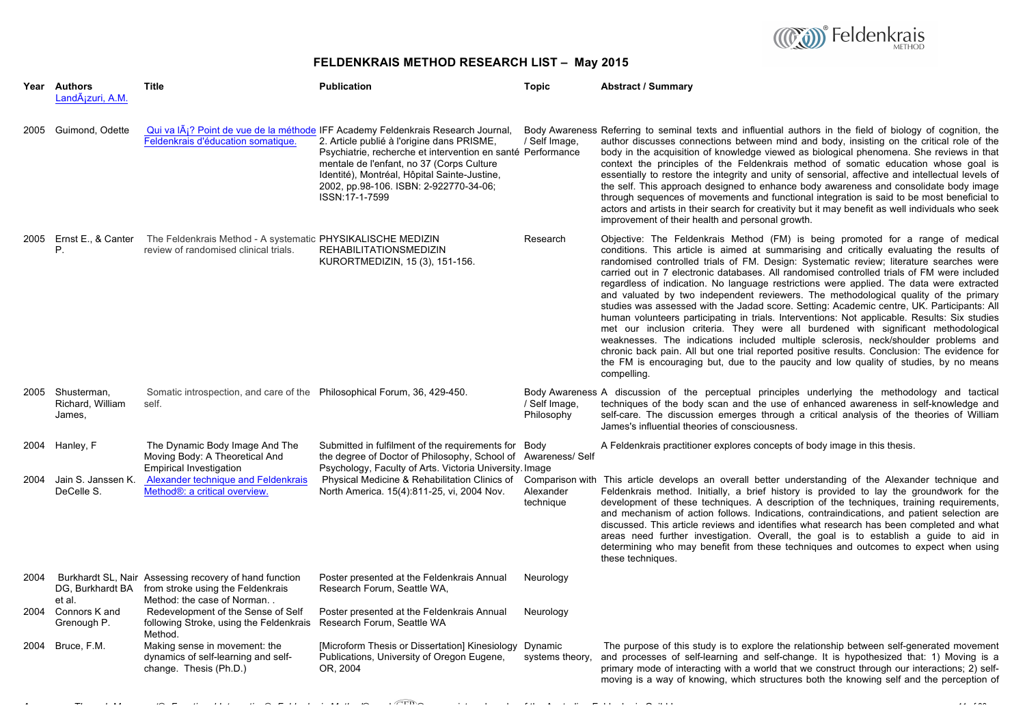

|      | Year Authors<br>LandA <sub>i</sub> zuri, A.M.  | <b>Title</b>                                                                                                                               | <b>Publication</b>                                                                                                                                                                                                                                                                                                                                                | <b>Topic</b>                              | <b>Abstract / Summary</b>                                                                                                                                                                                                                                                                                                                                                                                                                                                                                                                                                                                                                                                                                                                                                                                                                                                                                                                                                                                                                                                                                                                      |
|------|------------------------------------------------|--------------------------------------------------------------------------------------------------------------------------------------------|-------------------------------------------------------------------------------------------------------------------------------------------------------------------------------------------------------------------------------------------------------------------------------------------------------------------------------------------------------------------|-------------------------------------------|------------------------------------------------------------------------------------------------------------------------------------------------------------------------------------------------------------------------------------------------------------------------------------------------------------------------------------------------------------------------------------------------------------------------------------------------------------------------------------------------------------------------------------------------------------------------------------------------------------------------------------------------------------------------------------------------------------------------------------------------------------------------------------------------------------------------------------------------------------------------------------------------------------------------------------------------------------------------------------------------------------------------------------------------------------------------------------------------------------------------------------------------|
|      | 2005 Guimond, Odette                           | Feldenkrais d'éducation somatique.                                                                                                         | Qui va I $\tilde{A}$ ? Point de vue de la méthode IFF Academy Feldenkrais Research Journal,<br>2. Article publié à l'origine dans PRISME,<br>Psychiatrie, recherche et intervention en santé Performance<br>mentale de l'enfant, no 37 (Corps Culture<br>Identité), Montréal, Hôpital Sainte-Justine,<br>2002, pp.98-106. ISBN: 2-922770-34-06;<br>ISSN:17-1-7599 | / Self Image,                             | Body Awareness Referring to seminal texts and influential authors in the field of biology of cognition, the<br>author discusses connections between mind and body, insisting on the critical role of the<br>body in the acquisition of knowledge viewed as biological phenomena. She reviews in that<br>context the principles of the Feldenkrais method of somatic education whose goal is<br>essentially to restore the integrity and unity of sensorial, affective and intellectual levels of<br>the self. This approach designed to enhance body awareness and consolidate body image<br>through sequences of movements and functional integration is said to be most beneficial to<br>actors and artists in their search for creativity but it may benefit as well individuals who seek<br>improvement of their health and personal growth.                                                                                                                                                                                                                                                                                               |
|      | P.                                             | 2005 Ernst E., & Canter The Feldenkrais Method - A systematic PHYSIKALISCHE MEDIZIN<br>review of randomised clinical trials.               | <b>REHABILITATIONSMEDIZIN</b><br>KURORTMEDIZIN, 15 (3), 151-156.                                                                                                                                                                                                                                                                                                  | Research                                  | Objective: The Feldenkrais Method (FM) is being promoted for a range of medical<br>conditions. This article is aimed at summarising and critically evaluating the results of<br>randomised controlled trials of FM. Design: Systematic review; literature searches were<br>carried out in 7 electronic databases. All randomised controlled trials of FM were included<br>regardless of indication. No language restrictions were applied. The data were extracted<br>and valuated by two independent reviewers. The methodological quality of the primary<br>studies was assessed with the Jadad score. Setting: Academic centre, UK. Participants: All<br>human volunteers participating in trials. Interventions: Not applicable. Results: Six studies<br>met our inclusion criteria. They were all burdened with significant methodological<br>weaknesses. The indications included multiple sclerosis, neck/shoulder problems and<br>chronic back pain. All but one trial reported positive results. Conclusion: The evidence for<br>the FM is encouraging but, due to the paucity and low quality of studies, by no means<br>compelling. |
|      | 2005 Shusterman.<br>Richard, William<br>James, | Somatic introspection, and care of the Philosophical Forum, 36, 429-450.<br>self.                                                          |                                                                                                                                                                                                                                                                                                                                                                   | / Self Image,<br>Philosophy               | Body Awareness A discussion of the perceptual principles underlying the methodology and tactical<br>techniques of the body scan and the use of enhanced awareness in self-knowledge and<br>self-care. The discussion emerges through a critical analysis of the theories of William<br>James's influential theories of consciousness.                                                                                                                                                                                                                                                                                                                                                                                                                                                                                                                                                                                                                                                                                                                                                                                                          |
|      | 2004 Hanley, F                                 | The Dynamic Body Image And The<br>Moving Body: A Theoretical And<br><b>Empirical Investigation</b>                                         | Submitted in fulfilment of the requirements for<br>the degree of Doctor of Philosophy, School of Awareness/Self<br>Psychology, Faculty of Arts. Victoria University. Image                                                                                                                                                                                        | Bodv                                      | A Feldenkrais practitioner explores concepts of body image in this thesis.                                                                                                                                                                                                                                                                                                                                                                                                                                                                                                                                                                                                                                                                                                                                                                                                                                                                                                                                                                                                                                                                     |
| 2004 | Jain S. Janssen K.<br>DeCelle S.               | Alexander technique and Feldenkrais<br>Method®: a critical overview.                                                                       | Physical Medicine & Rehabilitation Clinics of<br>North America. 15(4):811-25, vi, 2004 Nov.                                                                                                                                                                                                                                                                       | Comparison with<br>Alexander<br>technique | This article develops an overall better understanding of the Alexander technique and<br>Feldenkrais method. Initially, a brief history is provided to lay the groundwork for the<br>development of these techniques. A description of the techniques, training requirements,<br>and mechanism of action follows. Indications, contraindications, and patient selection are<br>discussed. This article reviews and identifies what research has been completed and what<br>areas need further investigation. Overall, the goal is to establish a guide to aid in<br>determining who may benefit from these techniques and outcomes to expect when using<br>these techniques.                                                                                                                                                                                                                                                                                                                                                                                                                                                                    |
| 2004 | et al.                                         | Burkhardt SL, Nair Assessing recovery of hand function<br>DG, Burkhardt BA from stroke using the Feldenkrais<br>Method: the case of Norman | Poster presented at the Feldenkrais Annual<br>Research Forum, Seattle WA,                                                                                                                                                                                                                                                                                         | Neurology                                 |                                                                                                                                                                                                                                                                                                                                                                                                                                                                                                                                                                                                                                                                                                                                                                                                                                                                                                                                                                                                                                                                                                                                                |
|      | 2004 Connors K and<br>Grenough P.              | Redevelopment of the Sense of Self<br>following Stroke, using the Feldenkrais Research Forum, Seattle WA<br>Method.                        | Poster presented at the Feldenkrais Annual                                                                                                                                                                                                                                                                                                                        | Neurology                                 |                                                                                                                                                                                                                                                                                                                                                                                                                                                                                                                                                                                                                                                                                                                                                                                                                                                                                                                                                                                                                                                                                                                                                |
|      | 2004 Bruce, F.M.                               | Making sense in movement: the<br>dynamics of self-learning and self-<br>change. Thesis (Ph.D.)                                             | [Microform Thesis or Dissertation] Kinesiology<br>Publications, University of Oregon Eugene,<br>OR, 2004                                                                                                                                                                                                                                                          | Dynamic<br>systems theory,                | The purpose of this study is to explore the relationship between self-generated movement<br>and processes of self-learning and self-change. It is hypothesized that: 1) Moving is a<br>primary mode of interacting with a world that we construct through our interactions; 2) self-<br>moving is a way of knowing, which structures both the knowing self and the perception of                                                                                                                                                                                                                                                                                                                                                                                                                                                                                                                                                                                                                                                                                                                                                               |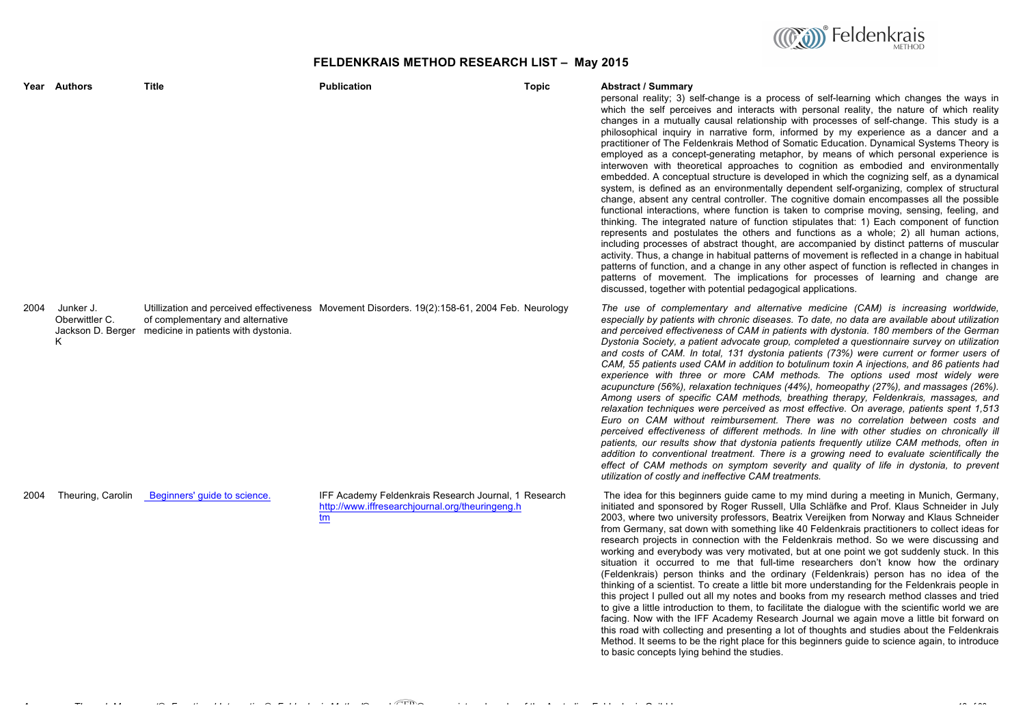

|      | Year Authors                                               | <b>Title</b>                                                            | <b>Publication</b>                                                                                            | <b>Topic</b> | <b>Abstract / Summary</b><br>personal reality; 3) self-change is a process of self-learning which changes the ways in<br>which the self perceives and interacts with personal reality, the nature of which reality<br>changes in a mutually causal relationship with processes of self-change. This study is a<br>philosophical inquiry in narrative form, informed by my experience as a dancer and a<br>practitioner of The Feldenkrais Method of Somatic Education. Dynamical Systems Theory is<br>employed as a concept-generating metaphor, by means of which personal experience is<br>interwoven with theoretical approaches to cognition as embodied and environmentally<br>embedded. A conceptual structure is developed in which the cognizing self, as a dynamical<br>system, is defined as an environmentally dependent self-organizing, complex of structural<br>change, absent any central controller. The cognitive domain encompasses all the possible<br>functional interactions, where function is taken to comprise moving, sensing, feeling, and<br>thinking. The integrated nature of function stipulates that: 1) Each component of function<br>represents and postulates the others and functions as a whole; 2) all human actions,<br>including processes of abstract thought, are accompanied by distinct patterns of muscular<br>activity. Thus, a change in habitual patterns of movement is reflected in a change in habitual<br>patterns of function, and a change in any other aspect of function is reflected in changes in<br>patterns of movement. The implications for processes of learning and change are<br>discussed, together with potential pedagogical applications. |
|------|------------------------------------------------------------|-------------------------------------------------------------------------|---------------------------------------------------------------------------------------------------------------|--------------|---------------------------------------------------------------------------------------------------------------------------------------------------------------------------------------------------------------------------------------------------------------------------------------------------------------------------------------------------------------------------------------------------------------------------------------------------------------------------------------------------------------------------------------------------------------------------------------------------------------------------------------------------------------------------------------------------------------------------------------------------------------------------------------------------------------------------------------------------------------------------------------------------------------------------------------------------------------------------------------------------------------------------------------------------------------------------------------------------------------------------------------------------------------------------------------------------------------------------------------------------------------------------------------------------------------------------------------------------------------------------------------------------------------------------------------------------------------------------------------------------------------------------------------------------------------------------------------------------------------------------------------------------------------------------------------------------------------|
|      | 2004 Junker J.<br>Oberwittler C.<br>Jackson D. Berger<br>K | of complementary and alternative<br>medicine in patients with dystonia. | Utillization and perceived effectiveness Movement Disorders. 19(2):158-61, 2004 Feb. Neurology                |              | The use of complementary and alternative medicine (CAM) is increasing worldwide,<br>especially by patients with chronic diseases. To date, no data are available about utilization<br>and perceived effectiveness of CAM in patients with dystonia. 180 members of the German<br>Dystonia Society, a patient advocate group, completed a questionnaire survey on utilization<br>and costs of CAM. In total, 131 dystonia patients (73%) were current or former users of<br>CAM, 55 patients used CAM in addition to botulinum toxin A injections, and 86 patients had<br>experience with three or more CAM methods. The options used most widely were<br>acupuncture (56%), relaxation techniques (44%), homeopathy (27%), and massages (26%).<br>Among users of specific CAM methods, breathing therapy, Feldenkrais, massages, and<br>relaxation techniques were perceived as most effective. On average, patients spent 1,513<br>Euro on CAM without reimbursement. There was no correlation between costs and<br>perceived effectiveness of different methods. In line with other studies on chronically ill<br>patients, our results show that dystonia patients frequently utilize CAM methods, often in<br>addition to conventional treatment. There is a growing need to evaluate scientifically the<br>effect of CAM methods on symptom severity and quality of life in dystonia, to prevent<br>utilization of costly and ineffective CAM treatments.                                                                                                                                                                                                                                                |
| 2004 | Theuring, Carolin                                          | Beginners' guide to science.                                            | IFF Academy Feldenkrais Research Journal, 1 Research<br>http://www.iffresearchjournal.org/theuringeng.h<br>tm |              | The idea for this beginners guide came to my mind during a meeting in Munich, Germany,<br>initiated and sponsored by Roger Russell, Ulla Schläfke and Prof. Klaus Schneider in July<br>2003, where two university professors, Beatrix Vereijken from Norway and Klaus Schneider<br>from Germany, sat down with something like 40 Feldenkrais practitioners to collect ideas for<br>research projects in connection with the Feldenkrais method. So we were discussing and<br>working and everybody was very motivated, but at one point we got suddenly stuck. In this<br>situation it occurred to me that full-time researchers don't know how the ordinary<br>(Feldenkrais) person thinks and the ordinary (Feldenkrais) person has no idea of the<br>thinking of a scientist. To create a little bit more understanding for the Feldenkrais people in<br>this project I pulled out all my notes and books from my research method classes and tried<br>to give a little introduction to them, to facilitate the dialogue with the scientific world we are<br>facing. Now with the IFF Academy Research Journal we again move a little bit forward on<br>this road with collecting and presenting a lot of thoughts and studies about the Feldenkrais<br>Method. It seems to be the right place for this beginners guide to science again, to introduce<br>to basic concepts lying behind the studies.                                                                                                                                                                                                                                                                                                      |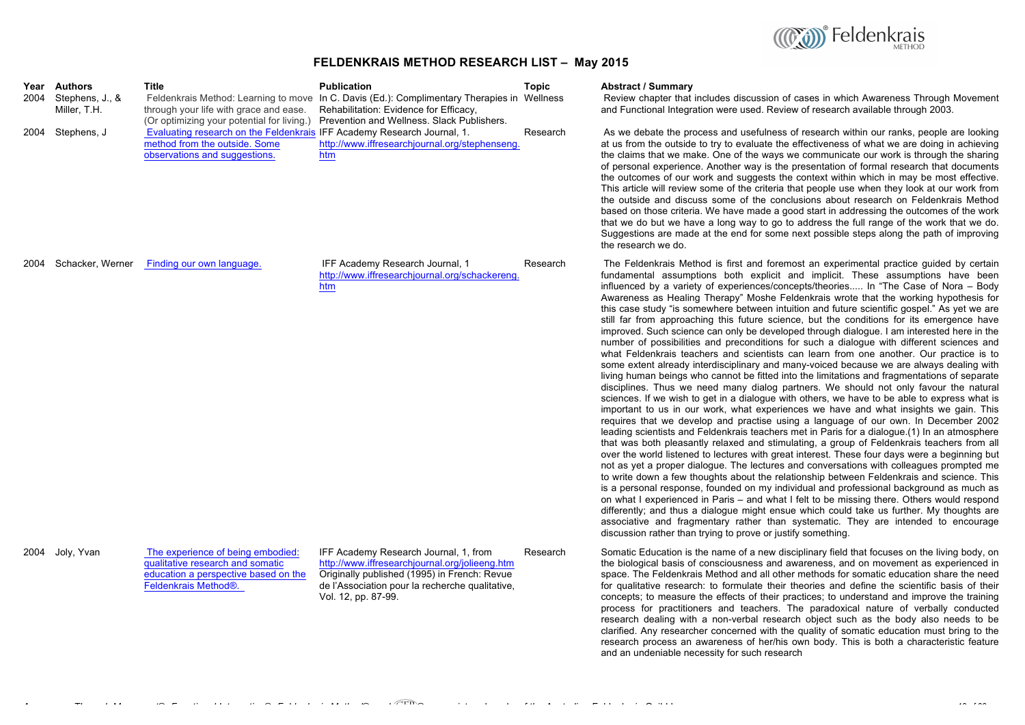

|      | Year Authors<br>2004 Stephens, J., &<br>Miller, T.H. | Title<br>through your life with grace and ease.<br>(Or optimizing your potential for living.)                                                      | <b>Publication</b><br>Feldenkrais Method: Learning to move In C. Davis (Ed.): Complimentary Therapies in Wellness<br>Rehabilitation: Evidence for Efficacy,<br>Prevention and Wellness. Slack Publishers.         | <b>Topic</b> | <b>Abstract / Summary</b><br>Review chapter that includes discussion of cases in which Awareness Through Movement<br>and Functional Integration were used. Review of research available through 2003.                                                                                                                                                                                                                                                                                                                                                                                                                                                                                                                                                                                                                                                                                                                                                                                                                                                                                                                                                                                                                                                                                                                                                                                                                                                                                                                                                                                                                                                                                                                                                                                                                                                                                                                                                                                                                                                                                                                                                                                                                                                                                                                                                   |
|------|------------------------------------------------------|----------------------------------------------------------------------------------------------------------------------------------------------------|-------------------------------------------------------------------------------------------------------------------------------------------------------------------------------------------------------------------|--------------|---------------------------------------------------------------------------------------------------------------------------------------------------------------------------------------------------------------------------------------------------------------------------------------------------------------------------------------------------------------------------------------------------------------------------------------------------------------------------------------------------------------------------------------------------------------------------------------------------------------------------------------------------------------------------------------------------------------------------------------------------------------------------------------------------------------------------------------------------------------------------------------------------------------------------------------------------------------------------------------------------------------------------------------------------------------------------------------------------------------------------------------------------------------------------------------------------------------------------------------------------------------------------------------------------------------------------------------------------------------------------------------------------------------------------------------------------------------------------------------------------------------------------------------------------------------------------------------------------------------------------------------------------------------------------------------------------------------------------------------------------------------------------------------------------------------------------------------------------------------------------------------------------------------------------------------------------------------------------------------------------------------------------------------------------------------------------------------------------------------------------------------------------------------------------------------------------------------------------------------------------------------------------------------------------------------------------------------------------------|
|      | 2004 Stephens, J                                     | Evaluating research on the Feldenkrais IFF Academy Research Journal, 1.<br>method from the outside. Some<br>observations and suggestions.          | http://www.iffresearchjournal.org/stephenseng.<br>htm                                                                                                                                                             | Research     | As we debate the process and usefulness of research within our ranks, people are looking<br>at us from the outside to try to evaluate the effectiveness of what we are doing in achieving<br>the claims that we make. One of the ways we communicate our work is through the sharing<br>of personal experience. Another way is the presentation of formal research that documents<br>the outcomes of our work and suggests the context within which in may be most effective.<br>This article will review some of the criteria that people use when they look at our work from<br>the outside and discuss some of the conclusions about research on Feldenkrais Method<br>based on those criteria. We have made a good start in addressing the outcomes of the work<br>that we do but we have a long way to go to address the full range of the work that we do.<br>Suggestions are made at the end for some next possible steps along the path of improving<br>the research we do.                                                                                                                                                                                                                                                                                                                                                                                                                                                                                                                                                                                                                                                                                                                                                                                                                                                                                                                                                                                                                                                                                                                                                                                                                                                                                                                                                                     |
| 2004 | Schacker, Werner                                     | Finding our own language.                                                                                                                          | IFF Academy Research Journal, 1<br>http://www.iffresearchjournal.org/schackereng<br>htm                                                                                                                           | Research     | The Feldenkrais Method is first and foremost an experimental practice guided by certain<br>fundamental assumptions both explicit and implicit. These assumptions have been<br>influenced by a variety of experiences/concepts/theories In "The Case of Nora – Body<br>Awareness as Healing Therapy" Moshe Feldenkrais wrote that the working hypothesis for<br>this case study "is somewhere between intuition and future scientific gospel." As yet we are<br>still far from approaching this future science, but the conditions for its emergence have<br>improved. Such science can only be developed through dialogue. I am interested here in the<br>number of possibilities and preconditions for such a dialogue with different sciences and<br>what Feldenkrais teachers and scientists can learn from one another. Our practice is to<br>some extent already interdisciplinary and many-voiced because we are always dealing with<br>living human beings who cannot be fitted into the limitations and fragmentations of separate<br>disciplines. Thus we need many dialog partners. We should not only favour the natural<br>sciences. If we wish to get in a dialogue with others, we have to be able to express what is<br>important to us in our work, what experiences we have and what insights we gain. This<br>requires that we develop and practise using a language of our own. In December 2002<br>leading scientists and Feldenkrais teachers met in Paris for a dialogue (1) In an atmosphere<br>that was both pleasantly relaxed and stimulating, a group of Feldenkrais teachers from all<br>over the world listened to lectures with great interest. These four days were a beginning but<br>not as yet a proper dialogue. The lectures and conversations with colleagues prompted me<br>to write down a few thoughts about the relationship between Feldenkrais and science. This<br>is a personal response, founded on my individual and professional background as much as<br>on what I experienced in Paris – and what I felt to be missing there. Others would respond<br>differently; and thus a dialogue might ensue which could take us further. My thoughts are<br>associative and fragmentary rather than systematic. They are intended to encourage<br>discussion rather than trying to prove or justify something. |
|      | 2004 Joly, Yvan                                      | The experience of being embodied:<br>qualitative research and somatic<br>education a perspective based on the<br>Feldenkrais Method <sup>®</sup> . | IFF Academy Research Journal, 1, from<br>http://www.iffresearchjournal.org/jolieeng.htm<br>Originally published (1995) in French: Revue<br>de l'Association pour la recherche qualitative,<br>Vol. 12, pp. 87-99. | Research     | Somatic Education is the name of a new disciplinary field that focuses on the living body, on<br>the biological basis of consciousness and awareness, and on movement as experienced in<br>space. The Feldenkrais Method and all other methods for somatic education share the need<br>for qualitative research: to formulate their theories and define the scientific basis of their<br>concepts; to measure the effects of their practices; to understand and improve the training<br>process for practitioners and teachers. The paradoxical nature of verbally conducted<br>research dealing with a non-verbal research object such as the body also needs to be<br>clarified. Any researcher concerned with the quality of somatic education must bring to the<br>research process an awareness of her/his own body. This is both a characteristic feature<br>and an undeniable necessity for such research                                                                                                                                                                                                                                                                                                                                                                                                                                                                                                                                                                                                                                                                                                                                                                                                                                                                                                                                                                                                                                                                                                                                                                                                                                                                                                                                                                                                                                        |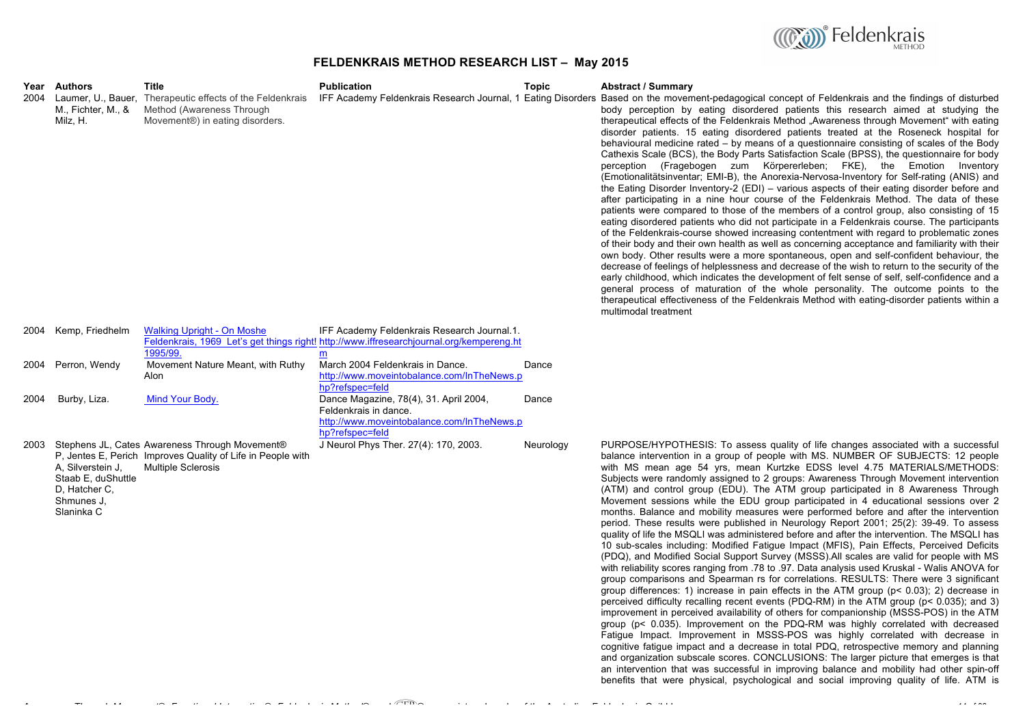

|      | Year Authors<br>M., Fichter, M., &<br>Milz, H.                                       | Title<br>2004 Laumer, U., Bauer, Therapeutic effects of the Feldenkrais<br>Method (Awareness Through<br>Movement®) in eating disorders.  | <b>Publication</b><br>IFF Academy Feldenkrais Research Journal, 1 Eating Disorders                                                           | <b>Topic</b> | <b>Abstract / Summary</b><br>Based on the movement-pedagogical concept of Feldenkrais and the findings of disturbed<br>body perception by eating disordered patients this research aimed at studying the<br>therapeutical effects of the Feldenkrais Method "Awareness through Movement" with eating<br>disorder patients. 15 eating disordered patients treated at the Roseneck hospital for<br>behavioural medicine rated – by means of a questionnaire consisting of scales of the Body<br>Cathexis Scale (BCS), the Body Parts Satisfaction Scale (BPSS), the questionnaire for body<br>perception (Fragebogen zum Körpererleben; FKE), the Emotion Inventory<br>(Emotionalitätsinventar; EMI-B), the Anorexia-Nervosa-Inventory for Self-rating (ANIS) and<br>the Eating Disorder Inventory-2 (EDI) – various aspects of their eating disorder before and<br>after participating in a nine hour course of the Feldenkrais Method. The data of these<br>patients were compared to those of the members of a control group, also consisting of 15<br>eating disordered patients who did not participate in a Feldenkrais course. The participants<br>of the Feldenkrais-course showed increasing contentment with regard to problematic zones<br>of their body and their own health as well as concerning acceptance and familiarity with their<br>own body. Other results were a more spontaneous, open and self-confident behaviour, the<br>decrease of feelings of helplessness and decrease of the wish to return to the security of the<br>early childhood, which indicates the development of felt sense of self, self-confidence and a<br>general process of maturation of the whole personality. The outcome points to the<br>therapeutical effectiveness of the Feldenkrais Method with eating-disorder patients within a<br>multimodal treatment                                                                                                                                                                                 |
|------|--------------------------------------------------------------------------------------|------------------------------------------------------------------------------------------------------------------------------------------|----------------------------------------------------------------------------------------------------------------------------------------------|--------------|-----------------------------------------------------------------------------------------------------------------------------------------------------------------------------------------------------------------------------------------------------------------------------------------------------------------------------------------------------------------------------------------------------------------------------------------------------------------------------------------------------------------------------------------------------------------------------------------------------------------------------------------------------------------------------------------------------------------------------------------------------------------------------------------------------------------------------------------------------------------------------------------------------------------------------------------------------------------------------------------------------------------------------------------------------------------------------------------------------------------------------------------------------------------------------------------------------------------------------------------------------------------------------------------------------------------------------------------------------------------------------------------------------------------------------------------------------------------------------------------------------------------------------------------------------------------------------------------------------------------------------------------------------------------------------------------------------------------------------------------------------------------------------------------------------------------------------------------------------------------------------------------------------------------------------------------------------------------------------------------------------------------------------------------------|
|      | 2004 Kemp, Friedhelm                                                                 | <b>Walking Upright - On Moshe</b><br>1995/99.                                                                                            | IFF Academy Feldenkrais Research Journal.1.<br>Feldenkrais, 1969 Let's get things right! http://www.iffresearchjournal.org/kempereng.ht<br>m |              |                                                                                                                                                                                                                                                                                                                                                                                                                                                                                                                                                                                                                                                                                                                                                                                                                                                                                                                                                                                                                                                                                                                                                                                                                                                                                                                                                                                                                                                                                                                                                                                                                                                                                                                                                                                                                                                                                                                                                                                                                                               |
| 2004 | Perron, Wendy                                                                        | Movement Nature Meant, with Ruthy<br>Alon                                                                                                | March 2004 Feldenkrais in Dance.<br>http://www.moveintobalance.com/InTheNews.p<br>hp?refspec=feld                                            | Dance        |                                                                                                                                                                                                                                                                                                                                                                                                                                                                                                                                                                                                                                                                                                                                                                                                                                                                                                                                                                                                                                                                                                                                                                                                                                                                                                                                                                                                                                                                                                                                                                                                                                                                                                                                                                                                                                                                                                                                                                                                                                               |
| 2004 | Burby, Liza.                                                                         | Mind Your Body.                                                                                                                          | Dance Magazine, 78(4), 31. April 2004,<br>Feldenkrais in dance.<br>http://www.moveintobalance.com/InTheNews.p<br>hp?refspec=feld             | Dance        |                                                                                                                                                                                                                                                                                                                                                                                                                                                                                                                                                                                                                                                                                                                                                                                                                                                                                                                                                                                                                                                                                                                                                                                                                                                                                                                                                                                                                                                                                                                                                                                                                                                                                                                                                                                                                                                                                                                                                                                                                                               |
|      | A, Silverstein J,<br>Staab E, duShuttle<br>D, Hatcher C,<br>Shmunes J.<br>Slaninka C | 2003 Stephens JL, Cates Awareness Through Movement®<br>P, Jentes E, Perich Improves Quality of Life in People with<br>Multiple Sclerosis | J Neurol Phys Ther. 27(4): 170, 2003.                                                                                                        | Neurology    | PURPOSE/HYPOTHESIS: To assess quality of life changes associated with a successful<br>balance intervention in a group of people with MS. NUMBER OF SUBJECTS: 12 people<br>with MS mean age 54 yrs, mean Kurtzke EDSS level 4.75 MATERIALS/METHODS:<br>Subjects were randomly assigned to 2 groups: Awareness Through Movement intervention<br>(ATM) and control group (EDU). The ATM group participated in 8 Awareness Through<br>Movement sessions while the EDU group participated in 4 educational sessions over 2<br>months. Balance and mobility measures were performed before and after the intervention<br>period. These results were published in Neurology Report 2001; 25(2): 39-49. To assess<br>quality of life the MSQLI was administered before and after the intervention. The MSQLI has<br>10 sub-scales including: Modified Fatigue Impact (MFIS), Pain Effects, Perceived Deficits<br>(PDQ), and Modified Social Support Survey (MSSS). All scales are valid for people with MS<br>with reliability scores ranging from .78 to .97. Data analysis used Kruskal - Walis ANOVA for<br>group comparisons and Spearman rs for correlations. RESULTS: There were 3 significant<br>group differences: 1) increase in pain effects in the ATM group ( $p < 0.03$ ); 2) decrease in<br>perceived difficulty recalling recent events (PDQ-RM) in the ATM group ( $p < 0.035$ ); and 3)<br>improvement in perceived availability of others for companionship (MSSS-POS) in the ATM<br>group (p< 0.035). Improvement on the PDQ-RM was highly correlated with decreased<br>Fatigue Impact. Improvement in MSSS-POS was highly correlated with decrease in<br>cognitive fatigue impact and a decrease in total PDQ, retrospective memory and planning<br>and organization subscale scores. CONCLUSIONS: The larger picture that emerges is that<br>an intervention that was successful in improving balance and mobility had other spin-off<br>benefits that were physical, psychological and social improving quality of life. ATM is |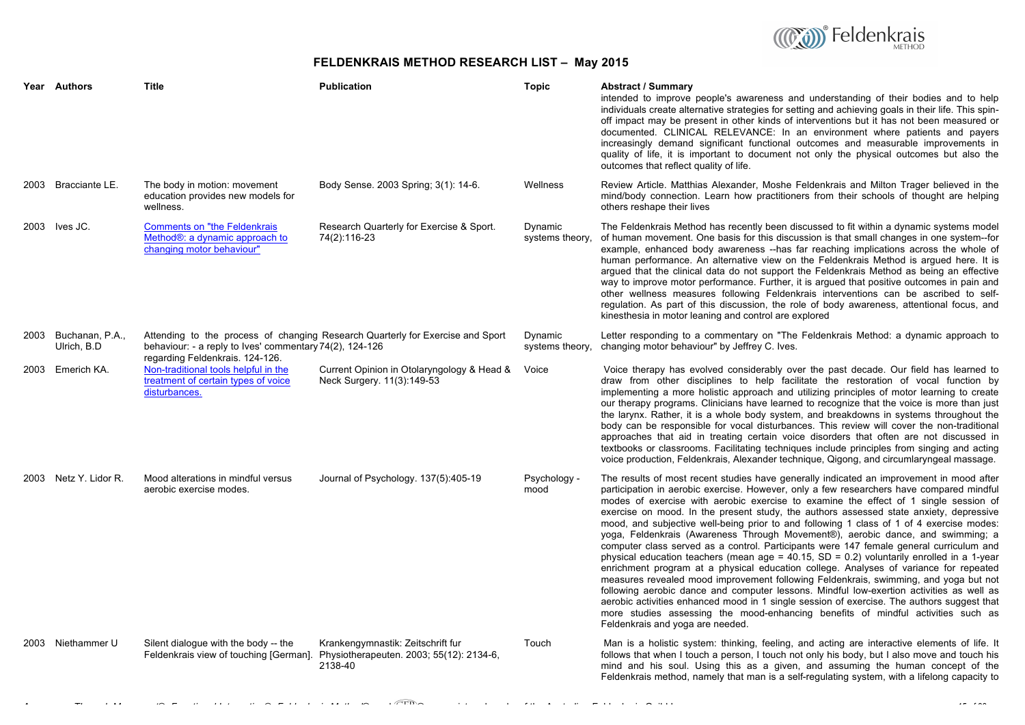

| Year Authors                         | <b>Title</b>                                                                                                    | <b>Publication</b>                                                                       | <b>Topic</b>               | <b>Abstract / Summary</b><br>intended to improve people's awareness and understanding of their bodies and to help<br>individuals create alternative strategies for setting and achieving goals in their life. This spin-<br>off impact may be present in other kinds of interventions but it has not been measured or<br>documented. CLINICAL RELEVANCE: In an environment where patients and payers<br>increasingly demand significant functional outcomes and measurable improvements in<br>quality of life, it is important to document not only the physical outcomes but also the<br>outcomes that reflect quality of life.                                                                                                                                                                                                                                                                                                                                                                                                                                                                                                                                                                                                                    |
|--------------------------------------|-----------------------------------------------------------------------------------------------------------------|------------------------------------------------------------------------------------------|----------------------------|-----------------------------------------------------------------------------------------------------------------------------------------------------------------------------------------------------------------------------------------------------------------------------------------------------------------------------------------------------------------------------------------------------------------------------------------------------------------------------------------------------------------------------------------------------------------------------------------------------------------------------------------------------------------------------------------------------------------------------------------------------------------------------------------------------------------------------------------------------------------------------------------------------------------------------------------------------------------------------------------------------------------------------------------------------------------------------------------------------------------------------------------------------------------------------------------------------------------------------------------------------|
| 2003 Bracciante LE.                  | The body in motion: movement<br>education provides new models for<br>wellness.                                  | Body Sense. 2003 Spring; 3(1): 14-6.                                                     | Wellness                   | Review Article. Matthias Alexander, Moshe Feldenkrais and Milton Trager believed in the<br>mind/body connection. Learn how practitioners from their schools of thought are helping<br>others reshape their lives                                                                                                                                                                                                                                                                                                                                                                                                                                                                                                                                                                                                                                                                                                                                                                                                                                                                                                                                                                                                                                    |
| 2003 Ives JC.                        | <b>Comments on "the Feldenkrais</b><br>Method <sup>®</sup> : a dynamic approach to<br>changing motor behaviour" | Research Quarterly for Exercise & Sport.<br>74(2):116-23                                 | Dynamic<br>systems theory, | The Feldenkrais Method has recently been discussed to fit within a dynamic systems model<br>of human movement. One basis for this discussion is that small changes in one system--for<br>example, enhanced body awareness --has far reaching implications across the whole of<br>human performance. An alternative view on the Feldenkrais Method is argued here. It is<br>argued that the clinical data do not support the Feldenkrais Method as being an effective<br>way to improve motor performance. Further, it is argued that positive outcomes in pain and<br>other wellness measures following Feldenkrais interventions can be ascribed to self-<br>regulation. As part of this discussion, the role of body awareness, attentional focus, and<br>kinesthesia in motor leaning and control are explored                                                                                                                                                                                                                                                                                                                                                                                                                                   |
| 2003 Buchanan, P.A.,<br>Ulrich, B.D. | behaviour: - a reply to Ives' commentary 74(2), 124-126<br>regarding Feldenkrais. 124-126.                      | Attending to the process of changing Research Quarterly for Exercise and Sport           | Dynamic<br>systems theory. | Letter responding to a commentary on "The Feldenkrais Method: a dynamic approach to<br>changing motor behaviour" by Jeffrey C. Ives.                                                                                                                                                                                                                                                                                                                                                                                                                                                                                                                                                                                                                                                                                                                                                                                                                                                                                                                                                                                                                                                                                                                |
| 2003 Emerich KA.                     | Non-traditional tools helpful in the<br>treatment of certain types of voice<br>disturbances.                    | Current Opinion in Otolaryngology & Head &<br>Neck Surgery. 11(3):149-53                 | Voice                      | Voice therapy has evolved considerably over the past decade. Our field has learned to<br>draw from other disciplines to help facilitate the restoration of vocal function by<br>implementing a more holistic approach and utilizing principles of motor learning to create<br>our therapy programs. Clinicians have learned to recognize that the voice is more than just<br>the larynx. Rather, it is a whole body system, and breakdowns in systems throughout the<br>body can be responsible for vocal disturbances. This review will cover the non-traditional<br>approaches that aid in treating certain voice disorders that often are not discussed in<br>textbooks or classrooms. Facilitating techniques include principles from singing and acting<br>voice production, Feldenkrais, Alexander technique, Qigong, and circumlaryngeal massage.                                                                                                                                                                                                                                                                                                                                                                                            |
| 2003 Netz Y. Lidor R.                | Mood alterations in mindful versus<br>aerobic exercise modes.                                                   | Journal of Psychology. 137(5):405-19                                                     | Psychology -<br>mood       | The results of most recent studies have generally indicated an improvement in mood after<br>participation in aerobic exercise. However, only a few researchers have compared mindful<br>modes of exercise with aerobic exercise to examine the effect of 1 single session of<br>exercise on mood. In the present study, the authors assessed state anxiety, depressive<br>mood, and subjective well-being prior to and following 1 class of 1 of 4 exercise modes:<br>yoga, Feldenkrais (Awareness Through Movement®), aerobic dance, and swimming; a<br>computer class served as a control. Participants were 147 female general curriculum and<br>physical education teachers (mean age = $40.15$ , SD = 0.2) voluntarily enrolled in a 1-year<br>enrichment program at a physical education college. Analyses of variance for repeated<br>measures revealed mood improvement following Feldenkrais, swimming, and yoga but not<br>following aerobic dance and computer lessons. Mindful low-exertion activities as well as<br>aerobic activities enhanced mood in 1 single session of exercise. The authors suggest that<br>more studies assessing the mood-enhancing benefits of mindful activities such as<br>Feldenkrais and yoga are needed. |
| 2003 Niethammer U                    | Silent dialogue with the body -- the<br>Feldenkrais view of touching [German].                                  | Krankengymnastik: Zeitschrift fur<br>Physiotherapeuten. 2003; 55(12): 2134-6.<br>2138-40 | Touch                      | Man is a holistic system: thinking, feeling, and acting are interactive elements of life. It<br>follows that when I touch a person, I touch not only his body, but I also move and touch his<br>mind and his soul. Using this as a given, and assuming the human concept of the<br>Feldenkrais method, namely that man is a self-regulating system, with a lifelong capacity to                                                                                                                                                                                                                                                                                                                                                                                                                                                                                                                                                                                                                                                                                                                                                                                                                                                                     |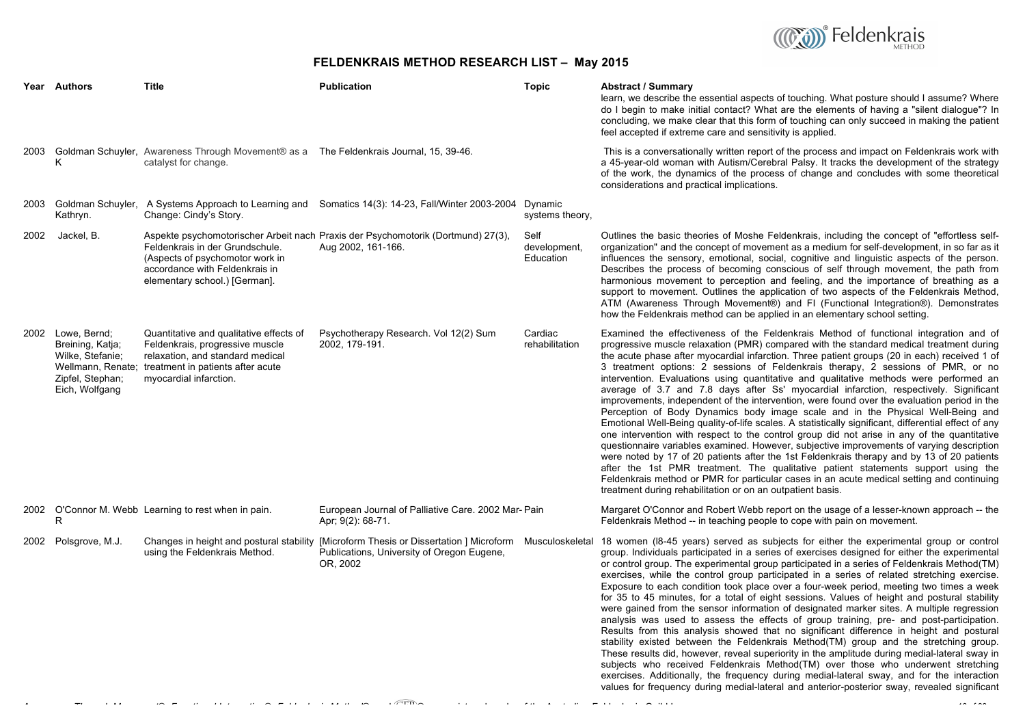

|      | Year Authors                                                                                    | <b>Title</b>                                                                                                                                                                                    | <b>Publication</b>                                                                                                                               | <b>Topic</b>                      | <b>Abstract / Summary</b><br>learn, we describe the essential aspects of touching. What posture should I assume? Where<br>do I begin to make initial contact? What are the elements of having a "silent dialogue"? In<br>concluding, we make clear that this form of touching can only succeed in making the patient<br>feel accepted if extreme care and sensitivity is applied.                                                                                                                                                                                                                                                                                                                                                                                                                                                                                                                                                                                                                                                                                                                                                                                                                                                                                                                                                                                                            |
|------|-------------------------------------------------------------------------------------------------|-------------------------------------------------------------------------------------------------------------------------------------------------------------------------------------------------|--------------------------------------------------------------------------------------------------------------------------------------------------|-----------------------------------|----------------------------------------------------------------------------------------------------------------------------------------------------------------------------------------------------------------------------------------------------------------------------------------------------------------------------------------------------------------------------------------------------------------------------------------------------------------------------------------------------------------------------------------------------------------------------------------------------------------------------------------------------------------------------------------------------------------------------------------------------------------------------------------------------------------------------------------------------------------------------------------------------------------------------------------------------------------------------------------------------------------------------------------------------------------------------------------------------------------------------------------------------------------------------------------------------------------------------------------------------------------------------------------------------------------------------------------------------------------------------------------------|
| 2003 | Κ                                                                                               | Goldman Schuyler, Awareness Through Movement® as a The Feldenkrais Journal, 15, 39-46.<br>catalyst for change.                                                                                  |                                                                                                                                                  |                                   | This is a conversationally written report of the process and impact on Feldenkrais work with<br>a 45-year-old woman with Autism/Cerebral Palsy. It tracks the development of the strategy<br>of the work, the dynamics of the process of change and concludes with some theoretical<br>considerations and practical implications.                                                                                                                                                                                                                                                                                                                                                                                                                                                                                                                                                                                                                                                                                                                                                                                                                                                                                                                                                                                                                                                            |
|      | Kathryn.                                                                                        | Change: Cindy's Story.                                                                                                                                                                          | 2003 Goldman Schuyler, A Systems Approach to Learning and Somatics 14(3): 14-23, Fall/Winter 2003-2004 Dynamic                                   | systems theory,                   |                                                                                                                                                                                                                                                                                                                                                                                                                                                                                                                                                                                                                                                                                                                                                                                                                                                                                                                                                                                                                                                                                                                                                                                                                                                                                                                                                                                              |
|      | 2002 Jackel, B.                                                                                 | Feldenkrais in der Grundschule.<br>(Aspects of psychomotor work in<br>accordance with Feldenkrais in<br>elementary school.) [German].                                                           | Aspekte psychomotorischer Arbeit nach Praxis der Psychomotorik (Dortmund) 27(3),<br>Aug 2002, 161-166.                                           | Self<br>development,<br>Education | Outlines the basic theories of Moshe Feldenkrais, including the concept of "effortless self-<br>organization" and the concept of movement as a medium for self-development, in so far as it<br>influences the sensory, emotional, social, cognitive and linguistic aspects of the person.<br>Describes the process of becoming conscious of self through movement, the path from<br>harmonious movement to perception and feeling, and the importance of breathing as a<br>support to movement. Outlines the application of two aspects of the Feldenkrais Method,<br>ATM (Awareness Through Movement®) and FI (Functional Integration®). Demonstrates<br>how the Feldenkrais method can be applied in an elementary school setting.                                                                                                                                                                                                                                                                                                                                                                                                                                                                                                                                                                                                                                                         |
|      | 2002 Lowe, Bernd;<br>Breining, Katja;<br>Wilke, Stefanie;<br>Zipfel, Stephan;<br>Eich, Wolfgang | Quantitative and qualitative effects of<br>Feldenkrais, progressive muscle<br>relaxation, and standard medical<br>Wellmann, Renate; treatment in patients after acute<br>myocardial infarction. | Psychotherapy Research. Vol 12(2) Sum<br>2002, 179-191.                                                                                          | Cardiac<br>rehabilitation         | Examined the effectiveness of the Feldenkrais Method of functional integration and of<br>progressive muscle relaxation (PMR) compared with the standard medical treatment during<br>the acute phase after myocardial infarction. Three patient groups (20 in each) received 1 of<br>3 treatment options: 2 sessions of Feldenkrais therapy, 2 sessions of PMR, or no<br>intervention. Evaluations using quantitative and qualitative methods were performed an<br>average of 3.7 and 7.8 days after Ss' myocardial infarction, respectively. Significant<br>improvements, independent of the intervention, were found over the evaluation period in the<br>Perception of Body Dynamics body image scale and in the Physical Well-Being and<br>Emotional Well-Being quality-of-life scales. A statistically significant, differential effect of any<br>one intervention with respect to the control group did not arise in any of the quantitative<br>questionnaire variables examined. However, subjective improvements of varying description<br>were noted by 17 of 20 patients after the 1st Feldenkrais therapy and by 13 of 20 patients<br>after the 1st PMR treatment. The qualitative patient statements support using the<br>Feldenkrais method or PMR for particular cases in an acute medical setting and continuing<br>treatment during rehabilitation or on an outpatient basis. |
| 2002 | R                                                                                               | O'Connor M. Webb Learning to rest when in pain.                                                                                                                                                 | European Journal of Palliative Care. 2002 Mar-Pain<br>Apr; 9(2): 68-71.                                                                          |                                   | Margaret O'Connor and Robert Webb report on the usage of a lesser-known approach -- the<br>Feldenkrais Method -- in teaching people to cope with pain on movement.                                                                                                                                                                                                                                                                                                                                                                                                                                                                                                                                                                                                                                                                                                                                                                                                                                                                                                                                                                                                                                                                                                                                                                                                                           |
| 2002 | Polsgrove, M.J.                                                                                 | using the Feldenkrais Method.                                                                                                                                                                   | Changes in height and postural stability [Microform Thesis or Dissertation ] Microform<br>Publications, University of Oregon Eugene,<br>OR, 2002 |                                   | Musculoskeletal 18 women (I8-45 years) served as subjects for either the experimental group or control<br>group. Individuals participated in a series of exercises designed for either the experimental<br>or control group. The experimental group participated in a series of Feldenkrais Method(TM)<br>exercises, while the control group participated in a series of related stretching exercise.<br>Exposure to each condition took place over a four-week period, meeting two times a week<br>for 35 to 45 minutes, for a total of eight sessions. Values of height and postural stability<br>were gained from the sensor information of designated marker sites. A multiple regression<br>analysis was used to assess the effects of group training, pre- and post-participation.<br>Results from this analysis showed that no significant difference in height and postural<br>stability existed between the Feldenkrais Method(TM) group and the stretching group.<br>These results did, however, reveal superiority in the amplitude during medial-lateral sway in<br>subjects who received Feldenkrais Method(TM) over those who underwent stretching<br>exercises. Additionally, the frequency during medial-lateral sway, and for the interaction<br>values for frequency during medial-lateral and anterior-posterior sway, revealed significant                               |

*Awareness Through Movement*®, *Functional Integration*®, *Feldenkrais Method*®, and ® are registered marks of the Australian Feldenkrais Guild Inc. 16 of 33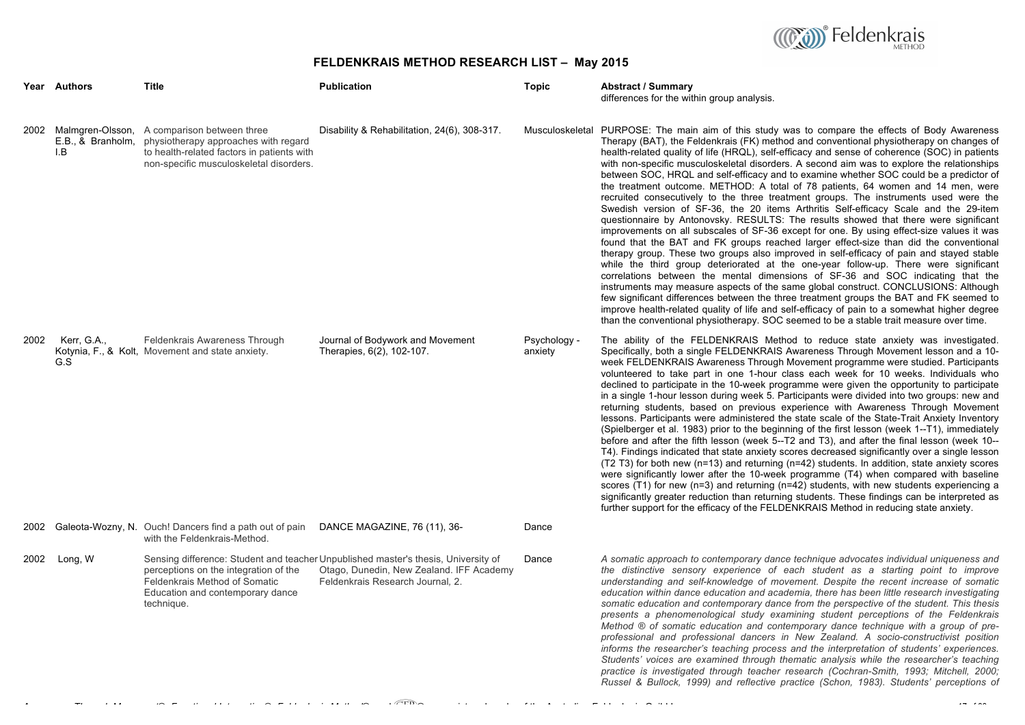

|      | Year Authors     | <b>Title</b>                                                                                                                                                                                        | <b>Publication</b>                                                                                                                                                 | <b>Topic</b>            | <b>Abstract / Summary</b><br>differences for the within group analysis.                                                                                                                                                                                                                                                                                                                                                                                                                                                                                                                                                                                                                                                                                                                                                                                                                                                                                                                                                                                                                                                                                                                                                                                                                                                                                                                                                                                                                                                                                                                                                                                                                    |
|------|------------------|-----------------------------------------------------------------------------------------------------------------------------------------------------------------------------------------------------|--------------------------------------------------------------------------------------------------------------------------------------------------------------------|-------------------------|--------------------------------------------------------------------------------------------------------------------------------------------------------------------------------------------------------------------------------------------------------------------------------------------------------------------------------------------------------------------------------------------------------------------------------------------------------------------------------------------------------------------------------------------------------------------------------------------------------------------------------------------------------------------------------------------------------------------------------------------------------------------------------------------------------------------------------------------------------------------------------------------------------------------------------------------------------------------------------------------------------------------------------------------------------------------------------------------------------------------------------------------------------------------------------------------------------------------------------------------------------------------------------------------------------------------------------------------------------------------------------------------------------------------------------------------------------------------------------------------------------------------------------------------------------------------------------------------------------------------------------------------------------------------------------------------|
|      | I.B              | 2002 Malmgren-Olsson, A comparison between three<br>E.B., & Branholm, physiotherapy approaches with regard<br>to health-related factors in patients with<br>non-specific musculoskeletal disorders. | Disability & Rehabilitation, 24(6), 308-317.                                                                                                                       |                         | Musculoskeletal PURPOSE: The main aim of this study was to compare the effects of Body Awareness<br>Therapy (BAT), the Feldenkrais (FK) method and conventional physiotherapy on changes of<br>health-related quality of life (HRQL), self-efficacy and sense of coherence (SOC) in patients<br>with non-specific musculoskeletal disorders. A second aim was to explore the relationships<br>between SOC, HRQL and self-efficacy and to examine whether SOC could be a predictor of<br>the treatment outcome. METHOD: A total of 78 patients, 64 women and 14 men, were<br>recruited consecutively to the three treatment groups. The instruments used were the<br>Swedish version of SF-36, the 20 items Arthritis Self-efficacy Scale and the 29-item<br>questionnaire by Antonovsky. RESULTS: The results showed that there were significant<br>improvements on all subscales of SF-36 except for one. By using effect-size values it was<br>found that the BAT and FK groups reached larger effect-size than did the conventional<br>therapy group. These two groups also improved in self-efficacy of pain and stayed stable<br>while the third group deteriorated at the one-year follow-up. There were significant<br>correlations between the mental dimensions of SF-36 and SOC indicating that the<br>instruments may measure aspects of the same global construct. CONCLUSIONS: Although<br>few significant differences between the three treatment groups the BAT and FK seemed to<br>improve health-related quality of life and self-efficacy of pain to a somewhat higher degree<br>than the conventional physiotherapy. SOC seemed to be a stable trait measure over time. |
| 2002 | Kerr. G.A<br>G.S | Feldenkrais Awareness Through<br>Kotynia, F., & Kolt, Movement and state anxiety.                                                                                                                   | Journal of Bodywork and Movement<br>Therapies, 6(2), 102-107.                                                                                                      | Psychology -<br>anxiety | The ability of the FELDENKRAIS Method to reduce state anxiety was investigated.<br>Specifically, both a single FELDENKRAIS Awareness Through Movement lesson and a 10-<br>week FELDENKRAIS Awareness Through Movement programme were studied. Participants<br>volunteered to take part in one 1-hour class each week for 10 weeks. Individuals who<br>declined to participate in the 10-week programme were given the opportunity to participate<br>in a single 1-hour lesson during week 5. Participants were divided into two groups: new and<br>returning students, based on previous experience with Awareness Through Movement<br>lessons. Participants were administered the state scale of the State-Trait Anxiety Inventory<br>(Spielberger et al. 1983) prior to the beginning of the first lesson (week 1--T1), immediately<br>before and after the fifth lesson (week 5--T2 and T3), and after the final lesson (week 10--<br>T4). Findings indicated that state anxiety scores decreased significantly over a single lesson<br>(T2 T3) for both new (n=13) and returning (n=42) students. In addition, state anxiety scores<br>were significantly lower after the 10-week programme (T4) when compared with baseline<br>scores (T1) for new (n=3) and returning (n=42) students, with new students experiencing a<br>significantly greater reduction than returning students. These findings can be interpreted as<br>further support for the efficacy of the FELDENKRAIS Method in reducing state anxiety.                                                                                                                                                                    |
|      |                  | 2002 Galeota-Wozny, N. Ouch! Dancers find a path out of pain<br>with the Feldenkrais-Method.                                                                                                        | DANCE MAGAZINE, 76 (11), 36-                                                                                                                                       | Dance                   |                                                                                                                                                                                                                                                                                                                                                                                                                                                                                                                                                                                                                                                                                                                                                                                                                                                                                                                                                                                                                                                                                                                                                                                                                                                                                                                                                                                                                                                                                                                                                                                                                                                                                            |
|      | 2002 Long, W     | perceptions on the integration of the<br>Feldenkrais Method of Somatic<br>Education and contemporary dance<br>technique.                                                                            | Sensing difference: Student and teacher Unpublished master's thesis, University of<br>Otago, Dunedin, New Zealand. IFF Academy<br>Feldenkrais Research Journal, 2. | Dance                   | A somatic approach to contemporary dance technique advocates individual uniqueness and<br>the distinctive sensory experience of each student as a starting point to improve<br>understanding and self-knowledge of movement. Despite the recent increase of somatic<br>education within dance education and academia, there has been little research investigating<br>somatic education and contemporary dance from the perspective of the student. This thesis<br>presents a phenomenological study examining student perceptions of the Feldenkrais<br>Method $\circledR$ of somatic education and contemporary dance technique with a group of pre-<br>professional and professional dancers in New Zealand. A socio-constructivist position<br>informs the researcher's teaching process and the interpretation of students' experiences.<br>Students' voices are examined through thematic analysis while the researcher's teaching<br>practice is investigated through teacher research (Cochran-Smith, 1993; Mitchell, 2000;<br>Russel & Bullock, 1999) and reflective practice (Schon, 1983). Students' perceptions of                                                                                                                                                                                                                                                                                                                                                                                                                                                                                                                                                             |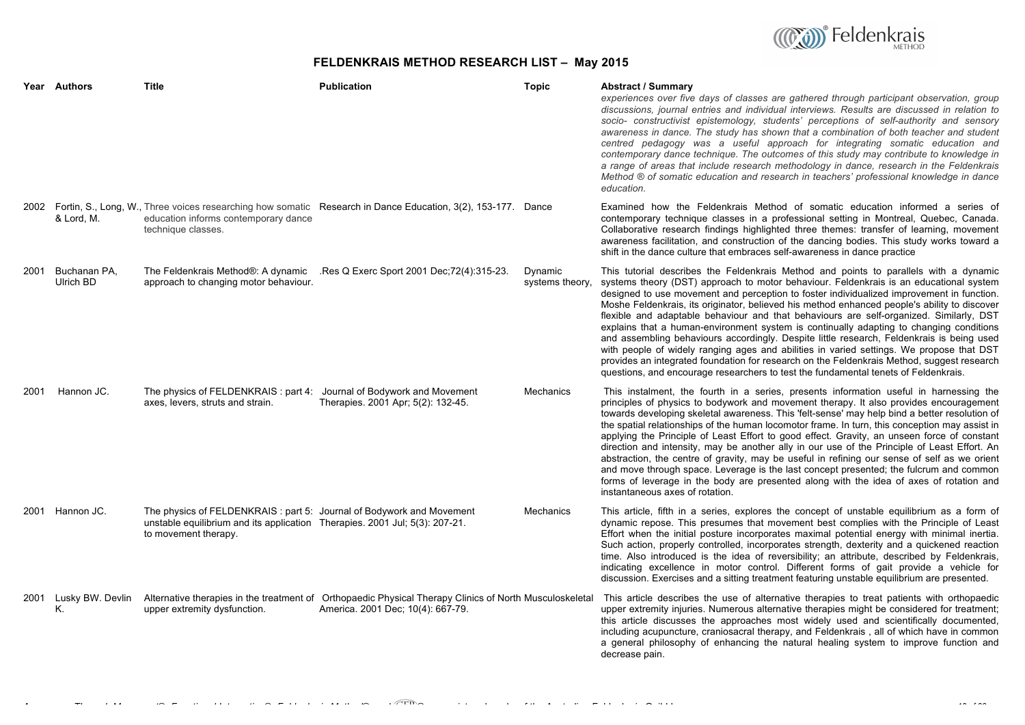

|      | Year Authors                   | <b>Title</b>                                                                                                                                                                | <b>Publication</b>                                                                                                                                            | Topic                      | <b>Abstract / Summary</b><br>experiences over five days of classes are gathered through participant observation, group<br>discussions, journal entries and individual interviews. Results are discussed in relation to<br>socio- constructivist epistemology, students' perceptions of self-authority and sensory<br>awareness in dance. The study has shown that a combination of both teacher and student<br>centred pedagogy was a useful approach for integrating somatic education and<br>contemporary dance technique. The outcomes of this study may contribute to knowledge in<br>a range of areas that include research methodology in dance, research in the Feldenkrais<br>Method ® of somatic education and research in teachers' professional knowledge in dance<br>education.                                                                                                                                                      |
|------|--------------------------------|-----------------------------------------------------------------------------------------------------------------------------------------------------------------------------|---------------------------------------------------------------------------------------------------------------------------------------------------------------|----------------------------|--------------------------------------------------------------------------------------------------------------------------------------------------------------------------------------------------------------------------------------------------------------------------------------------------------------------------------------------------------------------------------------------------------------------------------------------------------------------------------------------------------------------------------------------------------------------------------------------------------------------------------------------------------------------------------------------------------------------------------------------------------------------------------------------------------------------------------------------------------------------------------------------------------------------------------------------------|
|      | & Lord, M.                     | education informs contemporary dance<br>technique classes.                                                                                                                  | 2002 Fortin, S., Long, W., Three voices researching how somatic Research in Dance Education, 3(2), 153-177. Dance                                             |                            | Examined how the Feldenkrais Method of somatic education informed a series of<br>contemporary technique classes in a professional setting in Montreal, Quebec, Canada.<br>Collaborative research findings highlighted three themes: transfer of learning, movement<br>awareness facilitation, and construction of the dancing bodies. This study works toward a<br>shift in the dance culture that embraces self-awareness in dance practice                                                                                                                                                                                                                                                                                                                                                                                                                                                                                                     |
|      | 2001 Buchanan PA,<br>Ulrich BD | The Feldenkrais Method®: A dynamic<br>approach to changing motor behaviour.                                                                                                 | Res Q Exerc Sport 2001 Dec: 72(4): 315-23.                                                                                                                    | Dynamic<br>systems theory. | This tutorial describes the Feldenkrais Method and points to parallels with a dynamic<br>systems theory (DST) approach to motor behaviour. Feldenkrais is an educational system<br>designed to use movement and perception to foster individualized improvement in function.<br>Moshe Feldenkrais, its originator, believed his method enhanced people's ability to discover<br>flexible and adaptable behaviour and that behaviours are self-organized. Similarly, DST<br>explains that a human-environment system is continually adapting to changing conditions<br>and assembling behaviours accordingly. Despite little research, Feldenkrais is being used<br>with people of widely ranging ages and abilities in varied settings. We propose that DST<br>provides an integrated foundation for research on the Feldenkrais Method, suggest research<br>questions, and encourage researchers to test the fundamental tenets of Feldenkrais. |
| 2001 | Hannon JC.                     | The physics of FELDENKRAIS: part 4: Journal of Bodywork and Movement<br>axes, levers, struts and strain.                                                                    | Therapies. 2001 Apr; 5(2): 132-45.                                                                                                                            | Mechanics                  | This instalment, the fourth in a series, presents information useful in harnessing the<br>principles of physics to bodywork and movement therapy. It also provides encouragement<br>towards developing skeletal awareness. This 'felt-sense' may help bind a better resolution of<br>the spatial relationships of the human locomotor frame. In turn, this conception may assist in<br>applying the Principle of Least Effort to good effect. Gravity, an unseen force of constant<br>direction and intensity, may be another ally in our use of the Principle of Least Effort. An<br>abstraction, the centre of gravity, may be useful in refining our sense of self as we orient<br>and move through space. Leverage is the last concept presented; the fulcrum and common<br>forms of leverage in the body are presented along with the idea of axes of rotation and<br>instantaneous axes of rotation.                                       |
|      | 2001 Hannon JC.                | The physics of FELDENKRAIS: part 5: Journal of Bodywork and Movement<br>unstable equilibrium and its application Therapies. 2001 Jul; 5(3): 207-21.<br>to movement therapy. |                                                                                                                                                               | Mechanics                  | This article, fifth in a series, explores the concept of unstable equilibrium as a form of<br>dynamic repose. This presumes that movement best complies with the Principle of Least<br>Effort when the initial posture incorporates maximal potential energy with minimal inertia.<br>Such action, properly controlled, incorporates strength, dexterity and a quickened reaction<br>time. Also introduced is the idea of reversibility; an attribute, described by Feldenkrais,<br>indicating excellence in motor control. Different forms of gait provide a vehicle for<br>discussion. Exercises and a sitting treatment featuring unstable equilibrium are presented.                                                                                                                                                                                                                                                                         |
| 2001 | Κ.                             | upper extremity dysfunction.                                                                                                                                                | Lusky BW. Devlin Alternative therapies in the treatment of Orthopaedic Physical Therapy Clinics of North Musculoskeletal<br>America. 2001 Dec; 10(4): 667-79. |                            | This article describes the use of alternative therapies to treat patients with orthopaedic<br>upper extremity injuries. Numerous alternative therapies might be considered for treatment;<br>this article discusses the approaches most widely used and scientifically documented.<br>including acupuncture, craniosacral therapy, and Feldenkrais, all of which have in common<br>a general philosophy of enhancing the natural healing system to improve function and<br>decrease pain.                                                                                                                                                                                                                                                                                                                                                                                                                                                        |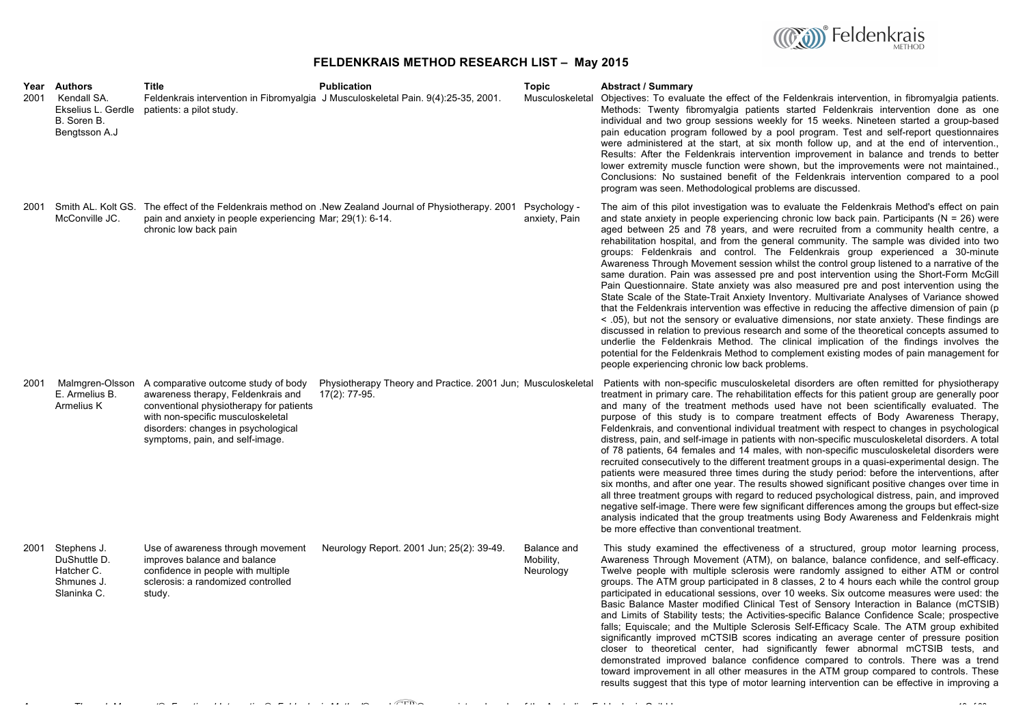

| 2001 | Year Authors<br>Kendall SA.<br>Ekselius L. Gerdle<br>B. Soren B.<br>Bengtsson A.J | <b>Title</b><br>patients: a pilot study.                                                                                                                                                                                            | <b>Publication</b><br>Feldenkrais intervention in Fibromyalgia J Musculoskeletal Pain. 9(4):25-35, 2001.   | <b>Topic</b><br>Musculoskeletal       | <b>Abstract / Summary</b><br>Objectives: To evaluate the effect of the Feldenkrais intervention, in fibromyalgia patients.<br>Methods: Twenty fibromyalgia patients started Feldenkrais intervention done as one<br>individual and two group sessions weekly for 15 weeks. Nineteen started a group-based<br>pain education program followed by a pool program. Test and self-report questionnaires<br>were administered at the start, at six month follow up, and at the end of intervention.,<br>Results: After the Feldenkrais intervention improvement in balance and trends to better<br>lower extremity muscle function were shown, but the improvements were not maintained.<br>Conclusions: No sustained benefit of the Feldenkrais intervention compared to a pool<br>program was seen. Methodological problems are discussed.                                                                                                                                                                                                                                                                                                                                                                                                                                                                                                                                                    |
|------|-----------------------------------------------------------------------------------|-------------------------------------------------------------------------------------------------------------------------------------------------------------------------------------------------------------------------------------|------------------------------------------------------------------------------------------------------------|---------------------------------------|--------------------------------------------------------------------------------------------------------------------------------------------------------------------------------------------------------------------------------------------------------------------------------------------------------------------------------------------------------------------------------------------------------------------------------------------------------------------------------------------------------------------------------------------------------------------------------------------------------------------------------------------------------------------------------------------------------------------------------------------------------------------------------------------------------------------------------------------------------------------------------------------------------------------------------------------------------------------------------------------------------------------------------------------------------------------------------------------------------------------------------------------------------------------------------------------------------------------------------------------------------------------------------------------------------------------------------------------------------------------------------------------|
|      | McConville JC.                                                                    | pain and anxiety in people experiencing Mar; 29(1): 6-14.<br>chronic low back pain                                                                                                                                                  | 2001 Smith AL. Kolt GS. The effect of the Feldenkrais method on New Zealand Journal of Physiotherapy. 2001 | Psychology -<br>anxiety, Pain         | The aim of this pilot investigation was to evaluate the Feldenkrais Method's effect on pain<br>and state anxiety in people experiencing chronic low back pain. Participants ( $N = 26$ ) were<br>aged between 25 and 78 years, and were recruited from a community health centre, a<br>rehabilitation hospital, and from the general community. The sample was divided into two<br>groups: Feldenkrais and control. The Feldenkrais group experienced a 30-minute<br>Awareness Through Movement session whilst the control group listened to a narrative of the<br>same duration. Pain was assessed pre and post intervention using the Short-Form McGill<br>Pain Questionnaire. State anxiety was also measured pre and post intervention using the<br>State Scale of the State-Trait Anxiety Inventory. Multivariate Analyses of Variance showed<br>that the Feldenkrais intervention was effective in reducing the affective dimension of pain (p<br>< 0.05), but not the sensory or evaluative dimensions, nor state anxiety. These findings are<br>discussed in relation to previous research and some of the theoretical concepts assumed to<br>underlie the Feldenkrais Method. The clinical implication of the findings involves the<br>potential for the Feldenkrais Method to complement existing modes of pain management for<br>people experiencing chronic low back problems. |
| 2001 | Malmgren-Olsson<br>E. Armelius B.<br>Armelius K                                   | A comparative outcome study of body<br>awareness therapy, Feldenkrais and<br>conventional physiotherapy for patients<br>with non-specific musculoskeletal<br>disorders: changes in psychological<br>symptoms, pain, and self-image. | Physiotherapy Theory and Practice. 2001 Jun; Musculoskeletal<br>17(2): 77-95.                              |                                       | Patients with non-specific musculoskeletal disorders are often remitted for physiotherapy<br>treatment in primary care. The rehabilitation effects for this patient group are generally poor<br>and many of the treatment methods used have not been scientifically evaluated. The<br>purpose of this study is to compare treatment effects of Body Awareness Therapy,<br>Feldenkrais, and conventional individual treatment with respect to changes in psychological<br>distress, pain, and self-image in patients with non-specific musculoskeletal disorders. A total<br>of 78 patients, 64 females and 14 males, with non-specific musculoskeletal disorders were<br>recruited consecutively to the different treatment groups in a quasi-experimental design. The<br>patients were measured three times during the study period: before the interventions, after<br>six months, and after one year. The results showed significant positive changes over time in<br>all three treatment groups with regard to reduced psychological distress, pain, and improved<br>negative self-image. There were few significant differences among the groups but effect-size<br>analysis indicated that the group treatments using Body Awareness and Feldenkrais might<br>be more effective than conventional treatment.                                                                         |
|      | 2001 Stephens J.<br>DuShuttle D.<br>Hatcher C.<br>Shmunes J.<br>Slaninka C.       | Use of awareness through movement<br>improves balance and balance<br>confidence in people with multiple<br>sclerosis: a randomized controlled<br>study.                                                                             | Neurology Report. 2001 Jun; 25(2): 39-49.                                                                  | Balance and<br>Mobility,<br>Neurology | This study examined the effectiveness of a structured, group motor learning process,<br>Awareness Through Movement (ATM), on balance, balance confidence, and self-efficacy.<br>Twelve people with multiple sclerosis were randomly assigned to either ATM or control<br>groups. The ATM group participated in 8 classes, 2 to 4 hours each while the control group<br>participated in educational sessions, over 10 weeks. Six outcome measures were used: the<br>Basic Balance Master modified Clinical Test of Sensory Interaction in Balance (mCTSIB)<br>and Limits of Stability tests; the Activities-specific Balance Confidence Scale; prospective<br>falls; Equiscale; and the Multiple Sclerosis Self-Efficacy Scale. The ATM group exhibited<br>significantly improved mCTSIB scores indicating an average center of pressure position<br>closer to theoretical center, had significantly fewer abnormal mCTSIB tests, and<br>demonstrated improved balance confidence compared to controls. There was a trend<br>toward improvement in all other measures in the ATM group compared to controls. These<br>results suggest that this type of motor learning intervention can be effective in improving a                                                                                                                                                                         |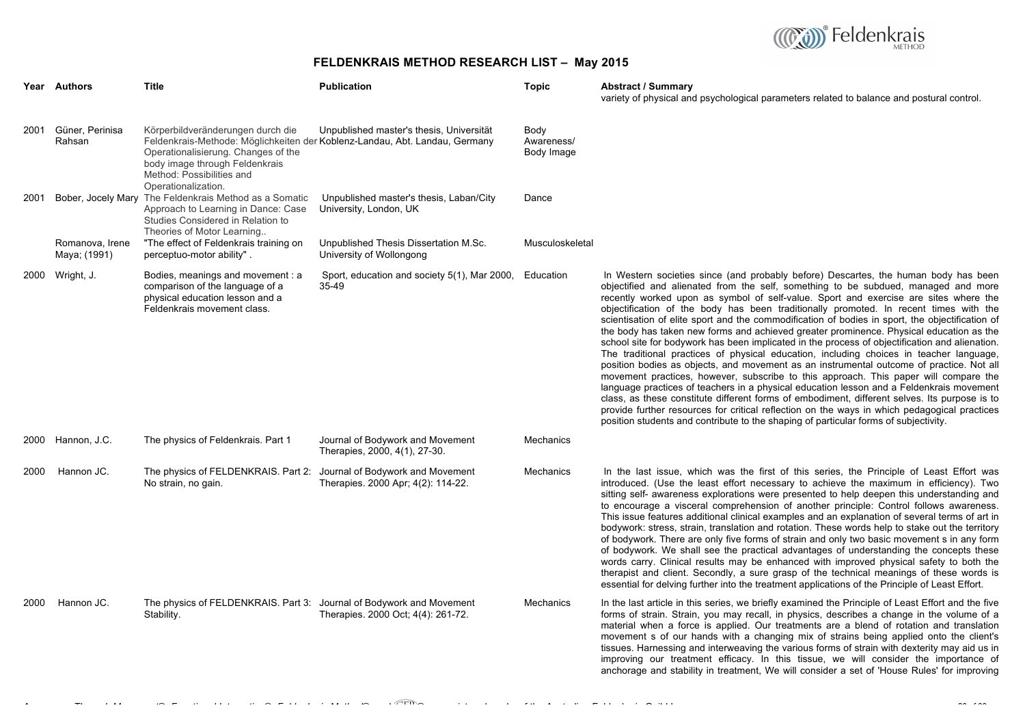

|      | Year Authors                    | <b>Title</b>                                                                                                                                                     | <b>Publication</b>                                                                                                      | <b>Topic</b>                     | <b>Abstract / Summary</b><br>variety of physical and psychological parameters related to balance and postural control.                                                                                                                                                                                                                                                                                                                                                                                                                                                                                                                                                                                                                                                                                                                                                                                                                                                                                                                                                                                                                                                                                                                                                                                                         |
|------|---------------------------------|------------------------------------------------------------------------------------------------------------------------------------------------------------------|-------------------------------------------------------------------------------------------------------------------------|----------------------------------|--------------------------------------------------------------------------------------------------------------------------------------------------------------------------------------------------------------------------------------------------------------------------------------------------------------------------------------------------------------------------------------------------------------------------------------------------------------------------------------------------------------------------------------------------------------------------------------------------------------------------------------------------------------------------------------------------------------------------------------------------------------------------------------------------------------------------------------------------------------------------------------------------------------------------------------------------------------------------------------------------------------------------------------------------------------------------------------------------------------------------------------------------------------------------------------------------------------------------------------------------------------------------------------------------------------------------------|
| 2001 | Güner, Perinisa<br>Rahsan       | Körperbildveränderungen durch die<br>Operationalisierung. Changes of the<br>body image through Feldenkrais<br>Method: Possibilities and<br>Operationalization.   | Unpublished master's thesis, Universität<br>Feldenkrais-Methode: Möglichkeiten der Koblenz-Landau, Abt. Landau, Germany | Body<br>Awareness/<br>Body Image |                                                                                                                                                                                                                                                                                                                                                                                                                                                                                                                                                                                                                                                                                                                                                                                                                                                                                                                                                                                                                                                                                                                                                                                                                                                                                                                                |
| 2001 |                                 | Bober, Jocely Mary The Feldenkrais Method as a Somatic<br>Approach to Learning in Dance: Case<br>Studies Considered in Relation to<br>Theories of Motor Learning | Unpublished master's thesis, Laban/City<br>University, London, UK                                                       | Dance                            |                                                                                                                                                                                                                                                                                                                                                                                                                                                                                                                                                                                                                                                                                                                                                                                                                                                                                                                                                                                                                                                                                                                                                                                                                                                                                                                                |
|      | Romanova, Irene<br>Maya; (1991) | "The effect of Feldenkrais training on<br>perceptuo-motor ability".                                                                                              | Unpublished Thesis Dissertation M.Sc.<br>University of Wollongong                                                       | Musculoskeletal                  |                                                                                                                                                                                                                                                                                                                                                                                                                                                                                                                                                                                                                                                                                                                                                                                                                                                                                                                                                                                                                                                                                                                                                                                                                                                                                                                                |
|      | 2000 Wright, J.                 | Bodies, meanings and movement : a<br>comparison of the language of a<br>physical education lesson and a<br>Feldenkrais movement class.                           | Sport, education and society 5(1), Mar 2000,<br>35-49                                                                   | Education                        | In Western societies since (and probably before) Descartes, the human body has been<br>objectified and alienated from the self, something to be subdued, managed and more<br>recently worked upon as symbol of self-value. Sport and exercise are sites where the<br>objectification of the body has been traditionally promoted. In recent times with the<br>scientisation of elite sport and the commodification of bodies in sport, the objectification of<br>the body has taken new forms and achieved greater prominence. Physical education as the<br>school site for bodywork has been implicated in the process of objectification and alienation.<br>The traditional practices of physical education, including choices in teacher language,<br>position bodies as objects, and movement as an instrumental outcome of practice. Not all<br>movement practices, however, subscribe to this approach. This paper will compare the<br>language practices of teachers in a physical education lesson and a Feldenkrais movement<br>class, as these constitute different forms of embodiment, different selves. Its purpose is to<br>provide further resources for critical reflection on the ways in which pedagogical practices<br>position students and contribute to the shaping of particular forms of subjectivity. |
|      | 2000 Hannon, J.C.               | The physics of Feldenkrais. Part 1                                                                                                                               | Journal of Bodywork and Movement<br>Therapies, 2000, 4(1), 27-30.                                                       | Mechanics                        |                                                                                                                                                                                                                                                                                                                                                                                                                                                                                                                                                                                                                                                                                                                                                                                                                                                                                                                                                                                                                                                                                                                                                                                                                                                                                                                                |
| 2000 | Hannon JC.                      | The physics of FELDENKRAIS. Part 2: Journal of Bodywork and Movement<br>No strain, no gain.                                                                      | Therapies. 2000 Apr; 4(2): 114-22.                                                                                      | Mechanics                        | In the last issue, which was the first of this series, the Principle of Least Effort was<br>introduced. (Use the least effort necessary to achieve the maximum in efficiency). Two<br>sitting self- awareness explorations were presented to help deepen this understanding and<br>to encourage a visceral comprehension of another principle: Control follows awareness.<br>This issue features additional clinical examples and an explanation of several terms of art in<br>bodywork: stress, strain, translation and rotation. These words help to stake out the territory<br>of bodywork. There are only five forms of strain and only two basic movement s in any form<br>of bodywork. We shall see the practical advantages of understanding the concepts these<br>words carry. Clinical results may be enhanced with improved physical safety to both the<br>therapist and client. Secondly, a sure grasp of the technical meanings of these words is<br>essential for delving further into the treatment applications of the Principle of Least Effort.                                                                                                                                                                                                                                                               |
| 2000 | Hannon JC.                      | The physics of FELDENKRAIS. Part 3: Journal of Bodywork and Movement<br>Stability.                                                                               | Therapies. 2000 Oct; 4(4): 261-72.                                                                                      | Mechanics                        | In the last article in this series, we briefly examined the Principle of Least Effort and the five<br>forms of strain. Strain, you may recall, in physics, describes a change in the volume of a<br>material when a force is applied. Our treatments are a blend of rotation and translation<br>movement s of our hands with a changing mix of strains being applied onto the client's<br>tissues. Harnessing and interweaving the various forms of strain with dexterity may aid us in<br>improving our treatment efficacy. In this tissue, we will consider the importance of<br>anchorage and stability in treatment, We will consider a set of 'House Rules' for improving                                                                                                                                                                                                                                                                                                                                                                                                                                                                                                                                                                                                                                                 |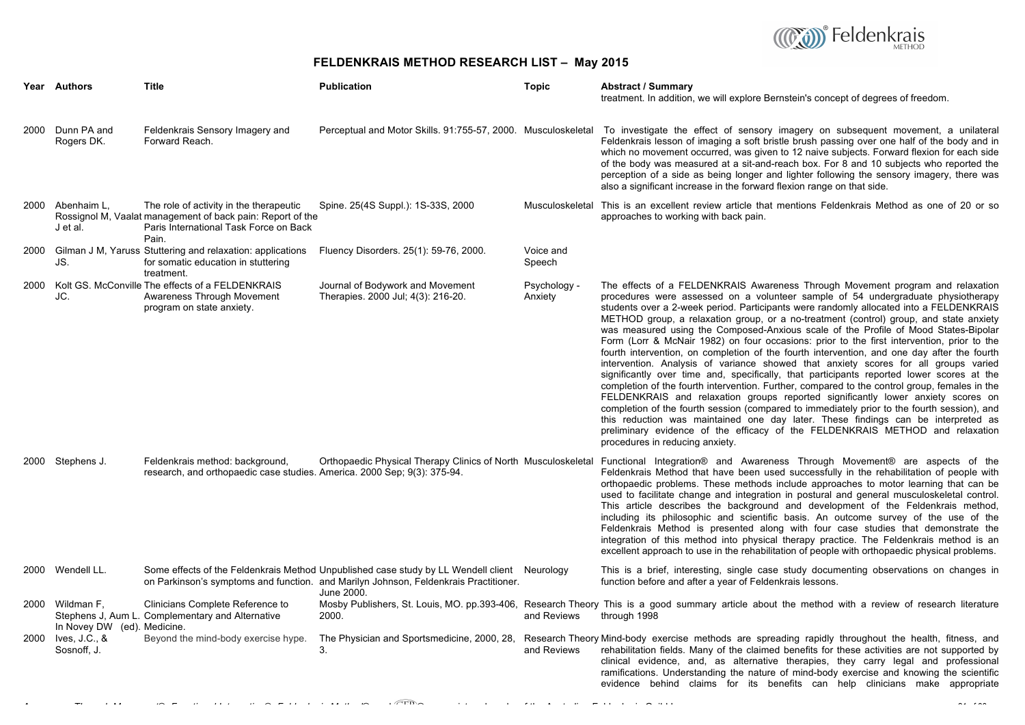

|      | Year Authors                                   | <b>Title</b>                                                                                                                                             | <b>Publication</b>                                                                                                                                                                                 | <b>Topic</b>            | <b>Abstract / Summary</b><br>treatment. In addition, we will explore Bernstein's concept of degrees of freedom.                                                                                                                                                                                                                                                                                                                                                                                                                                                                                                                                                                                                                                                                                                                                                                                                                                                                                                                                                                                                                                                                                                                                                                                                             |
|------|------------------------------------------------|----------------------------------------------------------------------------------------------------------------------------------------------------------|----------------------------------------------------------------------------------------------------------------------------------------------------------------------------------------------------|-------------------------|-----------------------------------------------------------------------------------------------------------------------------------------------------------------------------------------------------------------------------------------------------------------------------------------------------------------------------------------------------------------------------------------------------------------------------------------------------------------------------------------------------------------------------------------------------------------------------------------------------------------------------------------------------------------------------------------------------------------------------------------------------------------------------------------------------------------------------------------------------------------------------------------------------------------------------------------------------------------------------------------------------------------------------------------------------------------------------------------------------------------------------------------------------------------------------------------------------------------------------------------------------------------------------------------------------------------------------|
| 2000 | Dunn PA and<br>Rogers DK.                      | Feldenkrais Sensory Imagery and<br>Forward Reach.                                                                                                        | Perceptual and Motor Skills. 91:755-57, 2000. Musculoskeletal                                                                                                                                      |                         | To investigate the effect of sensory imagery on subsequent movement, a unilateral<br>Feldenkrais lesson of imaging a soft bristle brush passing over one half of the body and in<br>which no movement occurred, was given to 12 naive subjects. Forward flexion for each side<br>of the body was measured at a sit-and-reach box. For 8 and 10 subjects who reported the<br>perception of a side as being longer and lighter following the sensory imagery, there was<br>also a significant increase in the forward flexion range on that side.                                                                                                                                                                                                                                                                                                                                                                                                                                                                                                                                                                                                                                                                                                                                                                             |
|      | 2000 Abenhaim L.<br>J et al.                   | The role of activity in the therapeutic<br>Rossignol M, Vaalat management of back pain: Report of the<br>Paris International Task Force on Back<br>Pain. | Spine. 25(4S Suppl.): 1S-33S, 2000                                                                                                                                                                 |                         | Musculoskeletal This is an excellent review article that mentions Feldenkrais Method as one of 20 or so<br>approaches to working with back pain.                                                                                                                                                                                                                                                                                                                                                                                                                                                                                                                                                                                                                                                                                                                                                                                                                                                                                                                                                                                                                                                                                                                                                                            |
| 2000 | JS.                                            | Gilman J M, Yaruss Stuttering and relaxation: applications<br>for somatic education in stuttering<br>treatment.                                          | Fluency Disorders. 25(1): 59-76, 2000.                                                                                                                                                             | Voice and<br>Speech     |                                                                                                                                                                                                                                                                                                                                                                                                                                                                                                                                                                                                                                                                                                                                                                                                                                                                                                                                                                                                                                                                                                                                                                                                                                                                                                                             |
| 2000 | JC.                                            | Kolt GS. McConville The effects of a FELDENKRAIS<br>Awareness Through Movement<br>program on state anxiety.                                              | Journal of Bodywork and Movement<br>Therapies. 2000 Jul; 4(3): 216-20.                                                                                                                             | Psychology -<br>Anxiety | The effects of a FELDENKRAIS Awareness Through Movement program and relaxation<br>procedures were assessed on a volunteer sample of 54 undergraduate physiotherapy<br>students over a 2-week period. Participants were randomly allocated into a FELDENKRAIS<br>METHOD group, a relaxation group, or a no-treatment (control) group, and state anxiety<br>was measured using the Composed-Anxious scale of the Profile of Mood States-Bipolar<br>Form (Lorr & McNair 1982) on four occasions: prior to the first intervention, prior to the<br>fourth intervention, on completion of the fourth intervention, and one day after the fourth<br>intervention. Analysis of variance showed that anxiety scores for all groups varied<br>significantly over time and, specifically, that participants reported lower scores at the<br>completion of the fourth intervention. Further, compared to the control group, females in the<br>FELDENKRAIS and relaxation groups reported significantly lower anxiety scores on<br>completion of the fourth session (compared to immediately prior to the fourth session), and<br>this reduction was maintained one day later. These findings can be interpreted as<br>preliminary evidence of the efficacy of the FELDENKRAIS METHOD and relaxation<br>procedures in reducing anxiety. |
|      | 2000 Stephens J.                               | Feldenkrais method: background,<br>research, and orthopaedic case studies. America. 2000 Sep; 9(3): 375-94.                                              |                                                                                                                                                                                                    |                         | Orthopaedic Physical Therapy Clinics of North Musculoskeletal Functional Integration® and Awareness Through Movement® are aspects of the<br>Feldenkrais Method that have been used successfully in the rehabilitation of people with<br>orthopaedic problems. These methods include approaches to motor learning that can be<br>used to facilitate change and integration in postural and general musculoskeletal control.<br>This article describes the background and development of the Feldenkrais method,<br>including its philosophic and scientific basis. An outcome survey of the use of the<br>Feldenkrais Method is presented along with four case studies that demonstrate the<br>integration of this method into physical therapy practice. The Feldenkrais method is an<br>excellent approach to use in the rehabilitation of people with orthopaedic physical problems.                                                                                                                                                                                                                                                                                                                                                                                                                                      |
|      | 2000 Wendell LL.                               |                                                                                                                                                          | Some effects of the Feldenkrais Method Unpublished case study by LL Wendell client Neurology<br>on Parkinson's symptoms and function. and Marilyn Johnson, Feldenkrais Practitioner.<br>June 2000. |                         | This is a brief, interesting, single case study documenting observations on changes in<br>function before and after a year of Feldenkrais lessons.                                                                                                                                                                                                                                                                                                                                                                                                                                                                                                                                                                                                                                                                                                                                                                                                                                                                                                                                                                                                                                                                                                                                                                          |
|      | 2000 Wildman F,<br>In Novey DW (ed). Medicine. | Clinicians Complete Reference to<br>Stephens J, Aum L. Complementary and Alternative                                                                     | 2000.                                                                                                                                                                                              | and Reviews             | Mosby Publishers, St. Louis, MO. pp.393-406, Research Theory This is a good summary article about the method with a review of research literature<br>through 1998                                                                                                                                                                                                                                                                                                                                                                                                                                                                                                                                                                                                                                                                                                                                                                                                                                                                                                                                                                                                                                                                                                                                                           |
|      | 2000 Ives, J.C., &<br>Sosnoff, J.              | Beyond the mind-body exercise hype.                                                                                                                      | The Physician and Sportsmedicine, 2000, 28,<br>3.                                                                                                                                                  | and Reviews             | Research Theory Mind-body exercise methods are spreading rapidly throughout the health, fitness, and<br>rehabilitation fields. Many of the claimed benefits for these activities are not supported by<br>clinical evidence, and, as alternative therapies, they carry legal and professional<br>ramifications. Understanding the nature of mind-body exercise and knowing the scientific<br>evidence behind claims for its benefits can help clinicians make appropriate                                                                                                                                                                                                                                                                                                                                                                                                                                                                                                                                                                                                                                                                                                                                                                                                                                                    |
|      |                                                |                                                                                                                                                          | . $\widehat{\mathcal{C}}$ td $\widehat{\mathcal{C}}$                                                                                                                                               |                         | $\sim$ $\sim$                                                                                                                                                                                                                                                                                                                                                                                                                                                                                                                                                                                                                                                                                                                                                                                                                                                                                                                                                                                                                                                                                                                                                                                                                                                                                                               |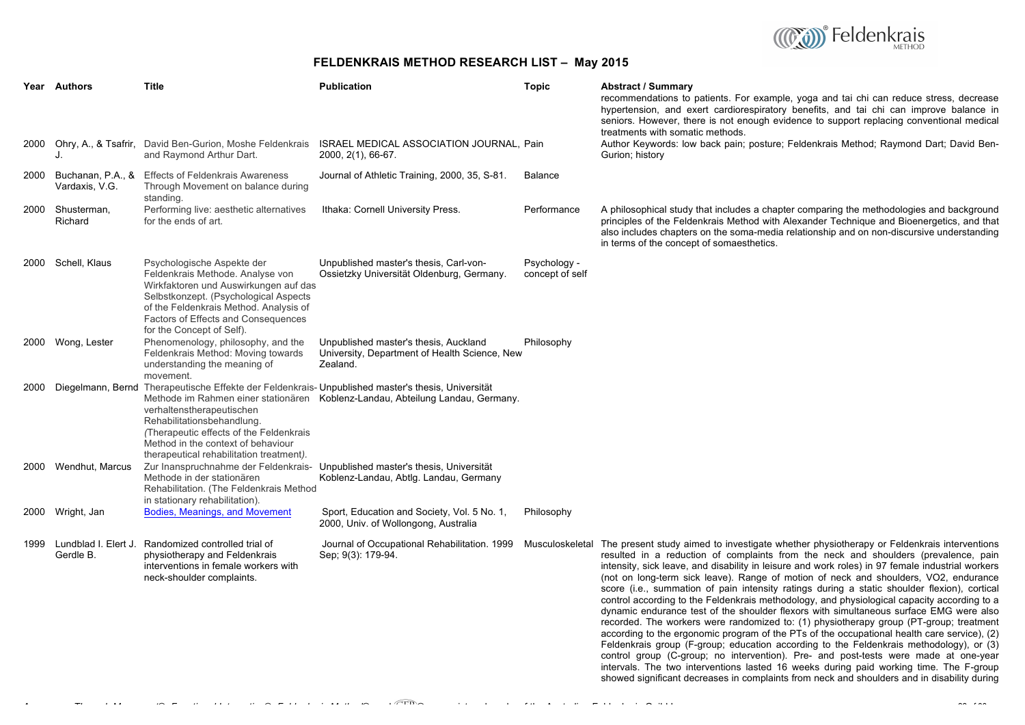

|      | Year Authors                             | <b>Title</b>                                                                                                                                                                                                                                                   | <b>Publication</b>                                                                                                                                                                   | <b>Topic</b>                    | <b>Abstract / Summary</b><br>recommendations to patients. For example, yoga and tai chi can reduce stress, decrease<br>hypertension, and exert cardiorespiratory benefits, and tai chi can improve balance in<br>seniors. However, there is not enough evidence to support replacing conventional medical<br>treatments with somatic methods.                                                                                                                                                                                                                                                                                                                                                                                                                                                                                                                                                                                                                                                                                                                                                                                                                                                                                                             |
|------|------------------------------------------|----------------------------------------------------------------------------------------------------------------------------------------------------------------------------------------------------------------------------------------------------------------|--------------------------------------------------------------------------------------------------------------------------------------------------------------------------------------|---------------------------------|-----------------------------------------------------------------------------------------------------------------------------------------------------------------------------------------------------------------------------------------------------------------------------------------------------------------------------------------------------------------------------------------------------------------------------------------------------------------------------------------------------------------------------------------------------------------------------------------------------------------------------------------------------------------------------------------------------------------------------------------------------------------------------------------------------------------------------------------------------------------------------------------------------------------------------------------------------------------------------------------------------------------------------------------------------------------------------------------------------------------------------------------------------------------------------------------------------------------------------------------------------------|
| 2000 |                                          | Ohry, A., & Tsafrir, David Ben-Gurion, Moshe Feldenkrais<br>and Raymond Arthur Dart.                                                                                                                                                                           | ISRAEL MEDICAL ASSOCIATION JOURNAL, Pain<br>2000, 2(1), 66-67.                                                                                                                       |                                 | Author Keywords: low back pain; posture; Feldenkrais Method; Raymond Dart; David Ben-<br>Gurion; history                                                                                                                                                                                                                                                                                                                                                                                                                                                                                                                                                                                                                                                                                                                                                                                                                                                                                                                                                                                                                                                                                                                                                  |
|      | 2000 Buchanan, P.A., &<br>Vardaxis, V.G. | <b>Effects of Feldenkrais Awareness</b><br>Through Movement on balance during<br>standing.                                                                                                                                                                     | Journal of Athletic Training, 2000, 35, S-81.                                                                                                                                        | <b>Balance</b>                  |                                                                                                                                                                                                                                                                                                                                                                                                                                                                                                                                                                                                                                                                                                                                                                                                                                                                                                                                                                                                                                                                                                                                                                                                                                                           |
|      | 2000 Shusterman,<br>Richard              | Performing live: aesthetic alternatives<br>for the ends of art.                                                                                                                                                                                                | Ithaka: Cornell University Press.                                                                                                                                                    | Performance                     | A philosophical study that includes a chapter comparing the methodologies and background<br>principles of the Feldenkrais Method with Alexander Technique and Bioenergetics, and that<br>also includes chapters on the soma-media relationship and on non-discursive understanding<br>in terms of the concept of somaesthetics.                                                                                                                                                                                                                                                                                                                                                                                                                                                                                                                                                                                                                                                                                                                                                                                                                                                                                                                           |
| 2000 | Schell, Klaus                            | Psychologische Aspekte der<br>Feldenkrais Methode. Analyse von<br>Wirkfaktoren und Auswirkungen auf das<br>Selbstkonzept. (Psychological Aspects<br>of the Feldenkrais Method. Analysis of<br>Factors of Effects and Consequences<br>for the Concept of Self). | Unpublished master's thesis, Carl-von-<br>Ossietzky Universität Oldenburg, Germany.                                                                                                  | Psychology -<br>concept of self |                                                                                                                                                                                                                                                                                                                                                                                                                                                                                                                                                                                                                                                                                                                                                                                                                                                                                                                                                                                                                                                                                                                                                                                                                                                           |
|      | 2000 Wong, Lester                        | Phenomenology, philosophy, and the<br>Feldenkrais Method: Moving towards<br>understanding the meaning of<br>movement.                                                                                                                                          | Unpublished master's thesis, Auckland<br>University, Department of Health Science, New<br>Zealand.                                                                                   | Philosophy                      |                                                                                                                                                                                                                                                                                                                                                                                                                                                                                                                                                                                                                                                                                                                                                                                                                                                                                                                                                                                                                                                                                                                                                                                                                                                           |
| 2000 |                                          | verhaltenstherapeutischen<br>Rehabilitationsbehandlung.<br>(Therapeutic effects of the Feldenkrais<br>Method in the context of behaviour<br>therapeutical rehabilitation treatment).                                                                           | Diegelmann, Bernd Therapeutische Effekte der Feldenkrais- Unpublished master's thesis, Universität<br>Methode im Rahmen einer stationären Koblenz-Landau, Abteilung Landau, Germany. |                                 |                                                                                                                                                                                                                                                                                                                                                                                                                                                                                                                                                                                                                                                                                                                                                                                                                                                                                                                                                                                                                                                                                                                                                                                                                                                           |
|      | 2000 Wendhut, Marcus                     | Zur Inanspruchnahme der Feldenkrais-<br>Methode in der stationären<br>Rehabilitation. (The Feldenkrais Method<br>in stationary rehabilitation).                                                                                                                | Unpublished master's thesis, Universität<br>Koblenz-Landau, Abtlg. Landau, Germany                                                                                                   |                                 |                                                                                                                                                                                                                                                                                                                                                                                                                                                                                                                                                                                                                                                                                                                                                                                                                                                                                                                                                                                                                                                                                                                                                                                                                                                           |
|      | 2000 Wright, Jan                         | <b>Bodies, Meanings, and Movement</b>                                                                                                                                                                                                                          | Sport, Education and Society, Vol. 5 No. 1,<br>2000, Univ. of Wollongong, Australia                                                                                                  | Philosophy                      |                                                                                                                                                                                                                                                                                                                                                                                                                                                                                                                                                                                                                                                                                                                                                                                                                                                                                                                                                                                                                                                                                                                                                                                                                                                           |
| 1999 | Gerdle B.                                | Lundblad I. Elert J. Randomized controlled trial of<br>physiotherapy and Feldenkrais<br>interventions in female workers with<br>neck-shoulder complaints.                                                                                                      | Journal of Occupational Rehabilitation. 1999<br>Sep; 9(3): 179-94.                                                                                                                   |                                 | Musculoskeletal The present study aimed to investigate whether physiotherapy or Feldenkrais interventions<br>resulted in a reduction of complaints from the neck and shoulders (prevalence, pain<br>intensity, sick leave, and disability in leisure and work roles) in 97 female industrial workers<br>(not on long-term sick leave). Range of motion of neck and shoulders, VO2, endurance<br>score (i.e., summation of pain intensity ratings during a static shoulder flexion), cortical<br>control according to the Feldenkrais methodology, and physiological capacity according to a<br>dynamic endurance test of the shoulder flexors with simultaneous surface EMG were also<br>recorded. The workers were randomized to: (1) physiotherapy group (PT-group; treatment<br>according to the ergonomic program of the PTs of the occupational health care service), (2)<br>Feldenkrais group (F-group; education according to the Feldenkrais methodology), or (3)<br>control group (C-group; no intervention). Pre- and post-tests were made at one-year<br>intervals. The two interventions lasted 16 weeks during paid working time. The F-group<br>showed significant decreases in complaints from neck and shoulders and in disability during |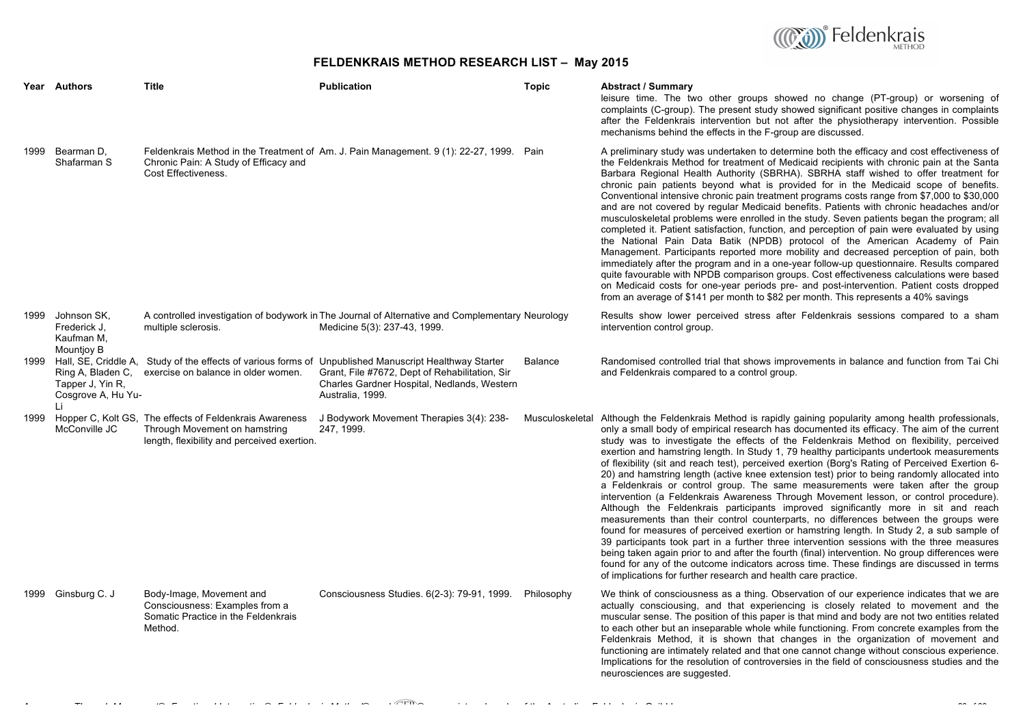

|      | Year Authors                                            | <b>Title</b>                                                                                                                            | <b>Publication</b>                                                                                                                                                                                                          | <b>Topic</b>   | <b>Abstract / Summary</b><br>leisure time. The two other groups showed no change (PT-group) or worsening of<br>complaints (C-group). The present study showed significant positive changes in complaints<br>after the Feldenkrais intervention but not after the physiotherapy intervention. Possible<br>mechanisms behind the effects in the F-group are discussed.                                                                                                                                                                                                                                                                                                                                                                                                                                                                                                                                                                                                                                                                                                                                                                                                                                                                                                                                                                                                                                                          |
|------|---------------------------------------------------------|-----------------------------------------------------------------------------------------------------------------------------------------|-----------------------------------------------------------------------------------------------------------------------------------------------------------------------------------------------------------------------------|----------------|-------------------------------------------------------------------------------------------------------------------------------------------------------------------------------------------------------------------------------------------------------------------------------------------------------------------------------------------------------------------------------------------------------------------------------------------------------------------------------------------------------------------------------------------------------------------------------------------------------------------------------------------------------------------------------------------------------------------------------------------------------------------------------------------------------------------------------------------------------------------------------------------------------------------------------------------------------------------------------------------------------------------------------------------------------------------------------------------------------------------------------------------------------------------------------------------------------------------------------------------------------------------------------------------------------------------------------------------------------------------------------------------------------------------------------|
| 1999 | Bearman D,<br>Shafarman S                               | Chronic Pain: A Study of Efficacy and<br>Cost Effectiveness.                                                                            | Feldenkrais Method in the Treatment of Am. J. Pain Management. 9 (1): 22-27, 1999. Pain                                                                                                                                     |                | A preliminary study was undertaken to determine both the efficacy and cost effectiveness of<br>the Feldenkrais Method for treatment of Medicaid recipients with chronic pain at the Santa<br>Barbara Regional Health Authority (SBRHA). SBRHA staff wished to offer treatment for<br>chronic pain patients beyond what is provided for in the Medicaid scope of benefits.<br>Conventional intensive chronic pain treatment programs costs range from \$7,000 to \$30,000<br>and are not covered by regular Medicaid benefits. Patients with chronic headaches and/or<br>musculoskeletal problems were enrolled in the study. Seven patients began the program; all<br>completed it. Patient satisfaction, function, and perception of pain were evaluated by using<br>the National Pain Data Batik (NPDB) protocol of the American Academy of Pain<br>Management. Participants reported more mobility and decreased perception of pain, both<br>immediately after the program and in a one-year follow-up questionnaire. Results compared<br>quite favourable with NPDB comparison groups. Cost effectiveness calculations were based<br>on Medicaid costs for one-year periods pre- and post-intervention. Patient costs dropped<br>from an average of \$141 per month to \$82 per month. This represents a 40% savings                                                                                                      |
| 1999 | Johnson SK,<br>Frederick J.<br>Kaufman M,<br>Mountjoy B | multiple sclerosis.                                                                                                                     | A controlled investigation of bodywork in The Journal of Alternative and Complementary Neurology<br>Medicine 5(3): 237-43, 1999.                                                                                            |                | Results show lower perceived stress after Feldenkrais sessions compared to a sham<br>intervention control group.                                                                                                                                                                                                                                                                                                                                                                                                                                                                                                                                                                                                                                                                                                                                                                                                                                                                                                                                                                                                                                                                                                                                                                                                                                                                                                              |
| 1999 | Tapper J, Yin R,<br>Cosgrove A, Hu Yu-<br>Li.           | Ring A, Bladen C, exercise on balance in older women.                                                                                   | Hall, SE, Criddle A, Study of the effects of various forms of Unpublished Manuscript Healthway Starter<br>Grant, File #7672, Dept of Rehabilitation, Sir<br>Charles Gardner Hospital, Nedlands, Western<br>Australia, 1999. | <b>Balance</b> | Randomised controlled trial that shows improvements in balance and function from Tai Chi<br>and Feldenkrais compared to a control group.                                                                                                                                                                                                                                                                                                                                                                                                                                                                                                                                                                                                                                                                                                                                                                                                                                                                                                                                                                                                                                                                                                                                                                                                                                                                                      |
| 1999 | McConville JC                                           | Hopper C, Kolt GS, The effects of Feldenkrais Awareness<br>Through Movement on hamstring<br>length, flexibility and perceived exertion. | J Bodywork Movement Therapies 3(4): 238-<br>247, 1999.                                                                                                                                                                      |                | Musculoskeletal Although the Feldenkrais Method is rapidly gaining popularity among health professionals,<br>only a small body of empirical research has documented its efficacy. The aim of the current<br>study was to investigate the effects of the Feldenkrais Method on flexibility, perceived<br>exertion and hamstring length. In Study 1, 79 healthy participants undertook measurements<br>of flexibility (sit and reach test), perceived exertion (Borg's Rating of Perceived Exertion 6-<br>20) and hamstring length (active knee extension test) prior to being randomly allocated into<br>a Feldenkrais or control group. The same measurements were taken after the group<br>intervention (a Feldenkrais Awareness Through Movement lesson, or control procedure).<br>Although the Feldenkrais participants improved significantly more in sit and reach<br>measurements than their control counterparts, no differences between the groups were<br>found for measures of perceived exertion or hamstring length. In Study 2, a sub sample of<br>39 participants took part in a further three intervention sessions with the three measures<br>being taken again prior to and after the fourth (final) intervention. No group differences were<br>found for any of the outcome indicators across time. These findings are discussed in terms<br>of implications for further research and health care practice. |
|      | 1999 Ginsburg C. J                                      | Body-Image, Movement and<br>Consciousness: Examples from a<br>Somatic Practice in the Feldenkrais<br>Method.                            | Consciousness Studies. 6(2-3): 79-91, 1999.                                                                                                                                                                                 | Philosophy     | We think of consciousness as a thing. Observation of our experience indicates that we are<br>actually consciousing, and that experiencing is closely related to movement and the<br>muscular sense. The position of this paper is that mind and body are not two entities related<br>to each other but an inseparable whole while functioning. From concrete examples from the<br>Feldenkrais Method, it is shown that changes in the organization of movement and<br>functioning are intimately related and that one cannot change without conscious experience.<br>Implications for the resolution of controversies in the field of consciousness studies and the<br>neurosciences are suggested.                                                                                                                                                                                                                                                                                                                                                                                                                                                                                                                                                                                                                                                                                                                           |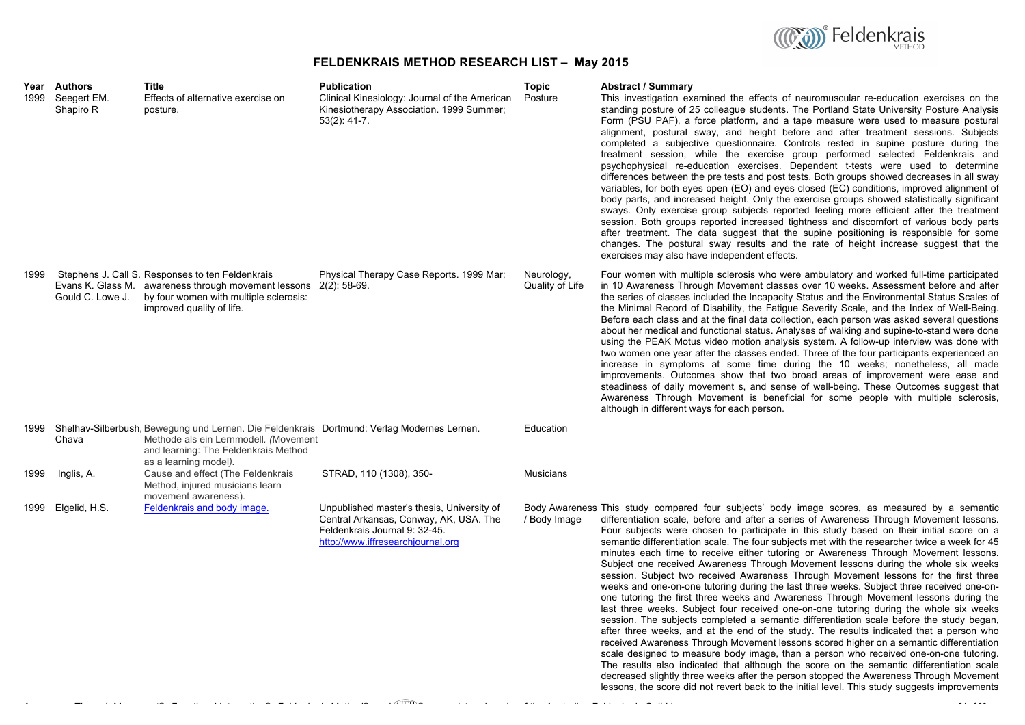

| 1999 | Year Authors<br>Seegert EM.<br>Shapiro R | Title<br>Effects of alternative exercise on<br>posture.                                                                                                                                                       | <b>Publication</b><br>Clinical Kinesiology: Journal of the American<br>Kinesiotherapy Association. 1999 Summer;<br>$53(2)$ : 41-7.                         | Topic<br>Posture              | <b>Abstract / Summary</b><br>This investigation examined the effects of neuromuscular re-education exercises on the<br>standing posture of 25 colleague students. The Portland State University Posture Analysis<br>Form (PSU PAF), a force platform, and a tape measure were used to measure postural<br>alignment, postural sway, and height before and after treatment sessions. Subjects<br>completed a subjective questionnaire. Controls rested in supine posture during the<br>treatment session, while the exercise group performed selected Feldenkrais and<br>psychophysical re-education exercises. Dependent t-tests were used to determine<br>differences between the pre tests and post tests. Both groups showed decreases in all sway<br>variables, for both eyes open (EO) and eyes closed (EC) conditions, improved alignment of<br>body parts, and increased height. Only the exercise groups showed statistically significant<br>sways. Only exercise group subjects reported feeling more efficient after the treatment<br>session. Both groups reported increased tightness and discomfort of various body parts<br>after treatment. The data suggest that the supine positioning is responsible for some<br>changes. The postural sway results and the rate of height increase suggest that the<br>exercises may also have independent effects.                                                                                                                                                                                                                                       |
|------|------------------------------------------|---------------------------------------------------------------------------------------------------------------------------------------------------------------------------------------------------------------|------------------------------------------------------------------------------------------------------------------------------------------------------------|-------------------------------|--------------------------------------------------------------------------------------------------------------------------------------------------------------------------------------------------------------------------------------------------------------------------------------------------------------------------------------------------------------------------------------------------------------------------------------------------------------------------------------------------------------------------------------------------------------------------------------------------------------------------------------------------------------------------------------------------------------------------------------------------------------------------------------------------------------------------------------------------------------------------------------------------------------------------------------------------------------------------------------------------------------------------------------------------------------------------------------------------------------------------------------------------------------------------------------------------------------------------------------------------------------------------------------------------------------------------------------------------------------------------------------------------------------------------------------------------------------------------------------------------------------------------------------------------------------------------------------------------------------|
| 1999 |                                          | Stephens J. Call S. Responses to ten Feldenkrais<br>Evans K. Glass M. awareness through movement lessons 2(2): 58-69.<br>Gould C. Lowe J. by four women with multiple sclerosis:<br>improved quality of life. | Physical Therapy Case Reports. 1999 Mar;                                                                                                                   | Neurology,<br>Quality of Life | Four women with multiple sclerosis who were ambulatory and worked full-time participated<br>in 10 Awareness Through Movement classes over 10 weeks. Assessment before and after<br>the series of classes included the Incapacity Status and the Environmental Status Scales of<br>the Minimal Record of Disability, the Fatigue Severity Scale, and the Index of Well-Being.<br>Before each class and at the final data collection, each person was asked several questions<br>about her medical and functional status. Analyses of walking and supine-to-stand were done<br>using the PEAK Motus video motion analysis system. A follow-up interview was done with<br>two women one year after the classes ended. Three of the four participants experienced an<br>increase in symptoms at some time during the 10 weeks; nonetheless, all made<br>improvements. Outcomes show that two broad areas of improvement were ease and<br>steadiness of daily movement s, and sense of well-being. These Outcomes suggest that<br>Awareness Through Movement is beneficial for some people with multiple sclerosis,<br>although in different ways for each person.                                                                                                                                                                                                                                                                                                                                                                                                                                                |
| 1999 | Chava                                    | Shelhav-Silberbush, Bewegung und Lernen. Die Feldenkrais Dortmund: Verlag Modernes Lernen.<br>Methode als ein Lernmodell. (Movement<br>and learning: The Feldenkrais Method<br>as a learning model).          |                                                                                                                                                            | Education                     |                                                                                                                                                                                                                                                                                                                                                                                                                                                                                                                                                                                                                                                                                                                                                                                                                                                                                                                                                                                                                                                                                                                                                                                                                                                                                                                                                                                                                                                                                                                                                                                                              |
| 1999 | Inglis, A.                               | Cause and effect (The Feldenkrais<br>Method, injured musicians learn<br>movement awareness).                                                                                                                  | STRAD, 110 (1308), 350-                                                                                                                                    | Musicians                     |                                                                                                                                                                                                                                                                                                                                                                                                                                                                                                                                                                                                                                                                                                                                                                                                                                                                                                                                                                                                                                                                                                                                                                                                                                                                                                                                                                                                                                                                                                                                                                                                              |
| 1999 | Elgelid, H.S.                            | Feldenkrais and body image.                                                                                                                                                                                   | Unpublished master's thesis, University of<br>Central Arkansas, Conway, AK, USA. The<br>Feldenkrais Journal 9: 32-45.<br>http://www.iffresearchjournal.org | / Body Image                  | Body Awareness This study compared four subjects' body image scores, as measured by a semantic<br>differentiation scale, before and after a series of Awareness Through Movement lessons.<br>Four subjects were chosen to participate in this study based on their initial score on a<br>semantic differentiation scale. The four subjects met with the researcher twice a week for 45<br>minutes each time to receive either tutoring or Awareness Through Movement lessons.<br>Subject one received Awareness Through Movement lessons during the whole six weeks<br>session. Subject two received Awareness Through Movement lessons for the first three<br>weeks and one-on-one tutoring during the last three weeks. Subject three received one-on-<br>one tutoring the first three weeks and Awareness Through Movement lessons during the<br>last three weeks. Subject four received one-on-one tutoring during the whole six weeks<br>session. The subjects completed a semantic differentiation scale before the study began,<br>after three weeks, and at the end of the study. The results indicated that a person who<br>received Awareness Through Movement lessons scored higher on a semantic differentiation<br>scale designed to measure body image, than a person who received one-on-one tutoring.<br>The results also indicated that although the score on the semantic differentiation scale<br>decreased slightly three weeks after the person stopped the Awareness Through Movement<br>lessons, the score did not revert back to the initial level. This study suggests improvements |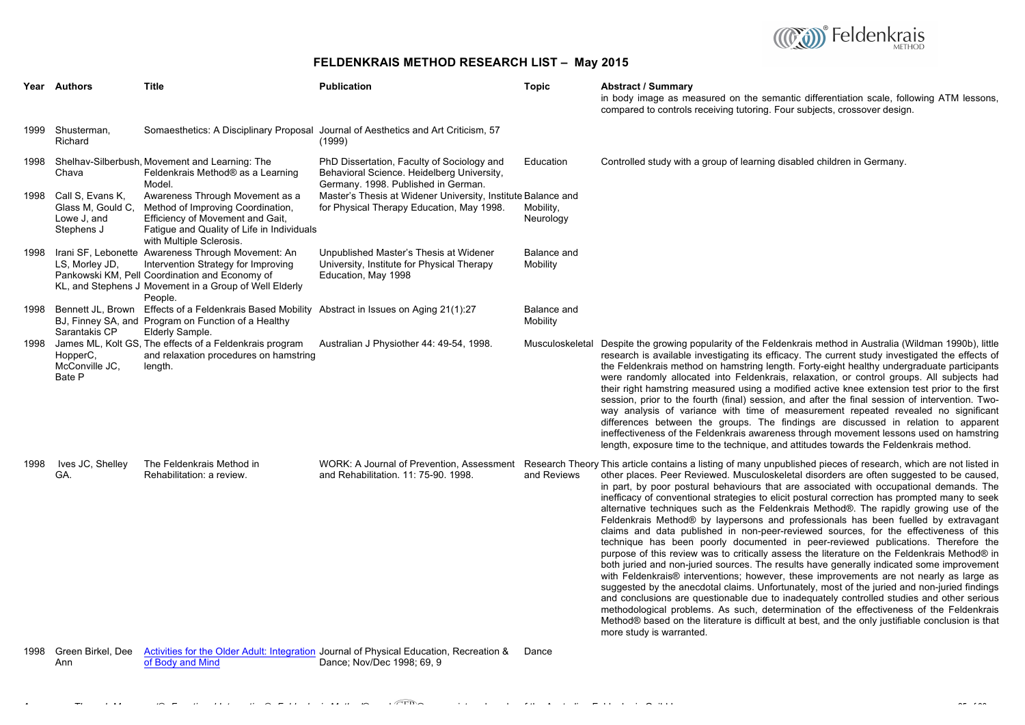

|      | Year Authors                                                       | Title                                                                                                                                                                                                            | <b>Publication</b>                                                                                                              | <b>Topic</b>            | <b>Abstract / Summary</b><br>in body image as measured on the semantic differentiation scale, following ATM lessons,<br>compared to controls receiving tutoring. Four subjects, crossover design.                                                                                                                                                                                                                                                                                                                                                                                                                                                                                                                                                                                                                                                                                                                                                                                                                                                                                                                                                                                                                                                                                                                                                                                                                                                                                                                                 |
|------|--------------------------------------------------------------------|------------------------------------------------------------------------------------------------------------------------------------------------------------------------------------------------------------------|---------------------------------------------------------------------------------------------------------------------------------|-------------------------|-----------------------------------------------------------------------------------------------------------------------------------------------------------------------------------------------------------------------------------------------------------------------------------------------------------------------------------------------------------------------------------------------------------------------------------------------------------------------------------------------------------------------------------------------------------------------------------------------------------------------------------------------------------------------------------------------------------------------------------------------------------------------------------------------------------------------------------------------------------------------------------------------------------------------------------------------------------------------------------------------------------------------------------------------------------------------------------------------------------------------------------------------------------------------------------------------------------------------------------------------------------------------------------------------------------------------------------------------------------------------------------------------------------------------------------------------------------------------------------------------------------------------------------|
| 1999 | Shusterman,<br>Richard                                             |                                                                                                                                                                                                                  | Somaesthetics: A Disciplinary Proposal Journal of Aesthetics and Art Criticism, 57<br>(1999)                                    |                         |                                                                                                                                                                                                                                                                                                                                                                                                                                                                                                                                                                                                                                                                                                                                                                                                                                                                                                                                                                                                                                                                                                                                                                                                                                                                                                                                                                                                                                                                                                                                   |
| 1998 | Chava                                                              | Shelhav-Silberbush, Movement and Learning: The<br>Feldenkrais Method® as a Learning<br>Model.                                                                                                                    | PhD Dissertation, Faculty of Sociology and<br>Behavioral Science. Heidelberg University,<br>Germany. 1998. Published in German. | Education               | Controlled study with a group of learning disabled children in Germany.                                                                                                                                                                                                                                                                                                                                                                                                                                                                                                                                                                                                                                                                                                                                                                                                                                                                                                                                                                                                                                                                                                                                                                                                                                                                                                                                                                                                                                                           |
| 1998 | Call S, Evans K,<br>Glass M, Gould C,<br>Lowe J, and<br>Stephens J | Awareness Through Movement as a<br>Method of Improving Coordination,<br>Efficiency of Movement and Gait,<br>Fatigue and Quality of Life in Individuals<br>with Multiple Sclerosis.                               | Master's Thesis at Widener University, Institute Balance and<br>for Physical Therapy Education, May 1998.                       | Mobility,<br>Neurology  |                                                                                                                                                                                                                                                                                                                                                                                                                                                                                                                                                                                                                                                                                                                                                                                                                                                                                                                                                                                                                                                                                                                                                                                                                                                                                                                                                                                                                                                                                                                                   |
| 1998 | LS, Morley JD,                                                     | Irani SF, Lebonette Awareness Through Movement: An<br>Intervention Strategy for Improving<br>Pankowski KM, Pell Coordination and Economy of<br>KL, and Stephens J Movement in a Group of Well Elderly<br>People. | Unpublished Master's Thesis at Widener<br>University, Institute for Physical Therapy<br>Education, May 1998                     | Balance and<br>Mobility |                                                                                                                                                                                                                                                                                                                                                                                                                                                                                                                                                                                                                                                                                                                                                                                                                                                                                                                                                                                                                                                                                                                                                                                                                                                                                                                                                                                                                                                                                                                                   |
| 1998 | Sarantakis CP                                                      | Bennett JL, Brown Effects of a Feldenkrais Based Mobility Abstract in Issues on Aging 21(1):27<br>BJ, Finney SA, and Program on Function of a Healthy<br>Elderly Sample.                                         |                                                                                                                                 | Balance and<br>Mobility |                                                                                                                                                                                                                                                                                                                                                                                                                                                                                                                                                                                                                                                                                                                                                                                                                                                                                                                                                                                                                                                                                                                                                                                                                                                                                                                                                                                                                                                                                                                                   |
| 1998 | HopperC,<br>McConville JC,<br>Bate P                               | James ML, Kolt GS, The effects of a Feldenkrais program<br>and relaxation procedures on hamstring<br>length.                                                                                                     | Australian J Physiother 44: 49-54, 1998.                                                                                        |                         | Musculoskeletal Despite the growing popularity of the Feldenkrais method in Australia (Wildman 1990b), little<br>research is available investigating its efficacy. The current study investigated the effects of<br>the Feldenkrais method on hamstring length. Forty-eight healthy undergraduate participants<br>were randomly allocated into Feldenkrais, relaxation, or control groups. All subjects had<br>their right hamstring measured using a modified active knee extension test prior to the first<br>session, prior to the fourth (final) session, and after the final session of intervention. Two-<br>way analysis of variance with time of measurement repeated revealed no significant<br>differences between the groups. The findings are discussed in relation to apparent<br>ineffectiveness of the Feldenkrais awareness through movement lessons used on hamstring<br>length, exposure time to the technique, and attitudes towards the Feldenkrais method.                                                                                                                                                                                                                                                                                                                                                                                                                                                                                                                                                   |
| 1998 | Ives JC, Shelley<br>GA.                                            | The Feldenkrais Method in<br>Rehabilitation: a review.                                                                                                                                                           | and Rehabilitation. 11: 75-90. 1998.                                                                                            | and Reviews             | WORK: A Journal of Prevention, Assessment Research Theory This article contains a listing of many unpublished pieces of research, which are not listed in<br>other places. Peer Reviewed. Musculoskeletal disorders are often suggested to be caused,<br>in part, by poor postural behaviours that are associated with occupational demands. The<br>inefficacy of conventional strategies to elicit postural correction has prompted many to seek<br>alternative techniques such as the Feldenkrais Method®. The rapidly growing use of the<br>Feldenkrais Method® by laypersons and professionals has been fuelled by extravagant<br>claims and data published in non-peer-reviewed sources, for the effectiveness of this<br>technique has been poorly documented in peer-reviewed publications. Therefore the<br>purpose of this review was to critically assess the literature on the Feldenkrais Method® in<br>both juried and non-juried sources. The results have generally indicated some improvement<br>with Feldenkrais® interventions; however, these improvements are not nearly as large as<br>suggested by the anecdotal claims. Unfortunately, most of the juried and non-juried findings<br>and conclusions are questionable due to inadequately controlled studies and other serious<br>methodological problems. As such, determination of the effectiveness of the Feldenkrais<br>Method® based on the literature is difficult at best, and the only justifiable conclusion is that<br>more study is warranted. |
| 1998 | Green Birkel, Dee<br>Ann                                           | of Body and Mind                                                                                                                                                                                                 | Activities for the Older Adult: Integration Journal of Physical Education, Recreation &<br>Dance; Nov/Dec 1998; 69, 9           | Dance                   |                                                                                                                                                                                                                                                                                                                                                                                                                                                                                                                                                                                                                                                                                                                                                                                                                                                                                                                                                                                                                                                                                                                                                                                                                                                                                                                                                                                                                                                                                                                                   |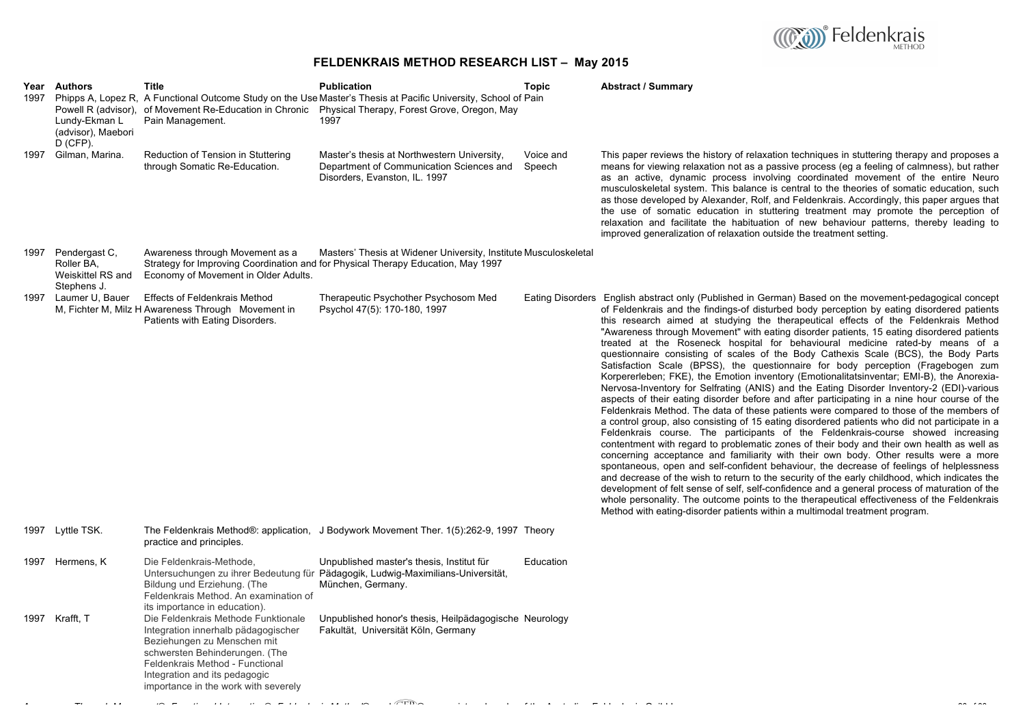

| 1997 | Year Authors<br>Lundy-Ekman L<br>(advisor), Maebori<br>$D$ (CFP).    | <b>Title</b><br>Powell R (advisor), of Movement Re-Education in Chronic<br>Pain Management.                                                                                                                                                             | <b>Publication</b><br>Phipps A, Lopez R, A Functional Outcome Study on the Use Master's Thesis at Pacific University, School of Pain<br>Physical Therapy, Forest Grove, Oregon, May<br>1997 | <b>Topic</b>        | <b>Abstract / Summary</b>                                                                                                                                                                                                                                                                                                                                                                                                                                                                                                                                                                                                                                                                                                                                                                                                                                                                                                                                                                                                                                                                                                                                                                                                                                                                                                                                                                                                                                                                                                                                                                                                                                                                                                                                                                                                                                                                          |
|------|----------------------------------------------------------------------|---------------------------------------------------------------------------------------------------------------------------------------------------------------------------------------------------------------------------------------------------------|---------------------------------------------------------------------------------------------------------------------------------------------------------------------------------------------|---------------------|----------------------------------------------------------------------------------------------------------------------------------------------------------------------------------------------------------------------------------------------------------------------------------------------------------------------------------------------------------------------------------------------------------------------------------------------------------------------------------------------------------------------------------------------------------------------------------------------------------------------------------------------------------------------------------------------------------------------------------------------------------------------------------------------------------------------------------------------------------------------------------------------------------------------------------------------------------------------------------------------------------------------------------------------------------------------------------------------------------------------------------------------------------------------------------------------------------------------------------------------------------------------------------------------------------------------------------------------------------------------------------------------------------------------------------------------------------------------------------------------------------------------------------------------------------------------------------------------------------------------------------------------------------------------------------------------------------------------------------------------------------------------------------------------------------------------------------------------------------------------------------------------------|
|      | 1997 Gilman, Marina.                                                 | Reduction of Tension in Stuttering<br>through Somatic Re-Education.                                                                                                                                                                                     | Master's thesis at Northwestern University,<br>Department of Communication Sciences and<br>Disorders, Evanston, IL. 1997                                                                    | Voice and<br>Speech | This paper reviews the history of relaxation techniques in stuttering therapy and proposes a<br>means for viewing relaxation not as a passive process (eg a feeling of calmness), but rather<br>as an active, dynamic process involving coordinated movement of the entire Neuro<br>musculoskeletal system. This balance is central to the theories of somatic education, such<br>as those developed by Alexander, Rolf, and Feldenkrais. Accordingly, this paper argues that<br>the use of somatic education in stuttering treatment may promote the perception of<br>relaxation and facilitate the habituation of new behaviour patterns, thereby leading to<br>improved generalization of relaxation outside the treatment setting.                                                                                                                                                                                                                                                                                                                                                                                                                                                                                                                                                                                                                                                                                                                                                                                                                                                                                                                                                                                                                                                                                                                                                             |
|      | 1997 Pendergast C,<br>Roller BA,<br>Weiskittel RS and<br>Stephens J. | Awareness through Movement as a<br>Economy of Movement in Older Adults.                                                                                                                                                                                 | Masters' Thesis at Widener University, Institute Musculoskeletal<br>Strategy for Improving Coordination and for Physical Therapy Education, May 1997                                        |                     |                                                                                                                                                                                                                                                                                                                                                                                                                                                                                                                                                                                                                                                                                                                                                                                                                                                                                                                                                                                                                                                                                                                                                                                                                                                                                                                                                                                                                                                                                                                                                                                                                                                                                                                                                                                                                                                                                                    |
|      | 1997 Laumer U, Bauer                                                 | <b>Effects of Feldenkrais Method</b><br>M, Fichter M, Milz H Awareness Through Movement in<br>Patients with Eating Disorders.                                                                                                                           | Therapeutic Psychother Psychosom Med<br>Psychol 47(5): 170-180, 1997                                                                                                                        |                     | Eating Disorders English abstract only (Published in German) Based on the movement-pedagogical concept<br>of Feldenkrais and the findings-of disturbed body perception by eating disordered patients<br>this research aimed at studying the therapeutical effects of the Feldenkrais Method<br>"Awareness through Movement" with eating disorder patients, 15 eating disordered patients<br>treated at the Roseneck hospital for behavioural medicine rated-by means of a<br>questionnaire consisting of scales of the Body Cathexis Scale (BCS), the Body Parts<br>Satisfaction Scale (BPSS), the questionnaire for body perception (Fragebogen zum<br>Korpererleben; FKE), the Emotion inventory (Emotionalitatsinventar; EMI-B), the Anorexia-<br>Nervosa-Inventory for Selfrating (ANIS) and the Eating Disorder Inventory-2 (EDI)-various<br>aspects of their eating disorder before and after participating in a nine hour course of the<br>Feldenkrais Method. The data of these patients were compared to those of the members of<br>a control group, also consisting of 15 eating disordered patients who did not participate in a<br>Feldenkrais course. The participants of the Feldenkrais-course showed increasing<br>contentment with regard to problematic zones of their body and their own health as well as<br>concerning acceptance and familiarity with their own body. Other results were a more<br>spontaneous, open and self-confident behaviour, the decrease of feelings of helplessness<br>and decrease of the wish to return to the security of the early childhood, which indicates the<br>development of felt sense of self, self-confidence and a general process of maturation of the<br>whole personality. The outcome points to the therapeutical effectiveness of the Feldenkrais<br>Method with eating-disorder patients within a multimodal treatment program. |
|      | 1997 Lyttle TSK.                                                     | practice and principles.                                                                                                                                                                                                                                | The Feldenkrais Method®: application, J Bodywork Movement Ther. 1(5):262-9, 1997 Theory                                                                                                     |                     |                                                                                                                                                                                                                                                                                                                                                                                                                                                                                                                                                                                                                                                                                                                                                                                                                                                                                                                                                                                                                                                                                                                                                                                                                                                                                                                                                                                                                                                                                                                                                                                                                                                                                                                                                                                                                                                                                                    |
|      | 1997 Hermens, K                                                      | Die Feldenkrais-Methode,<br>Bildung und Erziehung. (The<br>Feldenkrais Method. An examination of<br>its importance in education).                                                                                                                       | Unpublished master's thesis, Institut für<br>Untersuchungen zu ihrer Bedeutung für Pädagogik, Ludwig-Maximilians-Universität,<br>München, Germany.                                          | Education           |                                                                                                                                                                                                                                                                                                                                                                                                                                                                                                                                                                                                                                                                                                                                                                                                                                                                                                                                                                                                                                                                                                                                                                                                                                                                                                                                                                                                                                                                                                                                                                                                                                                                                                                                                                                                                                                                                                    |
|      | 1997 Krafft, T                                                       | Die Feldenkrais Methode Funktionale<br>Integration innerhalb pädagogischer<br>Beziehungen zu Menschen mit<br>schwersten Behinderungen. (The<br>Feldenkrais Method - Functional<br>Integration and its pedagogic<br>importance in the work with severely | Unpublished honor's thesis, Heilpädagogische Neurology<br>Fakultät, Universität Köln, Germany                                                                                               |                     |                                                                                                                                                                                                                                                                                                                                                                                                                                                                                                                                                                                                                                                                                                                                                                                                                                                                                                                                                                                                                                                                                                                                                                                                                                                                                                                                                                                                                                                                                                                                                                                                                                                                                                                                                                                                                                                                                                    |

*Awareness Through Movement*®, *Functional Integration*®, *Feldenkrais Method*®, and ® are registered marks of the Australian Feldenkrais Guild Inc. 26 of 33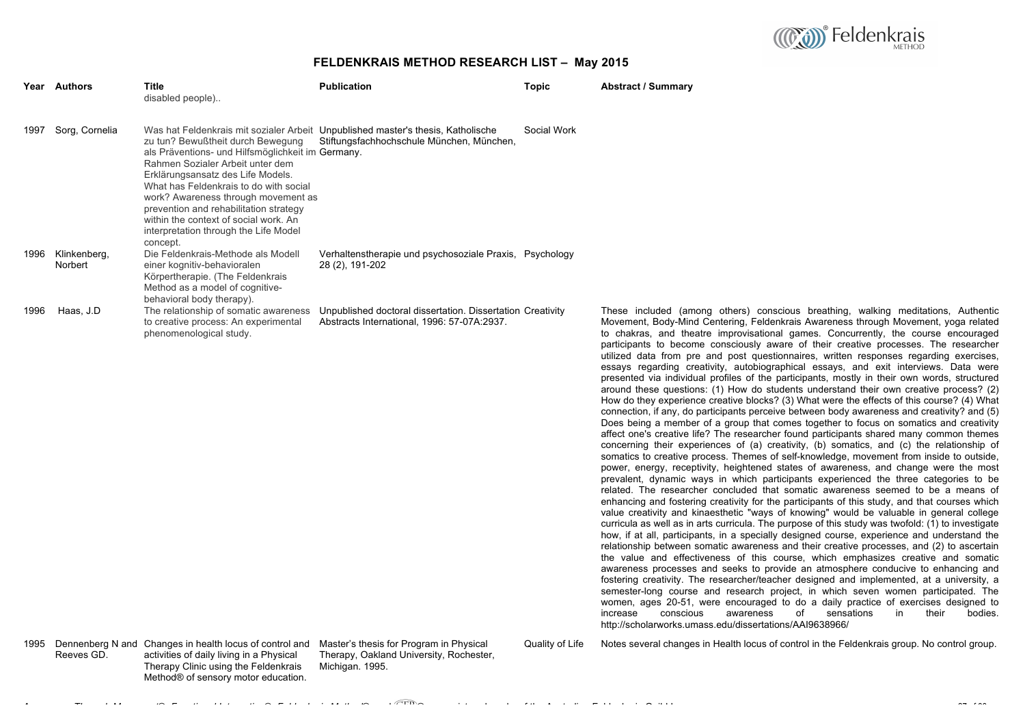

|      | Year Authors            | <b>Title</b><br>disabled people)                                                                                                                                                                                                                                                                                                                                                         | <b>Publication</b>                                                                                                            | <b>Topic</b> | <b>Abstract / Summary</b>                                                                                                                                                                                                                                                                                                                                                                                                                                                                                                                                           |
|------|-------------------------|------------------------------------------------------------------------------------------------------------------------------------------------------------------------------------------------------------------------------------------------------------------------------------------------------------------------------------------------------------------------------------------|-------------------------------------------------------------------------------------------------------------------------------|--------------|---------------------------------------------------------------------------------------------------------------------------------------------------------------------------------------------------------------------------------------------------------------------------------------------------------------------------------------------------------------------------------------------------------------------------------------------------------------------------------------------------------------------------------------------------------------------|
| 1997 | Sorg, Cornelia          | zu tun? Bewußtheit durch Bewegung<br>als Präventions- und Hilfsmöglichkeit im Germany.<br>Rahmen Sozialer Arbeit unter dem<br>Erklärungsansatz des Life Models.<br>What has Feldenkrais to do with social<br>work? Awareness through movement as<br>prevention and rehabilitation strategy<br>within the context of social work. An<br>interpretation through the Life Model<br>concept. | Was hat Feldenkrais mit sozialer Arbeit Unpublished master's thesis, Katholische<br>Stiftungsfachhochschule München, München, | Social Work  |                                                                                                                                                                                                                                                                                                                                                                                                                                                                                                                                                                     |
| 1996 | Klinkenberg,<br>Norbert | Die Feldenkrais-Methode als Modell<br>einer kognitiv-behavioralen<br>Körpertherapie. (The Feldenkrais<br>Method as a model of cognitive-<br>behavioral body therapy).                                                                                                                                                                                                                    | Verhaltenstherapie und psychosoziale Praxis, Psychology<br>28 (2), 191-202                                                    |              |                                                                                                                                                                                                                                                                                                                                                                                                                                                                                                                                                                     |
| 1996 | Haas, J.D               | The relationship of somatic awareness<br>to creative process: An experimental<br>phenomenological study.                                                                                                                                                                                                                                                                                 | Unpublished doctoral dissertation. Dissertation Creativity<br>Abstracts International, 1996: 57-07A:2937.                     |              | These included (an<br>Movement, Body-Min<br>to chakras, and the<br>participants to becor<br>utilized data from p<br>essays regarding ci<br>presented via individ<br>around these questic<br>How do they experier<br>connection, if any, do<br>Does being a memb<br>affect one's creative<br>concerning their exp<br>somatics to creative<br>power, energy, rece<br>prevalent, dynamic<br>related. The researd<br>enhancing and foster<br>value creativity and<br>curricula as well as in<br>how, if at all, particip<br>relationship between<br>the value and effed |

(among others) conscious breathing, walking meditations, Authentic ly-Mind Centering, Feldenkrais Awareness through Movement, yoga related of theatre improvisational games. Concurrently, the course encouraged become consciously aware of their creative processes. The researcher om pre and post questionnaires, written responses regarding exercises, ng creativity, autobiographical essays, and exit interviews. Data were ndividual profiles of the participants, mostly in their own words, structured uestions: (1) How do students understand their own creative process? (2) perience creative blocks? (3) What were the effects of this course? (4) What  $\alpha$ , do participants perceive between body awareness and creativity? and (5) nember of a group that comes together to focus on somatics and creativity ative life? The researcher found participants shared many common themes ir experiences of (a) creativity, (b) somatics, and (c) the relationship of ative process. Themes of self-knowledge, movement from inside to outside, receptivity, heightened states of awareness, and change were the most amic ways in which participants experienced the three categories to be esearcher concluded that somatic awareness seemed to be a means of fostering creativity for the participants of this study, and that courses which and kinaesthetic "ways of knowing" would be valuable in general college as in arts curricula. The purpose of this study was twofold: (1) to investigate articipants, in a specially designed course, experience and understand the ween somatic awareness and their creative processes, and (2) to ascertain effectiveness of this course, which emphasizes creative and somatic awareness processes and seeks to provide an atmosphere conducive to enhancing and fostering creativity. The researcher/teacher designed and implemented, at a university, a semester-long course and research project, in which seven women participated. The women, ages 20-51, were encouraged to do a daily practice of exercises designed to increase conscious awareness of sensations in their bodies. increase conscious awareness http://scholarworks.umass.edu/dissertations/AAI9638966/

1995 Dennenberg N and Changes in health locus of control and Master's thesis for Program in Physical Reeves GD. activities of daily living in a Physical Therapy Clinic using the Feldenkrais Method® of sensory motor education.

Therapy, Oakland University, Rochester, Michigan. 1995.

Quality of Life Notes several changes in Health locus of control in the Feldenkrais group. No control group.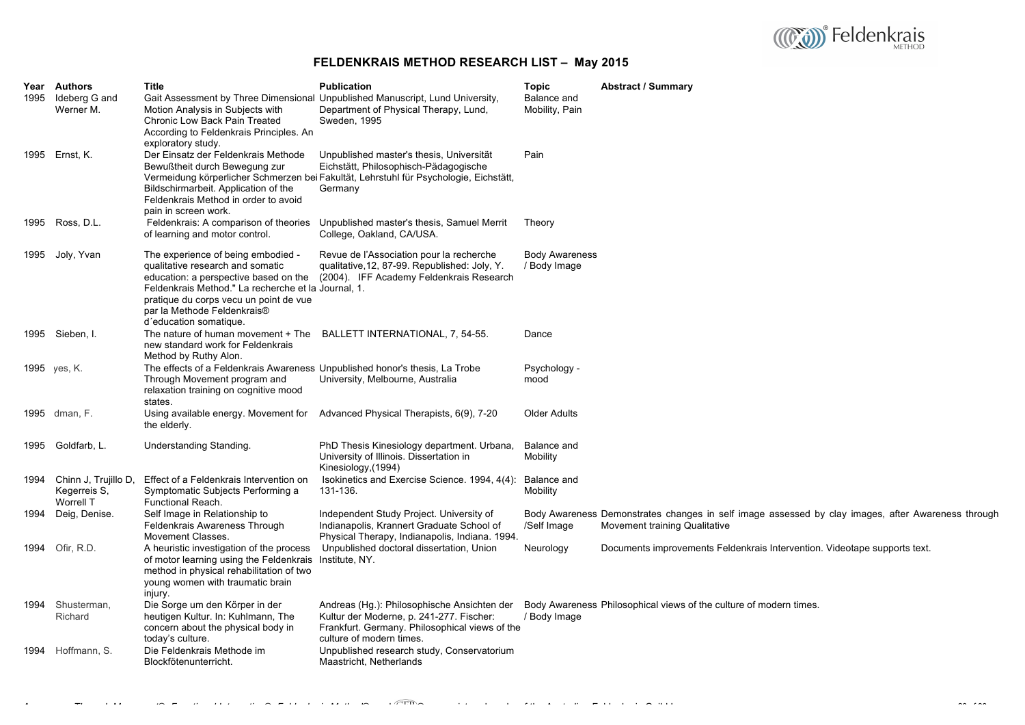

| Year<br>1995 | Authors<br>Ideberg G and<br>Werner M.             | Title<br>Motion Analysis in Subjects with<br>Chronic Low Back Pain Treated<br>According to Feldenkrais Principles. An                                                                                                                                                     | <b>Publication</b><br>Gait Assessment by Three Dimensional Unpublished Manuscript, Lund University,<br>Department of Physical Therapy, Lund,<br>Sweden, 1995                          | Topic<br>Balance and<br>Mobility, Pain | <b>Abstract / Summary</b>                                                                                                           |
|--------------|---------------------------------------------------|---------------------------------------------------------------------------------------------------------------------------------------------------------------------------------------------------------------------------------------------------------------------------|---------------------------------------------------------------------------------------------------------------------------------------------------------------------------------------|----------------------------------------|-------------------------------------------------------------------------------------------------------------------------------------|
|              | 1995 Ernst, K.                                    | exploratory study.<br>Der Einsatz der Feldenkrais Methode<br>Bewußtheit durch Bewegung zur<br>Bildschirmarbeit. Application of the<br>Feldenkrais Method in order to avoid<br>pain in screen work.                                                                        | Unpublished master's thesis, Universität<br>Eichstätt, Philosophisch-Pädagogische<br>Vermeidung körperlicher Schmerzen bei Fakultät, Lehrstuhl für Psychologie, Eichstätt,<br>Germany | Pain                                   |                                                                                                                                     |
|              | 1995 Ross, D.L.                                   | Feldenkrais: A comparison of theories<br>of learning and motor control.                                                                                                                                                                                                   | Unpublished master's thesis, Samuel Merrit<br>College, Oakland, CA/USA.                                                                                                               | Theory                                 |                                                                                                                                     |
| 1995         | Joly, Yvan                                        | The experience of being embodied -<br>qualitative research and somatic<br>education: a perspective based on the<br>Feldenkrais Method." La recherche et la Journal, 1.<br>pratique du corps vecu un point de vue<br>par la Methode Feldenkrais®<br>d'education somatique. | Revue de l'Association pour la recherche<br>qualitative, 12, 87-99. Republished: Joly, Y.<br>(2004). IFF Academy Feldenkrais Research                                                 | <b>Body Awareness</b><br>/ Body Image  |                                                                                                                                     |
|              | 1995 Sieben, I.                                   | new standard work for Feldenkrais<br>Method by Ruthy Alon.                                                                                                                                                                                                                | The nature of human movement + The BALLETT INTERNATIONAL, 7, 54-55.                                                                                                                   | Dance                                  |                                                                                                                                     |
|              | 1995 yes, K.                                      | The effects of a Feldenkrais Awareness Unpublished honor's thesis, La Trobe<br>Through Movement program and<br>relaxation training on cognitive mood<br>states.                                                                                                           | University, Melbourne, Australia                                                                                                                                                      | Psychology -<br>mood                   |                                                                                                                                     |
|              | 1995 dman, F.                                     | Using available energy. Movement for<br>the elderly.                                                                                                                                                                                                                      | Advanced Physical Therapists, 6(9), 7-20                                                                                                                                              | Older Adults                           |                                                                                                                                     |
|              | 1995 Goldfarb, L.                                 | Understanding Standing.                                                                                                                                                                                                                                                   | PhD Thesis Kinesiology department. Urbana,<br>University of Illinois. Dissertation in<br>Kinesiology, (1994)                                                                          | Balance and<br>Mobility                |                                                                                                                                     |
| 1994         | Chinn J. Trujillo D.<br>Kegerreis S,<br>Worrell T | Effect of a Feldenkrais Intervention on<br>Symptomatic Subjects Performing a<br><b>Functional Reach.</b>                                                                                                                                                                  | Isokinetics and Exercise Science. 1994, 4(4):<br>131-136.                                                                                                                             | Balance and<br>Mobility                |                                                                                                                                     |
| 1994         | Deig, Denise.                                     | Self Image in Relationship to<br>Feldenkrais Awareness Through<br>Movement Classes.                                                                                                                                                                                       | Independent Study Project. University of<br>Indianapolis, Krannert Graduate School of<br>Physical Therapy, Indianapolis, Indiana. 1994.                                               | /Self Image                            | Body Awareness Demonstrates changes in self image assessed by clay images, after Awareness through<br>Movement training Qualitative |
|              | 1994 Ofir, R.D.                                   | A heuristic investigation of the process<br>of motor learning using the Feldenkrais Institute, NY.<br>method in physical rehabilitation of two<br>young women with traumatic brain<br>injury.                                                                             | Unpublished doctoral dissertation, Union                                                                                                                                              | Neurology                              | Documents improvements Feldenkrais Intervention. Videotape supports text.                                                           |
| 1994         | Shusterman,<br>Richard                            | Die Sorge um den Körper in der<br>heutigen Kultur. In: Kuhlmann, The<br>concern about the physical body in<br>today's culture.                                                                                                                                            | Andreas (Hg.): Philosophische Ansichten der<br>Kultur der Moderne, p. 241-277. Fischer:<br>Frankfurt. Germany. Philosophical views of the<br>culture of modern times.                 | / Body Image                           | Body Awareness Philosophical views of the culture of modern times.                                                                  |
|              | 1994 Hoffmann, S.                                 | Die Feldenkrais Methode im<br>Blockfötenunterricht.                                                                                                                                                                                                                       | Unpublished research study, Conservatorium<br>Maastricht, Netherlands                                                                                                                 |                                        |                                                                                                                                     |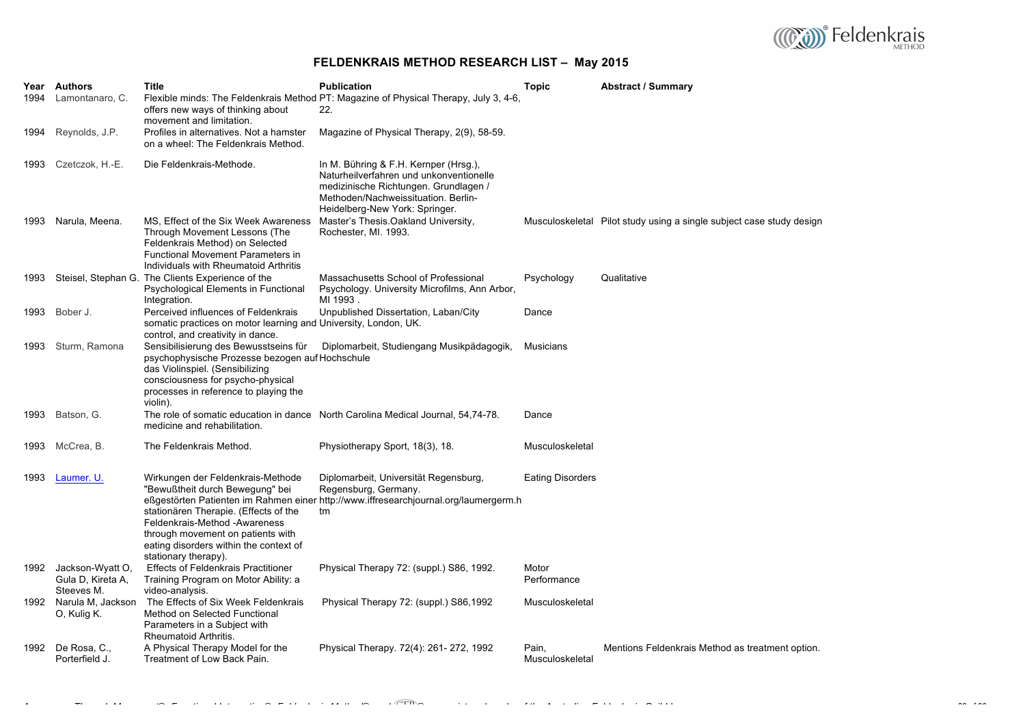

| Year | Authors                                             | Title                                                                                                                                                                                                                                                 | <b>Publication</b>                                                                                                                                                                                 | <b>Topic</b>             | <b>Abstract / Summary</b>                                            |
|------|-----------------------------------------------------|-------------------------------------------------------------------------------------------------------------------------------------------------------------------------------------------------------------------------------------------------------|----------------------------------------------------------------------------------------------------------------------------------------------------------------------------------------------------|--------------------------|----------------------------------------------------------------------|
| 1994 | Lamontanaro, C.                                     | offers new ways of thinking about<br>movement and limitation.                                                                                                                                                                                         | Flexible minds: The Feldenkrais Method PT: Magazine of Physical Therapy, July 3, 4-6.<br>22.                                                                                                       |                          |                                                                      |
| 1994 | Reynolds, J.P.                                      | Profiles in alternatives. Not a hamster<br>on a wheel: The Feldenkrais Method.                                                                                                                                                                        | Magazine of Physical Therapy, 2(9), 58-59.                                                                                                                                                         |                          |                                                                      |
| 1993 | Czetczok, H.-E.                                     | Die Feldenkrais-Methode.                                                                                                                                                                                                                              | In M. Bühring & F.H. Kernper (Hrsg.),<br>Naturheilverfahren und unkonventionelle<br>medizinische Richtungen. Grundlagen /<br>Methoden/Nachweissituation. Berlin-<br>Heidelberg-New York: Springer. |                          |                                                                      |
| 1993 | Narula, Meena.                                      | MS, Effect of the Six Week Awareness<br>Through Movement Lessons (The<br>Feldenkrais Method) on Selected<br><b>Functional Movement Parameters in</b><br>Individuals with Rheumatoid Arthritis                                                         | Master's Thesis Oakland University,<br>Rochester, MI. 1993.                                                                                                                                        |                          | Musculoskeletal Pilot study using a single subject case study design |
| 1993 |                                                     | Steisel, Stephan G. The Clients Experience of the<br>Psychological Elements in Functional<br>Integration.                                                                                                                                             | Massachusetts School of Professional<br>Psychology. University Microfilms, Ann Arbor,<br>MI 1993.                                                                                                  | Psychology               | Qualitative                                                          |
| 1993 | Bober J.                                            | Perceived influences of Feldenkrais<br>somatic practices on motor learning and University, London, UK.<br>control, and creativity in dance.                                                                                                           | Unpublished Dissertation, Laban/City                                                                                                                                                               | Dance                    |                                                                      |
| 1993 | Sturm, Ramona                                       | Sensibilisierung des Bewusstseins für<br>psychophysische Prozesse bezogen auf Hochschule<br>das Violinspiel. (Sensibilizing<br>consciousness for psycho-physical<br>processes in reference to playing the<br>violin).                                 | Diplomarbeit, Studiengang Musikpädagogik,                                                                                                                                                          | Musicians                |                                                                      |
| 1993 | Batson, G.                                          | medicine and rehabilitation.                                                                                                                                                                                                                          | The role of somatic education in dance North Carolina Medical Journal, 54,74-78.                                                                                                                   | Dance                    |                                                                      |
| 1993 | McCrea, B.                                          | The Feldenkrais Method.                                                                                                                                                                                                                               | Physiotherapy Sport, 18(3), 18.                                                                                                                                                                    | Musculoskeletal          |                                                                      |
| 1993 | Laumer. U.                                          | Wirkungen der Feldenkrais-Methode<br>"Bewußtheit durch Bewegung" bei<br>stationären Therapie. (Effects of the<br>Feldenkrais-Method -Awareness<br>through movement on patients with<br>eating disorders within the context of<br>stationary therapy). | Diplomarbeit, Universität Regensburg,<br>Regensburg, Germany.<br>eßgestörten Patienten im Rahmen einer http://www.iffresearchjournal.org/laumergerm.h<br>tm                                        | <b>Eating Disorders</b>  |                                                                      |
| 1992 | Jackson-Wyatt O,<br>Gula D, Kireta A,<br>Steeves M. | <b>Effects of Feldenkrais Practitioner</b><br>Training Program on Motor Ability: a<br>video-analysis.                                                                                                                                                 | Physical Therapy 72: (suppl.) S86, 1992.                                                                                                                                                           | Motor<br>Performance     |                                                                      |
|      | 1992 Narula M, Jackson<br>O, Kulig K.               | The Effects of Six Week Feldenkrais<br>Method on Selected Functional<br>Parameters in a Subject with<br>Rheumatoid Arthritis.                                                                                                                         | Physical Therapy 72: (suppl.) S86,1992                                                                                                                                                             | Musculoskeletal          |                                                                      |
| 1992 | De Rosa, C.,<br>Porterfield J.                      | A Physical Therapy Model for the<br>Treatment of Low Back Pain.                                                                                                                                                                                       | Physical Therapy. 72(4): 261-272, 1992                                                                                                                                                             | Pain,<br>Musculoskeletal | Mentions Feldenkrais Method as treatment option.                     |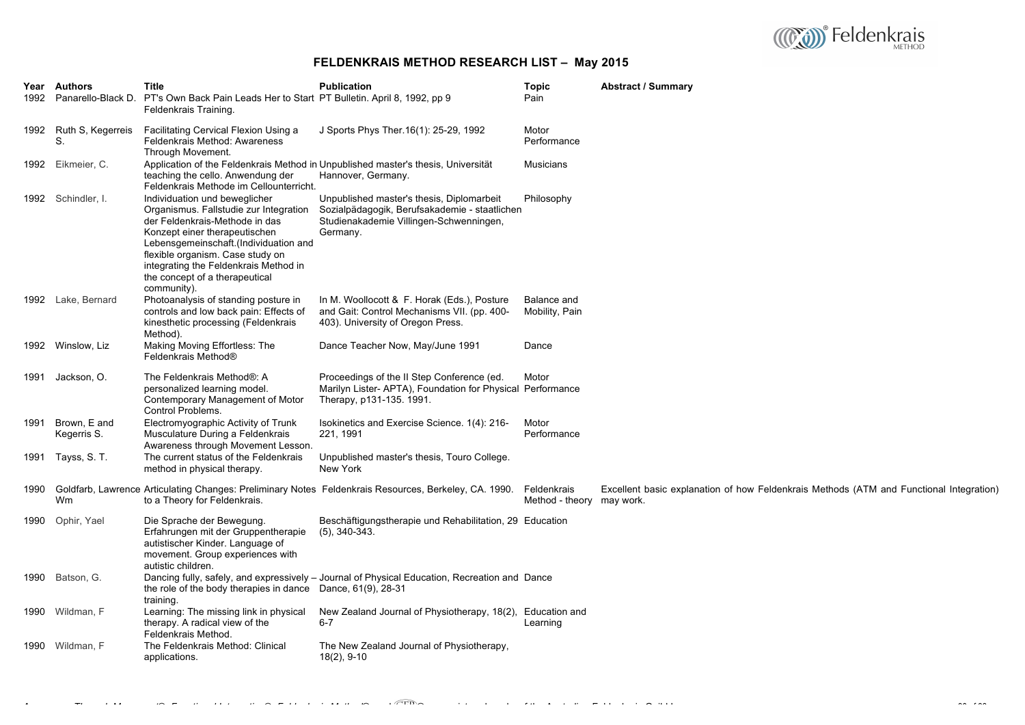

| 1992 | Year Authors                | Title<br>Panarello-Black D. PT's Own Back Pain Leads Her to Start PT Bulletin. April 8, 1992, pp 9<br>Feldenkrais Training.                                                                                                                                                                                        | <b>Publication</b>                                                                                                                                | Topic<br>Pain                            | <b>Abstract / Summary</b>                                                               |
|------|-----------------------------|--------------------------------------------------------------------------------------------------------------------------------------------------------------------------------------------------------------------------------------------------------------------------------------------------------------------|---------------------------------------------------------------------------------------------------------------------------------------------------|------------------------------------------|-----------------------------------------------------------------------------------------|
| 1992 | Ruth S, Kegerreis<br>S.     | Facilitating Cervical Flexion Using a<br>Feldenkrais Method: Awareness<br>Through Movement.                                                                                                                                                                                                                        | J Sports Phys Ther. 16(1): 25-29, 1992                                                                                                            | Motor<br>Performance                     |                                                                                         |
|      | 1992 Eikmeier, C.           | teaching the cello. Anwendung der<br>Feldenkrais Methode im Cellounterricht.                                                                                                                                                                                                                                       | Application of the Feldenkrais Method in Unpublished master's thesis, Universität<br>Hannover, Germany.                                           | Musicians                                |                                                                                         |
|      | 1992 Schindler, I.          | Individuation und beweglicher<br>Organismus. Fallstudie zur Integration<br>der Feldenkrais-Methode in das<br>Konzept einer therapeutischen<br>Lebensgemeinschaft. (Individuation and<br>flexible organism. Case study on<br>integrating the Feldenkrais Method in<br>the concept of a therapeutical<br>community). | Unpublished master's thesis, Diplomarbeit<br>Sozialpädagogik, Berufsakademie - staatlichen<br>Studienakademie Villingen-Schwenningen,<br>Germany. | Philosophy                               |                                                                                         |
|      | 1992 Lake, Bernard          | Photoanalysis of standing posture in<br>controls and low back pain: Effects of<br>kinesthetic processing (Feldenkrais<br>Method).                                                                                                                                                                                  | In M. Woollocott & F. Horak (Eds.), Posture<br>and Gait: Control Mechanisms VII. (pp. 400-<br>403). University of Oregon Press.                   | Balance and<br>Mobility, Pain            |                                                                                         |
|      | 1992 Winslow, Liz           | Making Moving Effortless: The<br>Feldenkrais Method®                                                                                                                                                                                                                                                               | Dance Teacher Now, May/June 1991                                                                                                                  | Dance                                    |                                                                                         |
| 1991 | Jackson, O.                 | The Feldenkrais Method®: A<br>personalized learning model.<br>Contemporary Management of Motor<br>Control Problems.                                                                                                                                                                                                | Proceedings of the II Step Conference (ed.<br>Marilyn Lister-APTA), Foundation for Physical Performance<br>Therapy, p131-135. 1991.               | Motor                                    |                                                                                         |
| 1991 | Brown, E and<br>Kegerris S. | Electromyographic Activity of Trunk<br>Musculature During a Feldenkrais<br>Awareness through Movement Lesson.                                                                                                                                                                                                      | Isokinetics and Exercise Science. 1(4): 216-<br>221, 1991                                                                                         | Motor<br>Performance                     |                                                                                         |
| 1991 | Tayss, S. T.                | The current status of the Feldenkrais<br>method in physical therapy.                                                                                                                                                                                                                                               | Unpublished master's thesis, Touro College.<br>New York                                                                                           |                                          |                                                                                         |
| 1990 | Wm                          | to a Theory for Feldenkrais.                                                                                                                                                                                                                                                                                       | Goldfarb, Lawrence Articulating Changes: Preliminary Notes Feldenkrais Resources, Berkeley, CA. 1990.                                             | Feldenkrais<br>Method - theory may work. | Excellent basic explanation of how Feldenkrais Methods (ATM and Functional Integration) |
| 1990 | Ophir, Yael                 | Die Sprache der Bewegung.<br>Erfahrungen mit der Gruppentherapie<br>autistischer Kinder. Language of<br>movement. Group experiences with<br>autistic children.                                                                                                                                                     | Beschäftigungstherapie und Rehabilitation, 29 Education<br>$(5)$ , 340-343.                                                                       |                                          |                                                                                         |
|      | 1990 Batson, G.             | the role of the body therapies in dance Dance, $61(9)$ , 28-31<br>training.                                                                                                                                                                                                                                        | Dancing fully, safely, and expressively – Journal of Physical Education, Recreation and Dance                                                     |                                          |                                                                                         |
| 1990 | Wildman, F                  | Learning: The missing link in physical<br>therapy. A radical view of the<br>Feldenkrais Method.                                                                                                                                                                                                                    | New Zealand Journal of Physiotherapy, 18(2),<br>$6 - 7$                                                                                           | Education and<br>Learning                |                                                                                         |
|      | 1990 Wildman, F             | The Feldenkrais Method: Clinical<br>applications.                                                                                                                                                                                                                                                                  | The New Zealand Journal of Physiotherapy,<br>$18(2), 9-10$                                                                                        |                                          |                                                                                         |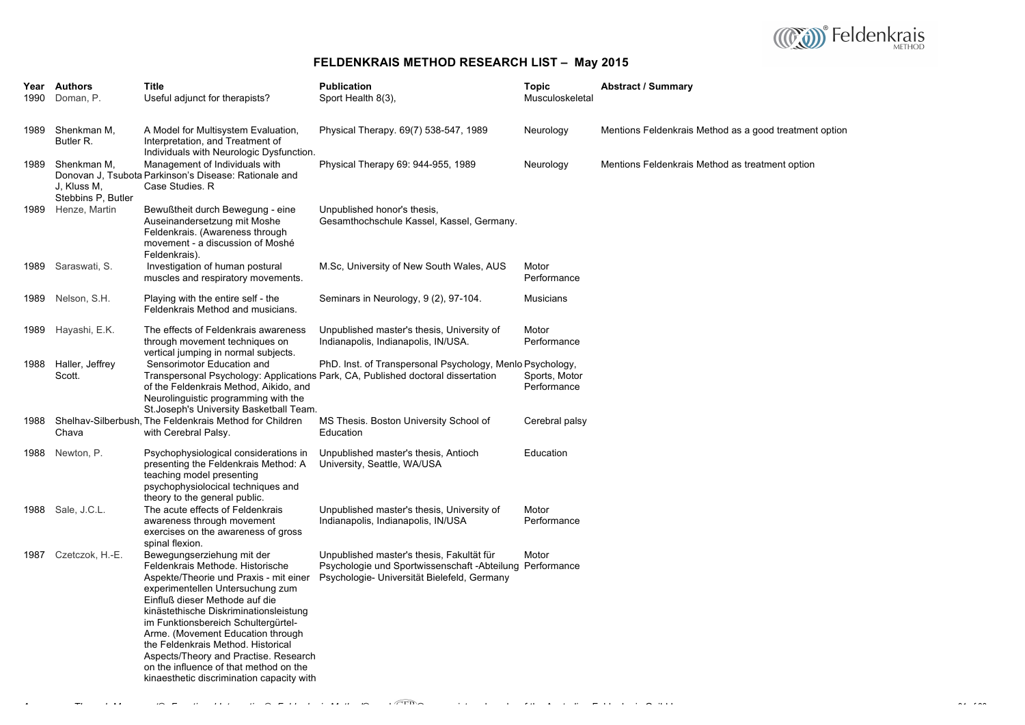

| 1990 | Year Authors<br>Doman, P.                             | <b>Title</b><br>Useful adjunct for therapists?                                                                                                                                                                                                                                                                                                                                                                                                                             | <b>Publication</b><br>Sport Health 8(3),                                                                                                             | <b>Topic</b><br>Musculoskeletal | <b>Abstract / Summary</b>                              |
|------|-------------------------------------------------------|----------------------------------------------------------------------------------------------------------------------------------------------------------------------------------------------------------------------------------------------------------------------------------------------------------------------------------------------------------------------------------------------------------------------------------------------------------------------------|------------------------------------------------------------------------------------------------------------------------------------------------------|---------------------------------|--------------------------------------------------------|
| 1989 | Shenkman M,<br>Butler R.                              | A Model for Multisystem Evaluation,<br>Interpretation, and Treatment of<br>Individuals with Neurologic Dysfunction.                                                                                                                                                                                                                                                                                                                                                        | Physical Therapy. 69(7) 538-547, 1989                                                                                                                | Neurology                       | Mentions Feldenkrais Method as a good treatment option |
|      | 1989 Shenkman M.<br>J, Kluss M,<br>Stebbins P, Butler | Management of Individuals with<br>Donovan J, Tsubota Parkinson's Disease: Rationale and<br>Case Studies. R                                                                                                                                                                                                                                                                                                                                                                 | Physical Therapy 69: 944-955, 1989                                                                                                                   | Neurology                       | Mentions Feldenkrais Method as treatment option        |
| 1989 | Henze, Martin                                         | Bewußtheit durch Bewegung - eine<br>Auseinandersetzung mit Moshe<br>Feldenkrais. (Awareness through<br>movement - a discussion of Moshé<br>Feldenkrais).                                                                                                                                                                                                                                                                                                                   | Unpublished honor's thesis,<br>Gesamthochschule Kassel, Kassel, Germany.                                                                             |                                 |                                                        |
| 1989 | Saraswati, S.                                         | Investigation of human postural<br>muscles and respiratory movements.                                                                                                                                                                                                                                                                                                                                                                                                      | M.Sc, University of New South Wales, AUS                                                                                                             | Motor<br>Performance            |                                                        |
| 1989 | Nelson, S.H.                                          | Playing with the entire self - the<br>Feldenkrais Method and musicians.                                                                                                                                                                                                                                                                                                                                                                                                    | Seminars in Neurology, 9 (2), 97-104.                                                                                                                | Musicians                       |                                                        |
| 1989 | Hayashi, E.K.                                         | The effects of Feldenkrais awareness<br>through movement techniques on<br>vertical jumping in normal subjects.                                                                                                                                                                                                                                                                                                                                                             | Unpublished master's thesis, University of<br>Indianapolis, Indianapolis, IN/USA.                                                                    | Motor<br>Performance            |                                                        |
|      | 1988 Haller, Jeffrey<br>Scott.                        | Sensorimotor Education and<br>of the Feldenkrais Method, Aikido, and<br>Neurolinguistic programming with the<br>St.Joseph's University Basketball Team.                                                                                                                                                                                                                                                                                                                    | PhD. Inst. of Transpersonal Psychology, Menlo Psychology,<br>Transpersonal Psychology: Applications Park, CA, Published doctoral dissertation        | Sports, Motor<br>Performance    |                                                        |
| 1988 | Chava                                                 | Shelhav-Silberbush, The Feldenkrais Method for Children<br>with Cerebral Palsy.                                                                                                                                                                                                                                                                                                                                                                                            | MS Thesis. Boston University School of<br>Education                                                                                                  | Cerebral palsy                  |                                                        |
| 1988 | Newton, P.                                            | Psychophysiological considerations in<br>presenting the Feldenkrais Method: A<br>teaching model presenting<br>psychophysiolocical techniques and<br>theory to the general public.                                                                                                                                                                                                                                                                                          | Unpublished master's thesis, Antioch<br>University, Seattle, WA/USA                                                                                  | Education                       |                                                        |
|      | 1988 Sale, J.C.L.                                     | The acute effects of Feldenkrais<br>awareness through movement<br>exercises on the awareness of gross<br>spinal flexion.                                                                                                                                                                                                                                                                                                                                                   | Unpublished master's thesis, University of<br>Indianapolis, Indianapolis, IN/USA                                                                     | Motor<br>Performance            |                                                        |
| 1987 | Czetczok, H.-E.                                       | Bewegungserziehung mit der<br>Feldenkrais Methode. Historische<br>Aspekte/Theorie und Praxis - mit einer<br>experimentellen Untersuchung zum<br>Einfluß dieser Methode auf die<br>kinästethische Diskriminationsleistung<br>im Funktionsbereich Schultergürtel-<br>Arme. (Movement Education through<br>the Feldenkrais Method. Historical<br>Aspects/Theory and Practise. Research<br>on the influence of that method on the<br>kinaesthetic discrimination capacity with | Unpublished master's thesis, Fakultät für<br>Psychologie und Sportwissenschaft -Abteilung Performance<br>Psychologie- Universität Bielefeld, Germany | Motor                           |                                                        |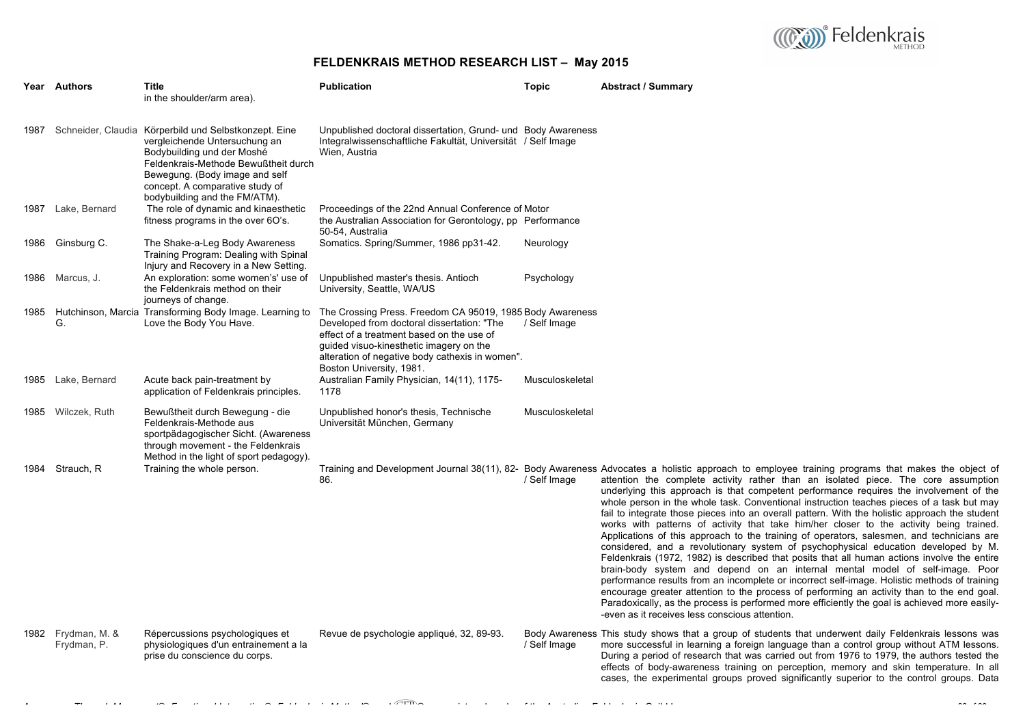

|      | Year Authors                      | Title<br>in the shoulder/arm area).                                                                                                                                                                                                                                | <b>Publication</b>                                                                                                                                                                                                                                                             | <b>Topic</b>    | <b>Abstract / Summary</b>                                                                                                                                                                                                                                                                                                                                                                                                                                                                                                                                                                                                                                                                                                                                                                                                                                                                                                                                                                                                                                                                                                                                                                                                                                                                                                                     |
|------|-----------------------------------|--------------------------------------------------------------------------------------------------------------------------------------------------------------------------------------------------------------------------------------------------------------------|--------------------------------------------------------------------------------------------------------------------------------------------------------------------------------------------------------------------------------------------------------------------------------|-----------------|-----------------------------------------------------------------------------------------------------------------------------------------------------------------------------------------------------------------------------------------------------------------------------------------------------------------------------------------------------------------------------------------------------------------------------------------------------------------------------------------------------------------------------------------------------------------------------------------------------------------------------------------------------------------------------------------------------------------------------------------------------------------------------------------------------------------------------------------------------------------------------------------------------------------------------------------------------------------------------------------------------------------------------------------------------------------------------------------------------------------------------------------------------------------------------------------------------------------------------------------------------------------------------------------------------------------------------------------------|
| 1987 |                                   | Schneider, Claudia Körperbild und Selbstkonzept. Eine<br>vergleichende Untersuchung an<br>Bodybuilding und der Moshé<br>Feldenkrais-Methode Bewußtheit durch<br>Bewegung. (Body image and self<br>concept. A comparative study of<br>bodybuilding and the FM/ATM). | Unpublished doctoral dissertation, Grund- und Body Awareness<br>Integralwissenschaftliche Fakultät, Universität / Self Image<br>Wien. Austria                                                                                                                                  |                 |                                                                                                                                                                                                                                                                                                                                                                                                                                                                                                                                                                                                                                                                                                                                                                                                                                                                                                                                                                                                                                                                                                                                                                                                                                                                                                                                               |
|      | 1987 Lake, Bernard                | The role of dynamic and kinaesthetic<br>fitness programs in the over 6O's.                                                                                                                                                                                         | Proceedings of the 22nd Annual Conference of Motor<br>the Australian Association for Gerontology, pp Performance<br>50-54, Australia                                                                                                                                           |                 |                                                                                                                                                                                                                                                                                                                                                                                                                                                                                                                                                                                                                                                                                                                                                                                                                                                                                                                                                                                                                                                                                                                                                                                                                                                                                                                                               |
|      | 1986 Ginsburg C.                  | The Shake-a-Leg Body Awareness<br>Training Program: Dealing with Spinal<br>Injury and Recovery in a New Setting.                                                                                                                                                   | Somatics. Spring/Summer, 1986 pp31-42.                                                                                                                                                                                                                                         | Neurology       |                                                                                                                                                                                                                                                                                                                                                                                                                                                                                                                                                                                                                                                                                                                                                                                                                                                                                                                                                                                                                                                                                                                                                                                                                                                                                                                                               |
|      | 1986 Marcus, J.                   | An exploration: some women's' use of<br>the Feldenkrais method on their<br>journeys of change.                                                                                                                                                                     | Unpublished master's thesis. Antioch<br>University, Seattle, WA/US                                                                                                                                                                                                             | Psychology      |                                                                                                                                                                                                                                                                                                                                                                                                                                                                                                                                                                                                                                                                                                                                                                                                                                                                                                                                                                                                                                                                                                                                                                                                                                                                                                                                               |
| 1985 | G.                                | Hutchinson, Marcia Transforming Body Image. Learning to<br>Love the Body You Have.                                                                                                                                                                                 | The Crossing Press. Freedom CA 95019, 1985 Body Awareness<br>Developed from doctoral dissertation: "The<br>effect of a treatment based on the use of<br>guided visuo-kinesthetic imagery on the<br>alteration of negative body cathexis in women".<br>Boston University, 1981. | / Self Image    |                                                                                                                                                                                                                                                                                                                                                                                                                                                                                                                                                                                                                                                                                                                                                                                                                                                                                                                                                                                                                                                                                                                                                                                                                                                                                                                                               |
|      | 1985 Lake, Bernard                | Acute back pain-treatment by<br>application of Feldenkrais principles.                                                                                                                                                                                             | Australian Family Physician, 14(11), 1175-<br>1178                                                                                                                                                                                                                             | Musculoskeletal |                                                                                                                                                                                                                                                                                                                                                                                                                                                                                                                                                                                                                                                                                                                                                                                                                                                                                                                                                                                                                                                                                                                                                                                                                                                                                                                                               |
|      | 1985 Wilczek, Ruth                | Bewußtheit durch Bewegung - die<br>Feldenkrais-Methode aus<br>sportpädagogischer Sicht. (Awareness<br>through movement - the Feldenkrais<br>Method in the light of sport pedagogy).                                                                                | Unpublished honor's thesis, Technische<br>Universität München, Germany                                                                                                                                                                                                         | Musculoskeletal |                                                                                                                                                                                                                                                                                                                                                                                                                                                                                                                                                                                                                                                                                                                                                                                                                                                                                                                                                                                                                                                                                                                                                                                                                                                                                                                                               |
| 1984 | Strauch, R                        | Training the whole person.                                                                                                                                                                                                                                         | 86.                                                                                                                                                                                                                                                                            | / Self Image    | Training and Development Journal 38(11), 82- Body Awareness Advocates a holistic approach to employee training programs that makes the object of<br>attention the complete activity rather than an isolated piece. The core assumption<br>underlying this approach is that competent performance requires the involvement of the<br>whole person in the whole task. Conventional instruction teaches pieces of a task but may<br>fail to integrate those pieces into an overall pattern. With the holistic approach the student<br>works with patterns of activity that take him/her closer to the activity being trained.<br>Applications of this approach to the training of operators, salesmen, and technicians are<br>considered, and a revolutionary system of psychophysical education developed by M.<br>Feldenkrais (1972, 1982) is described that posits that all human actions involve the entire<br>brain-body system and depend on an internal mental model of self-image. Poor<br>performance results from an incomplete or incorrect self-image. Holistic methods of training<br>encourage greater attention to the process of performing an activity than to the end goal.<br>Paradoxically, as the process is performed more efficiently the goal is achieved more easily-<br>-even as it receives less conscious attention. |
|      | 1982 Frydman, M. &<br>Frydman, P. | Répercussions psychologiques et<br>physiologiques d'un entrainement a la<br>prise du conscience du corps.                                                                                                                                                          | Revue de psychologie appliqué, 32, 89-93.                                                                                                                                                                                                                                      | / Self Image    | Body Awareness This study shows that a group of students that underwent daily Feldenkrais lessons was<br>more successful in learning a foreign language than a control group without ATM lessons.<br>During a period of research that was carried out from 1976 to 1979, the authors tested the<br>effects of body-awareness training on perception, memory and skin temperature. In all<br>cases, the experimental groups proved significantly superior to the control groups. Data                                                                                                                                                                                                                                                                                                                                                                                                                                                                                                                                                                                                                                                                                                                                                                                                                                                          |